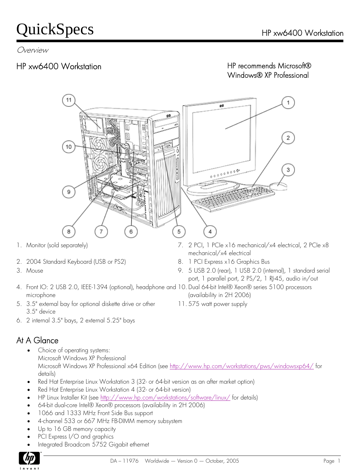Overview

#### HP xw6400 Workstation

#### HP recommends Microsoft® Windows® XP Professional



- 
- 3. Mouse
- 4. Front IO: 2 USB 2.0, IEEE-1394 (optional), headphone and 10. Dual 64-bit Intel® Xeon® series 5100 processors microphone
- 5. 3.5" external bay for optional diskette drive or other 11. 575 watt power supply 3.5" device
- 6. 2 internal 3.5" bays, 2 external 5.25" bays

#### At A Glance

- Choice of operating systems: Microsoft Windows XP Professional Microsoft Windows XP Professional x64 Edition (see <http://www.hp.com/workstations/pws/windowsxp64/>for details)
- Red Hat Enterprise Linux Workstation 3 (32- or 64-bit version as an after market option)
- Red Hat Enterprise Linux Workstation 4 (32- or 64-bit version)
- HP Linux Installer Kit (see<http://www.hp.com/workstations/software/linux/> for details)
- 64-bit dual-core Intel® Xeon® processors (availability in 2H 2006)
- 1066 and 1333 MHz Front Side Bus support
- 4-channel 533 or 667 MHz FB-DIMM memory subsystem
- Up to 16 GB memory capacity
- PCI Express I/O and graphics
- Integrated Broadcom 5752 Gigabit ethernet



- 7. 2 PCI, 1 PCIe x16 mechanical/x4 electrical, 2 PCIe x8 mechanical/x4 electrical
- 2. 2004 Standard Keyboard (USB or PS2) 8. 1 PCI Express x16 Graphics Bus
	- 9. 5 USB 2.0 (rear), 1 USB 2.0 (internal), 1 standard serial port, 1 parallel port, 2 PS/2, 1 RJ-45, audio in/out
	- (availability in 2H 2006)
	-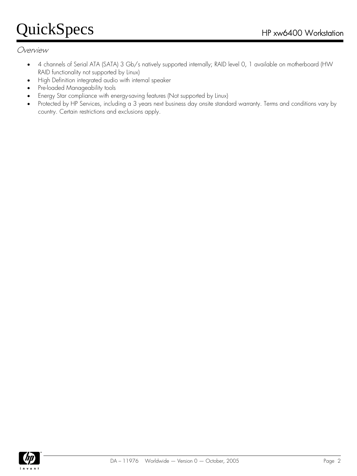#### Overview

- 4 channels of Serial ATA (SATA) 3 Gb/s natively supported internally; RAID level 0, 1 available on motherboard (HW RAID functionality not supported by Linux)
- High Definition integrated audio with internal speaker
- Pre-loaded Manageability tools
- Energy Star compliance with energy-saving features (Not supported by Linux)
- Protected by HP Services, including a 3 years next business day onsite standard warranty. Terms and conditions vary by country. Certain restrictions and exclusions apply.

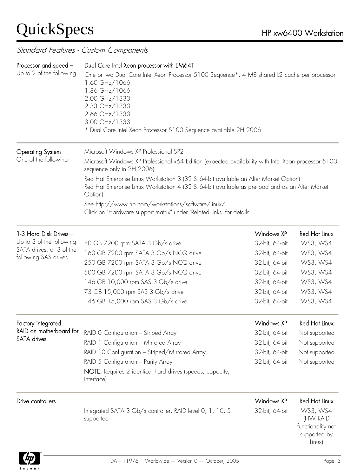#### Standard Features - Custom Components

| Processor and speed -<br>Up to 2 of the following | Dual Core Intel Xeon processor with EM64T<br>One or two Dual Core Intel Xeon Processor 5100 Sequence*, 4 MB shared L2 cache per processor<br>1.60 GHz/1066<br>1.86 GHz/1066<br>2.00 GHz/1333<br>2.33 GHz/1333<br>2.66 GHz/1333<br>3.00 GHz/1333<br>* Dual Core Intel Xeon Processor 5100 Sequence available 2H 2006                                                                                                                                                                                              |                |                                                           |
|---------------------------------------------------|------------------------------------------------------------------------------------------------------------------------------------------------------------------------------------------------------------------------------------------------------------------------------------------------------------------------------------------------------------------------------------------------------------------------------------------------------------------------------------------------------------------|----------------|-----------------------------------------------------------|
| Operating System -<br>One of the following        | Microsoft Windows XP Professional SP2<br>Microsoft Windows XP Professional x64 Edition (expected availability with Intel Xeon processor 5100<br>sequence only in 2H 2006)<br>Red Hat Enterprise Linux Workstation 3 (32 & 64-bit available an After Market Option)<br>Red Hat Enterprise Linux Workstation 4 (32 & 64-bit available as pre-load and as an After Market<br>Option)<br>See http://www.hp.com/workstations/software/linux/<br>Click on "Hardware support matrix" under "Related links" for details. |                |                                                           |
| 1-3 Hard Disk Drives -                            |                                                                                                                                                                                                                                                                                                                                                                                                                                                                                                                  | Windows XP     | <b>Red Hat Linux</b>                                      |
| Up to 3 of the following                          | 80 GB 7200 rpm SATA 3 Gb/s drive                                                                                                                                                                                                                                                                                                                                                                                                                                                                                 | 32-bit, 64-bit | WS3, WS4                                                  |
| SATA drives, or 3 of the                          | 160 GB 7200 rpm SATA 3 Gb/s NCQ drive                                                                                                                                                                                                                                                                                                                                                                                                                                                                            | 32-bit, 64-bit | WS3, WS4                                                  |
| following SAS drives                              | 250 GB 7200 rpm SATA 3 Gb/s NCQ drive                                                                                                                                                                                                                                                                                                                                                                                                                                                                            | 32-bit, 64-bit | WS3, WS4                                                  |
|                                                   | 500 GB 7200 rpm SATA 3 Gb/s NCQ drive                                                                                                                                                                                                                                                                                                                                                                                                                                                                            | 32-bit, 64-bit | WS3, WS4                                                  |
|                                                   | 146 GB 10,000 rpm SAS 3 Gb/s drive                                                                                                                                                                                                                                                                                                                                                                                                                                                                               | 32-bit, 64-bit | WS3, WS4                                                  |
|                                                   | 73 GB 15,000 rpm SAS 3 Gb/s drive                                                                                                                                                                                                                                                                                                                                                                                                                                                                                | 32-bit, 64-bit | WS3, WS4                                                  |
|                                                   | 146 GB 15,000 rpm SAS 3 Gb/s drive                                                                                                                                                                                                                                                                                                                                                                                                                                                                               | 32-bit, 64-bit | WS3, WS4                                                  |
| Factory integrated                                |                                                                                                                                                                                                                                                                                                                                                                                                                                                                                                                  | Windows XP     | Red Hat Linux                                             |
| RAID on motherboard for                           | RAID O Configuration - Striped Array                                                                                                                                                                                                                                                                                                                                                                                                                                                                             | 32-bit, 64-bit | Not supported                                             |
| <b>SATA</b> drives                                | RAID 1 Configuration - Mirrored Array                                                                                                                                                                                                                                                                                                                                                                                                                                                                            | 32-bit, 64-bit | Not supported                                             |
|                                                   | RAID 10 Configuration - Striped/Mirrored Array                                                                                                                                                                                                                                                                                                                                                                                                                                                                   | 32-bit, 64-bit | Not supported                                             |
|                                                   | RAID 5 Configuration - Parity Array                                                                                                                                                                                                                                                                                                                                                                                                                                                                              | 32-bit, 64-bit | Not supported                                             |
|                                                   | NOTE: Requires 2 identical hard drives (speeds, capacity,<br>interface)                                                                                                                                                                                                                                                                                                                                                                                                                                          |                |                                                           |
| Drive controllers                                 |                                                                                                                                                                                                                                                                                                                                                                                                                                                                                                                  | Windows XP     | Red Hat Linux                                             |
|                                                   | Integrated SATA 3 Gb/s controller, RAID level 0, 1, 10, 5<br>supported                                                                                                                                                                                                                                                                                                                                                                                                                                           | 32-bit, 64-bit | WS3, WS4<br>(HW RAID<br>functionality not<br>supported by |



Linux)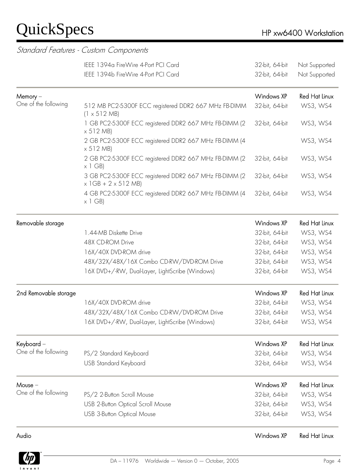|                       | IEEE 1394a FireWire 4-Port PCI Card                                                        | 32-bit, 64-bit    | Not Supported        |
|-----------------------|--------------------------------------------------------------------------------------------|-------------------|----------------------|
|                       | IEEE 1394b FireWire 4-Port PCI Card                                                        | 32-bit, 64-bit    | Not Supported        |
| Memory –              |                                                                                            | <b>Windows XP</b> | Red Hat Linux        |
| One of the following  | 512 MB PC2-5300F ECC registered DDR2 667 MHz FB-DIMM<br>$(1 \times 512 \text{ MB})$        | 32-bit, 64-bit    | WS3, WS4             |
|                       | 1 GB PC2-5300F ECC registered DDR2 667 MHz FB-DIMM (2<br>$\times$ 512 MB)                  | 32-bit, 64-bit    | WS3, WS4             |
|                       | 2 GB PC2-5300F ECC registered DDR2 667 MHz FB-DIMM (4<br>$\times$ 512 MB)                  |                   | WS3, WS4             |
|                       | 2 GB PC2-5300F ECC registered DDR2 667 MHz FB-DIMM (2<br>$\times$ 1 GB)                    | 32-bit, 64-bit    | WS3, WS4             |
|                       | 3 GB PC2-5300F ECC registered DDR2 667 MHz FB-DIMM (2<br>$\times$ 1GB + 2 $\times$ 512 MB) | 32-bit, 64-bit    | WS3, WS4             |
|                       | 4 GB PC2-5300F ECC registered DDR2 667 MHz FB-DIMM (4<br>$\times$ 1 GB)                    | 32-bit, 64-bit    | WS3, WS4             |
| Removable storage     |                                                                                            | <b>Windows XP</b> | <b>Red Hat Linux</b> |
|                       | 1.44-MB Diskette Drive                                                                     | 32-bit, 64-bit    | WS3, WS4             |
|                       | 48X CD-ROM Drive                                                                           | 32-bit, 64-bit    | WS3, WS4             |
|                       | 16X/40X DVD-ROM drive                                                                      | 32-bit, 64-bit    | WS3, WS4             |
|                       | 48X/32X/48X/16X Combo CD-RW/DVD-ROM Drive                                                  | 32-bit, 64-bit    | WS3, WS4             |
|                       | 16X DVD+/-RW, Dual-Layer, LightScribe (Windows)                                            | 32-bit, 64-bit    | WS3, WS4             |
| 2nd Removable storage |                                                                                            | Windows XP        | <b>Red Hat Linux</b> |
|                       | 16X/40X DVD-ROM drive                                                                      | 32-bit, 64-bit    | WS3, WS4             |
|                       | 48X/32X/48X/16X Combo CD-RW/DVD-ROM Drive                                                  | 32-bit, 64-bit    | WS3, WS4             |
|                       | 16X DVD+/-RW, Dual-Layer, LightScribe (Windows)                                            | 32-bit, 64-bit    | WS3, WS4             |
| Keyboard –            |                                                                                            | Windows XP        | <b>Red Hat Linux</b> |
| One of the following  | PS/2 Standard Keyboard                                                                     | 32-bit, 64-bit    | WS3, WS4             |
|                       | USB Standard Keyboard                                                                      | 32-bit, 64-bit    | WS3, WS4             |
| Mouse –               |                                                                                            | Windows XP        | <b>Red Hat Linux</b> |
| One of the following  | PS/2 2-Button Scroll Mouse                                                                 | 32-bit, 64-bit    | WS3, WS4             |
|                       | USB 2-Button Optical Scroll Mouse                                                          | 32-bit, 64-bit    | WS3, WS4             |
|                       | <b>USB 3-Button Optical Mouse</b>                                                          | 32-bit, 64-bit    | WS3, WS4             |
| Audio                 |                                                                                            | Windows XP        | Red Hat Linux        |

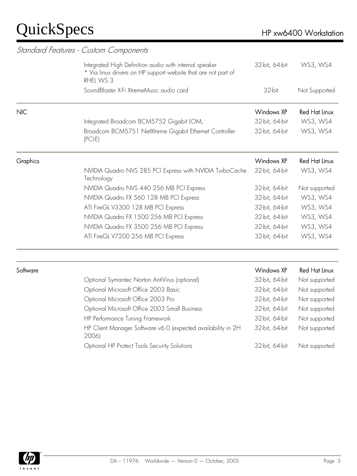|            | Standard Features - Custom Components                                                                                                 |                |                      |  |  |  |
|------------|---------------------------------------------------------------------------------------------------------------------------------------|----------------|----------------------|--|--|--|
|            | Integrated High Definition audio with internal speaker<br>* Via linux drivers on HP support website that are not part of<br>RHEL WS 3 | 32-bit, 64-bit | WS3, WS4             |  |  |  |
|            | SoundBlaster X-Fi XtremeMusic audio card                                                                                              | 32-bit         | Not Supported        |  |  |  |
| <b>NIC</b> |                                                                                                                                       | Windows XP     | Red Hat Linux        |  |  |  |
|            | Integrated Broadcom BCM5752 Gigabit LOM,                                                                                              | 32-bit, 64-bit | WS3, WS4             |  |  |  |
|            | Broadcom BCM5751 NetXtreme Gigabit Ethernet Controller<br>$(PCI-E)$                                                                   | 32-bit, 64-bit | WS3, WS4             |  |  |  |
| Graphics   |                                                                                                                                       | Windows XP     | <b>Red Hat Linux</b> |  |  |  |
|            | NVIDIA Quadro NVS 285 PCI Express with NVIDIA TurboCache<br>Technology                                                                | 32-bit, 64-bit | WS3, WS4             |  |  |  |
|            | NVIDIA Quadro NVS 440 256 MB PCI Express                                                                                              | 32-bit, 64-bit | Not supported        |  |  |  |
|            | NVIDIA Quadro FX 560 128 MB PCI Express                                                                                               | 32-bit, 64-bit | WS3, WS4             |  |  |  |
|            | ATI FireGL V3300 128 MB PCI Express                                                                                                   | 32-bit, 64-bit | WS3, WS4             |  |  |  |
|            | NVIDIA Quadro FX 1500 256 MB PCI Express                                                                                              | 32-bit, 64-bit | WS3, WS4             |  |  |  |
|            | NVIDIA Quadro FX 3500 256 MB PCI Express                                                                                              | 32-bit, 64-bit | WS3, WS4             |  |  |  |
|            | ATI FireGL V7200 256 MB PCI Express                                                                                                   | 32-bit, 64-bit | WS3, WS4             |  |  |  |
| Software   |                                                                                                                                       | Windows XP     | Red Hat Linux        |  |  |  |
|            | Optional Symantec Norton AntiVirus (optional)                                                                                         | 32-bit, 64-bit | Not supported        |  |  |  |
|            | Optional Microsoft Office 2003 Basic                                                                                                  | 32-bit, 64-bit | Not supported        |  |  |  |
|            | Optional Microsoft Office 2003 Pro                                                                                                    | 32-bit, 64-bit | Not supported        |  |  |  |
|            | Optional Microsoft Office 2003 Small Business                                                                                         | 32-bit, 64-bit | Not supported        |  |  |  |
|            | HP Performance Tuning Framework                                                                                                       | 32-bit, 64-bit | Not supported        |  |  |  |
|            | HP Client Manager Software v6.0 (expected availability in 2H<br>2006)                                                                 | 32-bit, 64-bit | Not supported        |  |  |  |
|            | Optional HP Protect Tools Security Solutions                                                                                          | 32-bit, 64-bit | Not supported        |  |  |  |

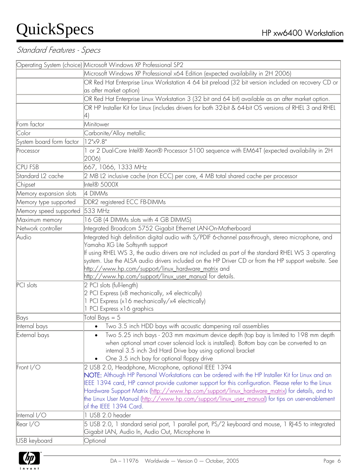#### Standard Features - Specs

|                          | Operating System (choice) Microsoft Windows XP Professional SP2                                                                                                                                                                                                                                                                                                                                                                                                                                |
|--------------------------|------------------------------------------------------------------------------------------------------------------------------------------------------------------------------------------------------------------------------------------------------------------------------------------------------------------------------------------------------------------------------------------------------------------------------------------------------------------------------------------------|
|                          | Microsoft Windows XP Professional x64 Edition (expected availability in 2H 2006)                                                                                                                                                                                                                                                                                                                                                                                                               |
|                          | OR Red Hat Enterprise Linux Workstation 4 64 bit preload (32 bit version included on recovery CD or                                                                                                                                                                                                                                                                                                                                                                                            |
|                          | as after market option)                                                                                                                                                                                                                                                                                                                                                                                                                                                                        |
|                          | OR Red Hat Enterprise Linux Workstation 3 (32 bit and 64 bit) available as an after market option.                                                                                                                                                                                                                                                                                                                                                                                             |
|                          | OR HP Installer Kit for Linux (includes drivers for both 32-bit & 64-bit OS versions of RHEL 3 and RHEL                                                                                                                                                                                                                                                                                                                                                                                        |
|                          |                                                                                                                                                                                                                                                                                                                                                                                                                                                                                                |
| Form factor              | Minitower                                                                                                                                                                                                                                                                                                                                                                                                                                                                                      |
| Color                    | Carbonite/Alloy metallic                                                                                                                                                                                                                                                                                                                                                                                                                                                                       |
| System board form factor | 12"x9.8"                                                                                                                                                                                                                                                                                                                                                                                                                                                                                       |
| Processor                | 1 or 2 Dual-Core Intel® Xeon® Processor 5100 sequence with EM64T (expected availability in 2H<br>2006)                                                                                                                                                                                                                                                                                                                                                                                         |
| <b>CPU FSB</b>           | 667, 1066, 1333 MHz                                                                                                                                                                                                                                                                                                                                                                                                                                                                            |
| Standard L2 cache        | 2 MB L2 inclusive cache (non ECC) per core, 4 MB total shared cache per processor                                                                                                                                                                                                                                                                                                                                                                                                              |
| Chipset                  | Intel® 5000X                                                                                                                                                                                                                                                                                                                                                                                                                                                                                   |
| Memory expansion slots   | 4 DIMMs                                                                                                                                                                                                                                                                                                                                                                                                                                                                                        |
| Memory type supported    | DDR2 registered ECC FB-DIMMs                                                                                                                                                                                                                                                                                                                                                                                                                                                                   |
| Memory speed supported   | 533 MHz                                                                                                                                                                                                                                                                                                                                                                                                                                                                                        |
| Maximum memory           | 16 GB (4 DIMMs slots with 4 GB DIMMS)                                                                                                                                                                                                                                                                                                                                                                                                                                                          |
| Network controller       | Integrated Broadcom 5752 Gigabit Ethernet LAN-On-Motherboard                                                                                                                                                                                                                                                                                                                                                                                                                                   |
| Audio                    | Integrated high definition digital audio with S/PDIF 6-channel pass-through, stereo microphone, and<br>Yamaha XG Lite Softsynth support<br>If using RHEL WS 3, the audio drivers are not included as part of the standard RHEL WS 3 operating<br>system. Use the ALSA audio drivers included on the HP Driver CD or from the HP support website. See<br>http://www.hp.com/support/linux_hardware_matrix_and<br>http://www.hp.com/support/linux user_manual for details.                        |
| PCI slots                | 2 PCI slots (full-length)<br>2 PCI Express (x8 mechanically, x4 electrically)<br>1 PCI Express (x16 mechanically/x4 electrically)<br>1 PCI Express x16 graphics                                                                                                                                                                                                                                                                                                                                |
| Bays                     | Total Bays $= 5$                                                                                                                                                                                                                                                                                                                                                                                                                                                                               |
| Internal bays            | • Two 3.5 inch HDD bays with acoustic dampening rail assemblies                                                                                                                                                                                                                                                                                                                                                                                                                                |
| External bays            | Two 5.25 inch bays - 203 mm maximum device depth (top bay is limited to 198 mm depth<br>when optional smart cover solenoid lock is installed). Bottom bay can be converted to an<br>internal 3.5 inch 3rd Hard Drive bay using optional bracket<br>One 3.5 inch bay for optional floppy drive<br>$\bullet$                                                                                                                                                                                     |
| Front $I/O$              | 2 USB 2.0, Headphone, Microphone, optional IEEE 1394<br>NOTE: Although HP Personal Workstations can be ordered with the HP Installer Kit for Linux and an<br>EEE 1394 card, HP cannot provide customer support for this configuration. Please refer to the Linux<br>Hardware Support Matrix (http://www.hp.com/support/linux_hardware_matrix) for details, and to<br>the Linux User Manual (http://www.hp.com/support/linux_user_manual) for tips on user-enablement<br>of the IEEE 1394 Card. |
| Internal I/O             | 1 USB 2.0 header                                                                                                                                                                                                                                                                                                                                                                                                                                                                               |
| $\text{Rear I/O}$        | 5 USB 2.0, 1 standard serial port, 1 parallel port, PS/2 keyboard and mouse, 1 RJ-45 to integrated<br>Gigabit LAN, Audio In, Audio Out, Microphone In                                                                                                                                                                                                                                                                                                                                          |
| USB keyboard             | Optional                                                                                                                                                                                                                                                                                                                                                                                                                                                                                       |

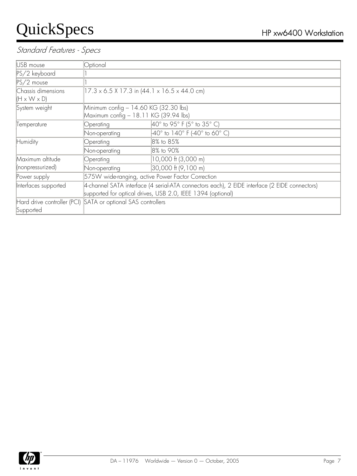#### Standard Features - Specs

| USB mouse               | Optional                                                     |                                                                                               |  |
|-------------------------|--------------------------------------------------------------|-----------------------------------------------------------------------------------------------|--|
| PS/2 keyboard           |                                                              |                                                                                               |  |
| $PS/2$ mouse            |                                                              |                                                                                               |  |
| Chassis dimensions      | $[17.3 \times 6.5 \times 17.3$ in (44.1 x 16.5 x 44.0 cm)    |                                                                                               |  |
| $(H \times W \times D)$ |                                                              |                                                                                               |  |
| System weight           | Minimum config - 14.60 KG (32.30 lbs)                        |                                                                                               |  |
|                         | Maximum config - 18.11 KG (39.94 lbs)                        |                                                                                               |  |
| Temperature             | Operating                                                    | $40^{\circ}$ to 95° F (5° to 35° C)                                                           |  |
|                         | Non-operating                                                | $40^{\circ}$ to 140° F (-40° to 60° C)                                                        |  |
| Humidity                | Operating                                                    | 8% to 85%                                                                                     |  |
|                         | Non-operating                                                | 8% to 90%                                                                                     |  |
| Maximum altitude        | Operating                                                    | 10,000 ft (3,000 m)                                                                           |  |
| (nonpressurized)        | Non-operating                                                | 30,000 ft (9,100 m)                                                                           |  |
| Power supply            | 575W wide-ranging, active Power Factor Correction            |                                                                                               |  |
| Interfaces supported    |                                                              | 4-channel SATA interface (4 serial-ATA connectors each), 2 EIDE interface (2 EIDE connectors) |  |
|                         |                                                              | supported for optical drives, USB 2.0, IEEE 1394 (optional)                                   |  |
|                         | Hard drive controller (PCI) SATA or optional SAS controllers |                                                                                               |  |
| Supported               |                                                              |                                                                                               |  |

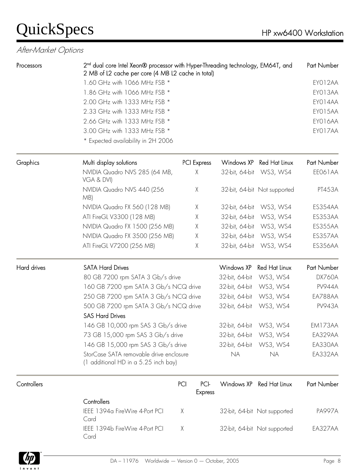#### After-Market Options

| Processors  | 2 <sup>nd</sup> dual core Intel Xeon® processor with Hyper-Threading technology, EM64T, and |                                                    |                   |                              | Part Number        |  |  |
|-------------|---------------------------------------------------------------------------------------------|----------------------------------------------------|-------------------|------------------------------|--------------------|--|--|
|             |                                                                                             | 2 MB of L2 cache per core (4 MB L2 cache in total) |                   |                              |                    |  |  |
|             | 1.60 GHz with 1066 MHz FSB *<br>1.86 GHz with 1066 MHz FSB *                                |                                                    |                   |                              | EYO12AA<br>EYO13AA |  |  |
|             | 2.00 GHz with 1333 MHz FSB *                                                                |                                                    |                   |                              | EYO14AA            |  |  |
|             | 2.33 GHz with 1333 MHz FSB *                                                                |                                                    |                   |                              | EYO15AA            |  |  |
|             | 2.66 GHz with 1333 MHz FSB *                                                                |                                                    |                   |                              | EYO16AA            |  |  |
|             | 3.00 GHz with 1333 MHz FSB *                                                                |                                                    |                   |                              | EYO17AA            |  |  |
|             | * Expected availability in 2H 2006                                                          |                                                    |                   |                              |                    |  |  |
|             |                                                                                             |                                                    |                   |                              |                    |  |  |
| Graphics    | Multi display solutions                                                                     | PCI Express                                        |                   | Windows XP Red Hat Linux     | Part Number        |  |  |
|             | NVIDIA Quadro NVS 285 (64 MB,<br>VGA & DVI)                                                 | $\chi$                                             |                   | 32-bit, 64-bit WS3, WS4      | EE061AA            |  |  |
|             | NVIDIA Quadro NVS 440 (256<br>MB)                                                           | X                                                  |                   | 32-bit, 64-bit Not supported | PT453A             |  |  |
|             | NVIDIA Quadro FX 560 (128 MB)                                                               | $\chi$                                             |                   | 32-bit, 64-bit WS3, WS4      | ES354AA            |  |  |
|             | ATI FireGL V3300 (128 MB)                                                                   | $\chi$                                             | 32-bit, 64-bit    | WS3, WS4                     | ES353AA            |  |  |
|             | NVIDIA Quadro FX 1500 (256 MB)                                                              | Χ                                                  |                   | 32-bit, 64-bit WS3, WS4      | ES355AA            |  |  |
|             | NVIDIA Quadro FX 3500 (256 MB)                                                              | $\chi$                                             | 32-bit, 64-bit    | WS3, WS4                     | ES357AA            |  |  |
|             | ATI FireGL V7200 (256 MB)                                                                   | Χ                                                  |                   | 32-bit, 64-bit WS3, WS4      | ES356AA            |  |  |
| Hard drives | <b>SATA Hard Drives</b>                                                                     |                                                    | <b>Windows XP</b> | Red Hat Linux                | Part Number        |  |  |
|             | 80 GB 7200 rpm SATA 3 Gb/s drive                                                            |                                                    | 32-bit, 64-bit    | WS3, WS4                     | <b>DX760A</b>      |  |  |
|             | 160 GB 7200 rpm SATA 3 Gb/s NCQ drive                                                       |                                                    | 32-bit, 64-bit    | WS3, WS4                     | <b>PV944A</b>      |  |  |
|             | 250 GB 7200 rpm SATA 3 Gb/s NCQ drive                                                       |                                                    | 32-bit, 64-bit    | WS3, WS4                     | EA788AA            |  |  |
|             | 500 GB 7200 rpm SATA 3 Gb/s NCQ drive                                                       |                                                    | 32-bit, 64-bit    | WS3, WS4                     | <b>PV943A</b>      |  |  |
|             | <b>SAS Hard Drives</b>                                                                      |                                                    |                   |                              |                    |  |  |
|             | 146 GB 10,000 rpm SAS 3 Gb/s drive                                                          |                                                    |                   | 32-bit, 64-bit WS3, WS4      | EM173AA            |  |  |
|             | 73 GB 15,000 rpm SAS 3 Gb/s drive                                                           |                                                    | 32-bit, 64-bit    | WS3, WS4                     | EA329AA            |  |  |
|             | 146 GB 15,000 rpm SAS 3 Gb/s drive                                                          |                                                    | 32-bit, 64-bit    | WS3, WS4                     | EA330AA            |  |  |
|             | StorCase SATA removable drive enclosure<br>(1 additional HD in a 5.25 inch bay)             |                                                    | <b>NA</b>         | <b>NA</b>                    | EA332AA            |  |  |
| Controllers |                                                                                             | PCI-<br>PCI<br><b>Express</b>                      | Windows XP        | <b>Red Hat Linux</b>         | Part Number        |  |  |
|             | Controllers                                                                                 |                                                    |                   |                              |                    |  |  |
|             | IEEE 1394a FireWire 4-Port PCI<br>Card                                                      | $\chi$                                             |                   | 32-bit, 64-bit Not supported | <b>PA997A</b>      |  |  |
|             | IEEE 1394b FireWire 4-Port PCI<br>Card                                                      | $\mathsf X$                                        |                   | 32-bit, 64-bit Not supported | EA327AA            |  |  |

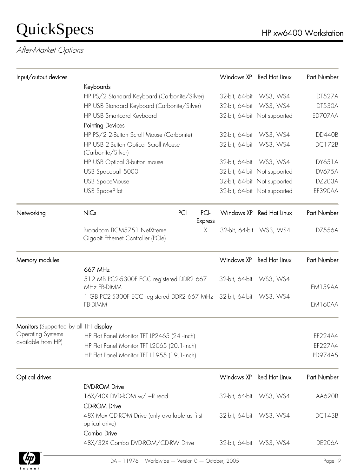After-Market Options

| Input/output devices                   |                                                                               |                        | Windows XP     | <b>Red Hat Linux</b>         | Part Number   |
|----------------------------------------|-------------------------------------------------------------------------------|------------------------|----------------|------------------------------|---------------|
|                                        | Keyboards                                                                     |                        |                |                              |               |
|                                        | HP PS/2 Standard Keyboard (Carbonite/Silver)                                  |                        | 32-bit, 64-bit | WS3, WS4                     | DT527A        |
|                                        | HP USB Standard Keyboard (Carbonite/Silver)                                   |                        |                | 32-bit, 64-bit WS3, WS4      | <b>DT530A</b> |
|                                        | HP USB Smartcard Keyboard                                                     |                        |                | 32-bit, 64-bit Not supported | ED707AA       |
|                                        | <b>Pointing Devices</b>                                                       |                        |                |                              |               |
|                                        | HP PS/2 2-Button Scroll Mouse (Carbonite)                                     |                        | 32-bit, 64-bit | WS3, WS4                     | <b>DD440B</b> |
|                                        | HP USB 2-Button Optical Scroll Mouse<br>(Carbonite/Silver)                    |                        | 32-bit, 64-bit | WS3, WS4                     | <b>DC172B</b> |
|                                        | HP USB Optical 3-button mouse                                                 |                        |                | 32-bit, 64-bit WS3, WS4      | <b>DY651A</b> |
|                                        | USB Spaceball 5000                                                            |                        |                | 32-bit, 64-bit Not supported | <b>DV675A</b> |
|                                        | <b>USB SpaceMouse</b>                                                         |                        |                | 32-bit, 64-bit Not supported | <b>DZ203A</b> |
|                                        | <b>USB SpacePilot</b>                                                         |                        |                | 32-bit, 64-bit Not supported | EF390AA       |
| Networking                             | <b>NICs</b><br>PCI                                                            | PCI-<br><b>Express</b> |                | Windows XP Red Hat Linux     | Part Number   |
|                                        | Broadcom BCM5751 NetXtreme<br>Gigabit Ethernet Controller (PCle)              | X                      |                | 32-bit, 64-bit WS3, WS4      | DZ556A        |
| Memory modules                         |                                                                               |                        | Windows XP     | Red Hat Linux                | Part Number   |
|                                        | 667 MHz                                                                       |                        |                |                              |               |
|                                        | 512 MB PC2-5300F ECC registered DDR2 667<br>MHz FB-DIMM                       |                        |                | 32-bit, 64-bit WS3, WS4      | EM159AA       |
|                                        | 1 GB PC2-5300F ECC registered DDR2 667 MHz 32-bit, 64-bit WS3, WS4<br>FB-DIMM |                        |                |                              | EM160AA       |
| Monitors (Supported by all TFT display |                                                                               |                        |                |                              |               |
| <b>Operating Systems</b>               | HP Flat Panel Monitor TFT LP2465 (24 -inch)                                   |                        |                |                              | EF224A4       |
| available from HP)                     | HP Flat Panel Monitor TFT L2065 (20.1-inch)                                   |                        |                |                              | EF227A4       |
|                                        | HP Flat Panel Monitor TFT L1955 (19.1-inch)                                   |                        |                |                              | PD974A5       |
| Optical drives                         |                                                                               |                        | Windows XP     | Red Hat Linux                | Part Number   |
|                                        | <b>DVD-ROM Drive</b>                                                          |                        |                |                              |               |
|                                        | 16X/40X DVD-ROM w/ +R read                                                    |                        |                | 32-bit, 64-bit WS3, WS4      | AA620B        |
|                                        | <b>CD-ROM Drive</b>                                                           |                        |                |                              |               |
|                                        | 48X Max CD-ROM Drive (only available as first<br>optical drive)               |                        |                | 32-bit, 64-bit WS3, WS4      | <b>DC143B</b> |
|                                        | Combo Drive<br>48X/32X Combo DVD-ROM/CD-RW Drive                              |                        |                | 32-bit, 64-bit WS3, WS4      | <b>DE206A</b> |

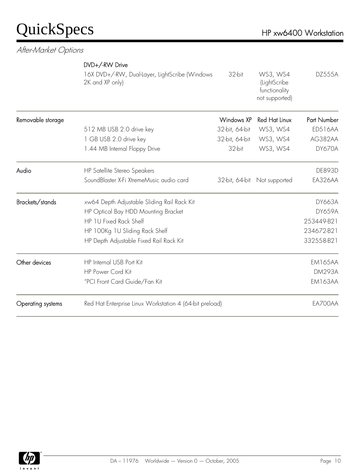#### After-Market Options

|                   | DVD+/-RW Drive                                                    |                   |                                                             |                |
|-------------------|-------------------------------------------------------------------|-------------------|-------------------------------------------------------------|----------------|
|                   | 16X DVD+/-RW, Dual-Layer, LightScribe (Windows<br>2K and XP only) | 32-bit            | WS3, WS4<br>(LightScribe<br>functionality<br>not supported) | <b>DZ555A</b>  |
| Removable storage |                                                                   | <b>Windows XP</b> | <b>Red Hat Linux</b>                                        | Part Number    |
|                   | 512 MB USB 2.0 drive key                                          | 32-bit, 64-bit    | WS3, WS4                                                    | <b>ED516AA</b> |
|                   | 1 GB USB 2.0 drive key                                            | 32-bit, 64-bit    | WS3, WS4                                                    | AG382AA        |
|                   | 1.44 MB Internal Floppy Drive                                     | 32-bit            | WS3, WS4                                                    | DY670A         |
| Audio             | HP Satellite Stereo Speakers                                      |                   |                                                             | <b>DE893D</b>  |
|                   | SoundBlaster X-Fi XtremeMusic audio card                          | 32-bit, 64-bit    | Not supported                                               | EA326AA        |
| Brackets/stands   | xw64 Depth Adjustable Sliding Rail Rack Kit                       |                   |                                                             | <b>DY663A</b>  |
|                   | HP Optical Bay HDD Mounting Bracket                               |                   |                                                             | <b>DY659A</b>  |
|                   | HP 1U Fixed Rack Shelf                                            |                   |                                                             | 253449-B21     |
|                   | HP 100Kg 1U Sliding Rack Shelf                                    |                   |                                                             | 234672-B21     |
|                   | HP Depth Adjustable Fixed Rail Rack Kit                           |                   |                                                             | 332558-B21     |
| Other devices     | <b>HP Internal USB Port Kit</b>                                   |                   |                                                             | <b>EM165AA</b> |
|                   | <b>HP Power Cord Kit</b>                                          |                   |                                                             | <b>DM293A</b>  |
|                   | "PCI Front Card Guide/Fan Kit                                     |                   |                                                             | EM163AA        |
| Operating systems | Red Hat Enterprise Linux Workstation 4 (64-bit preload)           |                   |                                                             | EA700AA        |

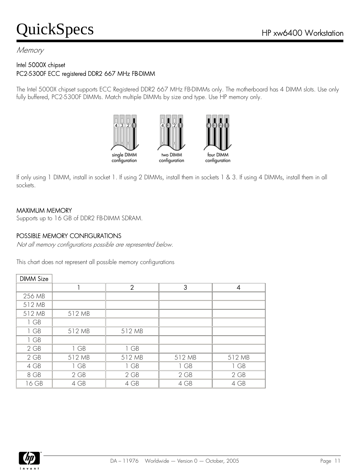#### **Memory**

#### Intel 5000X chipset PC2-5300F ECC registered DDR2 667 MHz FB-DIMM

The Intel 5000X chipset supports ECC Registered DDR2 667 MHz FB-DIMMs only. The motherboard has 4 DIMM slots. Use only fully buffered, PC2-5300F DIMMs. Match multiple DIMMs by size and type. Use HP memory only.



If only using 1 DIMM, install in socket 1. If using 2 DIMMs, install them in sockets 1 & 3. If using 4 DIMMs, install them in all sockets.

#### MAXIMUM MEMORY

Supports up to 16 GB of DDR2 FB-DIMM SDRAM.

#### POSSIBLE MEMORY CONFIGURATIONS

Not all memory configurations possible are represented below.

This chart does not represent all possible memory configurations

| <b>DIMM Size</b> |        |                |        |        |
|------------------|--------|----------------|--------|--------|
|                  |        | $\overline{2}$ | 3      | 4      |
| 256 MB           |        |                |        |        |
| 512 MB           |        |                |        |        |
| 512 MB           | 512 MB |                |        |        |
| 1 GB             |        |                |        |        |
| 1 GB             | 512 MB | 512 MB         |        |        |
| 1 GB             |        |                |        |        |
| $2$ GB           | 1 GB   | 1 GB           |        |        |
| $2$ GB           | 512 MB | 512 MB         | 512 MB | 512 MB |
| 4 GB             | 1 GB   | 1 GB           | 1 GB   | 1 GB   |
| 8 GB             | $2$ GB | $2$ GB         | $2$ GB | 2 GB   |
| 16 GB            | 4 GB   | 4 GB           | 4 GB   | 4 GB   |

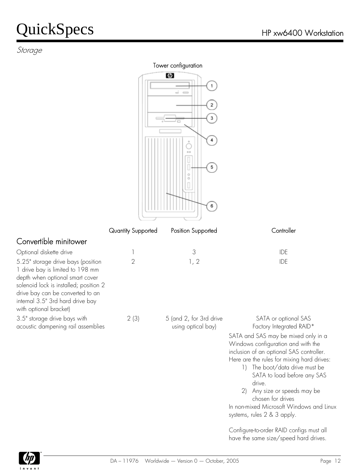#### Storage

#### Tower configuration

|                                                                                                                                                                                                                                                       |                    | Ø<br>1<br>-<br>$\equiv$<br>$\mathbf 2$<br>з<br>4<br>$00 -$<br>5<br>6 |                                                                                                                                                                                                                                                                                                                                                               |
|-------------------------------------------------------------------------------------------------------------------------------------------------------------------------------------------------------------------------------------------------------|--------------------|----------------------------------------------------------------------|---------------------------------------------------------------------------------------------------------------------------------------------------------------------------------------------------------------------------------------------------------------------------------------------------------------------------------------------------------------|
|                                                                                                                                                                                                                                                       | Quantity Supported | Position Supported                                                   | Controller                                                                                                                                                                                                                                                                                                                                                    |
| Convertible minitower                                                                                                                                                                                                                                 |                    |                                                                      |                                                                                                                                                                                                                                                                                                                                                               |
| Optional diskette drive                                                                                                                                                                                                                               | 1                  | 3                                                                    | IDE                                                                                                                                                                                                                                                                                                                                                           |
| 5.25" storage drive bays (position<br>1 drive bay is limited to 198 mm<br>depth when optional smart cover<br>solenoid lock is installed; position 2<br>drive bay can be converted to an<br>internal 3.5" 3rd hard drive bay<br>with optional bracket) | $\overline{2}$     | 1, 2                                                                 | <b>IDE</b>                                                                                                                                                                                                                                                                                                                                                    |
| 3.5" storage drive bays with<br>acoustic dampening rail assemblies                                                                                                                                                                                    | 2(3)               | 5 (and 2, for 3rd drive<br>using optical bay)                        | SATA or optional SAS<br>Factory Integrated RAID*<br>SATA and SAS may be mixed only in a<br>Windows configuration and with the<br>inclusion of an optional SAS controller.<br>Here are the rules for mixing hard drives:<br>The boot/data drive must be<br>$\left  \cdot \right $<br>SATA to load before any SAS<br>drive.<br>Any size or speeds may be<br>(2) |

chosen for drives In non-mixed Microsoft Windows and Linux systems, rules 2 & 3 apply.

Configure-to-order RAID configs must all have the same size/speed hard drives.

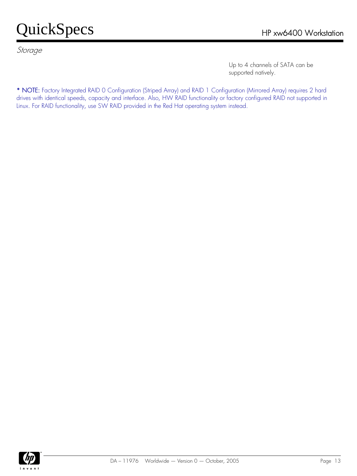Storage

Up to 4 channels of SATA can be supported natively.

\* NOTE: Factory Integrated RAID 0 Configuration (Striped Array) and RAID 1 Configuration (Mirrored Array) requires 2 hard drives with identical speeds, capacity and interface. Also, HW RAID functionality or factory configured RAID not supported in Linux. For RAID functionality, use SW RAID provided in the Red Hat operating system instead.

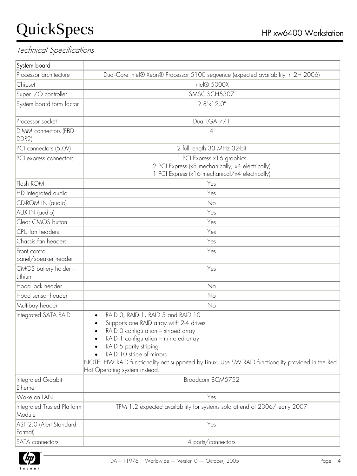| System board                           |                                                                                                                                                                                                                                                                                                                                                                          |  |
|----------------------------------------|--------------------------------------------------------------------------------------------------------------------------------------------------------------------------------------------------------------------------------------------------------------------------------------------------------------------------------------------------------------------------|--|
| Processor architecture                 | Dual-Core Intel® Xeon® Processor 5100 sequence (expected availability in 2H 2006)                                                                                                                                                                                                                                                                                        |  |
| Chipset                                | Intel® 5000X                                                                                                                                                                                                                                                                                                                                                             |  |
| Super I/O controller                   | SMSC SCH5307                                                                                                                                                                                                                                                                                                                                                             |  |
| System board form factor               | $9.8" \times 12.0"$                                                                                                                                                                                                                                                                                                                                                      |  |
| Processor socket                       | Dual LGA 771                                                                                                                                                                                                                                                                                                                                                             |  |
| DIMM connectors (FBD<br>$ DDR2\rangle$ | 4                                                                                                                                                                                                                                                                                                                                                                        |  |
| PCI connectors (5.0V)                  | 2 full length 33 MHz 32-bit                                                                                                                                                                                                                                                                                                                                              |  |
| PCI express connectors                 | 1 PCI Express x 16 graphics<br>2 PCI Express (x8 mechanically, x4 electrically)<br>1 PCI Express (x16 mechanical/x4 electrically)                                                                                                                                                                                                                                        |  |
| Flash ROM                              | Yes                                                                                                                                                                                                                                                                                                                                                                      |  |
| HD integrated audio                    | Yes                                                                                                                                                                                                                                                                                                                                                                      |  |
| CD-ROM IN (audio)                      | No                                                                                                                                                                                                                                                                                                                                                                       |  |
| AUX IN (audio)                         | Yes                                                                                                                                                                                                                                                                                                                                                                      |  |
| Clear CMOS button                      | Yes                                                                                                                                                                                                                                                                                                                                                                      |  |
| CPU fan headers                        | Yes                                                                                                                                                                                                                                                                                                                                                                      |  |
| Chassis fan headers                    | Yes                                                                                                                                                                                                                                                                                                                                                                      |  |
| Front control<br>panel/speaker header  | Yes                                                                                                                                                                                                                                                                                                                                                                      |  |
| CMOS battery holder -<br>Lithium       | Yes                                                                                                                                                                                                                                                                                                                                                                      |  |
| Hood lock header                       | No                                                                                                                                                                                                                                                                                                                                                                       |  |
| Hood sensor header                     | No                                                                                                                                                                                                                                                                                                                                                                       |  |
| Multibay header                        | No                                                                                                                                                                                                                                                                                                                                                                       |  |
| Integrated SATA RAID                   | RAID O, RAID 1, RAID 5 and RAID 10<br>$\bullet$<br>Supports one RAID array with 2-4 drives<br>RAID 0 configuration - striped array<br>RAID 1 configuration - mirrored array<br>RAID 5 parity striping<br>RAID 10 stripe of mirrors<br>NOTE: HW RAID functionality not supported by Linux. Use SW RAID functionality provided in the Red<br>Hat Operating system instead. |  |
| Integrated Gigabit<br>Ethernet         | Broadcom BCM5752                                                                                                                                                                                                                                                                                                                                                         |  |
| Wake on LAN                            | Yes                                                                                                                                                                                                                                                                                                                                                                      |  |
| Integrated Trusted Platform<br>Module  | TPM 1.2 expected availability for systems sold at end of 2006/early 2007                                                                                                                                                                                                                                                                                                 |  |
| ASF 2.0 (Alert Standard<br>Format)     | Yes                                                                                                                                                                                                                                                                                                                                                                      |  |
| SATA connectors                        | 4 ports/connectors                                                                                                                                                                                                                                                                                                                                                       |  |

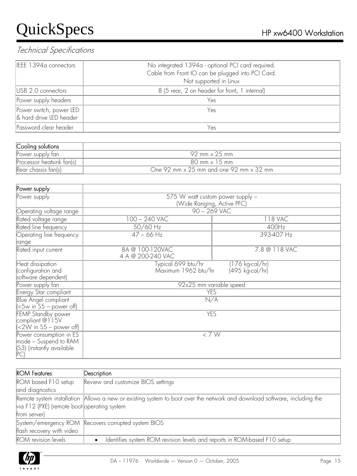| IEEE 1394a connectors                              | No integrated 1394a - optional PCI card required.<br>Cable from Front IO can be plugged into PCI Card.<br>Not supported in Linux |  |  |  |
|----------------------------------------------------|----------------------------------------------------------------------------------------------------------------------------------|--|--|--|
| USB 2.0 connectors                                 | 8 (5 rear, 2 on header for front, 1 internal)                                                                                    |  |  |  |
| Power supply headers                               | Yes                                                                                                                              |  |  |  |
| Power switch, power LED<br>& hard drive LED header | Yes                                                                                                                              |  |  |  |
| Password clear header                              | Yes                                                                                                                              |  |  |  |

| Cooling solutions         |                                                       |
|---------------------------|-------------------------------------------------------|
| Power supply fan          | 92 mm x 25 mm                                         |
| Processor heatsink fan(s) | 80 mm x 15 mm                                         |
| Rear chassis fan(s)       | One 92 mm $\times$ 25 mm and one 92 mm $\times$ 32 mm |

| Power supply                                                |                                               |                 |  |  |  |  |
|-------------------------------------------------------------|-----------------------------------------------|-----------------|--|--|--|--|
| Power supply                                                | $\overline{575}$ W watt custom power supply - |                 |  |  |  |  |
|                                                             | (Wide Ranging, Active PFC)                    |                 |  |  |  |  |
| Operating voltage range                                     |                                               | $90 - 269$ VAC  |  |  |  |  |
| Rated voltage range                                         | $100 - 240$ VAC<br>118 VAC                    |                 |  |  |  |  |
| Rated line frequency                                        | 50/60 Hz                                      | 400Hz           |  |  |  |  |
| Operating line frequency                                    | $47 - 66$ Hz                                  | 393-407 Hz      |  |  |  |  |
| range                                                       |                                               |                 |  |  |  |  |
| Rated input current                                         | 8A @ 100-120VAC<br>4 A @ 200-240 VAC          | 7.8 @ 118 VAC   |  |  |  |  |
| Heat dissipation                                            | Typical 699 btu/hr                            | (176 kg-cal/hr) |  |  |  |  |
| (configuration and                                          | Maximum 1962 btu/hr                           | (495 kg-cal/hr) |  |  |  |  |
| software dependent)                                         |                                               |                 |  |  |  |  |
| Power supply fan                                            | 92x25 mm variable speed                       |                 |  |  |  |  |
| <b>Energy Star compliant</b>                                | <b>YES</b>                                    |                 |  |  |  |  |
| <b>Blue Angel compliant</b><br>$\leq$ 5w in S5 – power off) |                                               | N/A             |  |  |  |  |
| <b>FEMP Standby power</b>                                   | <b>YES</b>                                    |                 |  |  |  |  |
| compliant @115V                                             |                                               |                 |  |  |  |  |
| $(<2W \text{ in } S5$ – power off)                          |                                               |                 |  |  |  |  |
| Power consumption in ES                                     | $<$ 7 W                                       |                 |  |  |  |  |
| mode – Suspend to RAM                                       |                                               |                 |  |  |  |  |
| (S3) (instantly available                                   |                                               |                 |  |  |  |  |
| $ PC\rangle$                                                |                                               |                 |  |  |  |  |

| <b>ROM Features</b>                         | Description                                                                                                              |  |
|---------------------------------------------|--------------------------------------------------------------------------------------------------------------------------|--|
| ROM based F10 setup                         | Review and customize BIOS settings                                                                                       |  |
| and diagnostics                             |                                                                                                                          |  |
|                                             | Remote system installation Allows a new or existing system to boot over the network and download software, including the |  |
| via F12 (PXE) (remote boot operating system |                                                                                                                          |  |
| from server)                                |                                                                                                                          |  |
|                                             | System/emergency ROM Recovers corrupted system BIOS                                                                      |  |
| flash recovery with video                   |                                                                                                                          |  |
| <b>ROM</b> revision levels                  | Identifies system ROM revision levels and reports in ROM-based F10 setup<br>$\bullet$                                    |  |

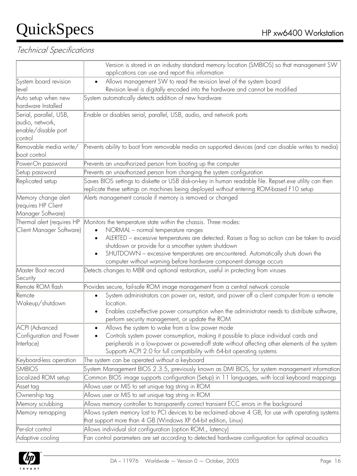|                                                                             | Version is stored in an industry standard memory location (SMBIOS) so that management SW<br>applications can use and report this information                                                                                                                                                                                                                                                                       |  |  |  |  |  |
|-----------------------------------------------------------------------------|--------------------------------------------------------------------------------------------------------------------------------------------------------------------------------------------------------------------------------------------------------------------------------------------------------------------------------------------------------------------------------------------------------------------|--|--|--|--|--|
| System board revision                                                       | Allows management SW to read the revision level of the system board<br>$\bullet$                                                                                                                                                                                                                                                                                                                                   |  |  |  |  |  |
| level                                                                       | Revision level is digitally encoded into the hardware and cannot be modified                                                                                                                                                                                                                                                                                                                                       |  |  |  |  |  |
| Auto setup when new<br>hardware Installed                                   | System automatically detects addition of new hardware                                                                                                                                                                                                                                                                                                                                                              |  |  |  |  |  |
| Serial, parallel, USB,<br>audio, network,<br>enable/disable port<br>control | Enable or disables serial, parallel, USB, audio, and network ports                                                                                                                                                                                                                                                                                                                                                 |  |  |  |  |  |
| Removable media write/<br>boot control                                      | Prevents ability to boot from removable media on supported devices (and can disable writes to media)                                                                                                                                                                                                                                                                                                               |  |  |  |  |  |
| Power-On password                                                           | Prevents an unauthorized person from booting up the computer                                                                                                                                                                                                                                                                                                                                                       |  |  |  |  |  |
| Setup password                                                              | Prevents an unauthorized person from changing the system configuration                                                                                                                                                                                                                                                                                                                                             |  |  |  |  |  |
| Replicated setup                                                            | Saves BIOS settings to diskette or USB disk-on-key in human readable file. Repset.exe utility can then<br>replicate these settings on machines being deployed without entering ROM-based F10 setup                                                                                                                                                                                                                 |  |  |  |  |  |
| Memory change alert<br>(requires HP Client<br>Manager Software)             | Alerts management console if memory is removed or changed                                                                                                                                                                                                                                                                                                                                                          |  |  |  |  |  |
| Thermal alert (requires HP<br>Client Manager Software)                      | Monitors the temperature state within the chassis. Three modes:<br>NORMAL - normal temperature ranges<br>ALERTED - excessive temperatures are detected. Raises a flag so action can be taken to avoid<br>shutdown or provide for a smoother system shutdown<br>SHUTDOWN - excessive temperatures are encountered. Automatically shuts down the<br>computer without warning before hardware component damage occurs |  |  |  |  |  |
| Master Boot record<br>Security                                              | Detects changes to MBR and optional restoration, useful in protecting from viruses                                                                                                                                                                                                                                                                                                                                 |  |  |  |  |  |
| Remote ROM flash                                                            | Provides secure, fail-safe ROM image management from a central network console                                                                                                                                                                                                                                                                                                                                     |  |  |  |  |  |
| Remote<br>Wakeup/shutdown                                                   | System administrators can power on, restart, and power off a client computer from a remote<br>$\bullet$<br>location.<br>Enables cost-effective power consumption when the administrator needs to distribute software,<br>perform security management, or update the ROM                                                                                                                                            |  |  |  |  |  |
| <b>ACPI (Advanced</b><br>Configuration and Power<br>Interface)              | Allows the system to wake from a low power mode<br>Controls system power consumption, making it possible to place individual cards and<br>peripherals in a low-power or powered-off state without affecting other elements of the system<br>Supports ACPI 2.0 for full compatibility with 64-bit operating systems                                                                                                 |  |  |  |  |  |
| Keyboard-less operation                                                     | The system can be operated without a keyboard                                                                                                                                                                                                                                                                                                                                                                      |  |  |  |  |  |
| <b>SMBIOS</b>                                                               | System Management BIOS 2.3.5, previously known as DMI BIOS, for system management information                                                                                                                                                                                                                                                                                                                      |  |  |  |  |  |
| Localized ROM setup                                                         | Common BIOS image supports configuration (Setup) in 11 languages, with local keyboard mappings                                                                                                                                                                                                                                                                                                                     |  |  |  |  |  |
| Asset tag                                                                   | Allows user or MIS to set unique tag string in ROM                                                                                                                                                                                                                                                                                                                                                                 |  |  |  |  |  |
| Ownership tag                                                               | Allows user or MIS to set unique tag string in ROM                                                                                                                                                                                                                                                                                                                                                                 |  |  |  |  |  |
| Memory scrubbing                                                            | Allows memory controller to transparently correct transient ECC errors in the background                                                                                                                                                                                                                                                                                                                           |  |  |  |  |  |
| Memory remapping                                                            | Allows system memory lost to PCI devices to be reclaimed above 4 GB, for use with operating systems<br>that support more than 4 GB (Windows XP 64-bit edition, Linux)                                                                                                                                                                                                                                              |  |  |  |  |  |
| Per-slot control                                                            | Allows individual slot configuration (option ROM., latency)                                                                                                                                                                                                                                                                                                                                                        |  |  |  |  |  |
| Adaptive cooling                                                            | Fan control parameters are set according to detected hardware configuration for optimal acoustics                                                                                                                                                                                                                                                                                                                  |  |  |  |  |  |

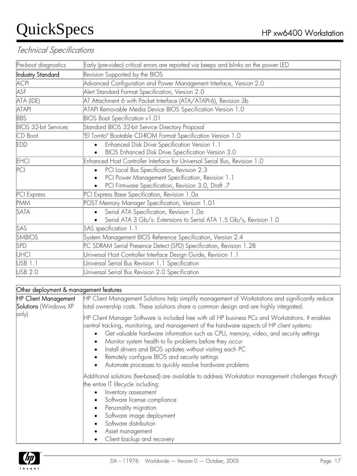#### Technical Specifications

| Pre-boot diagnostics        | Early (pre-video) critical errors are reported via beeps and blinks on the power LED |  |  |  |  |
|-----------------------------|--------------------------------------------------------------------------------------|--|--|--|--|
| Industry Standard           |                                                                                      |  |  |  |  |
|                             | Revision Supported by the BIOS                                                       |  |  |  |  |
| <b>ACPI</b>                 | Advanced Configuration and Power Management Interface, Version 2.0                   |  |  |  |  |
| ASF                         | Alert Standard Format Specification, Version 2.0                                     |  |  |  |  |
| ATA (IDE)                   | AT Attachment 6 with Packet Interface (ATA/ATAPI-6), Revision 3b                     |  |  |  |  |
| <b>ATAPI</b>                | ATAPI Removable Media Device BIOS Specification Version 1.0                          |  |  |  |  |
| <b>BBS</b>                  | BIOS Boot Specification v1.01                                                        |  |  |  |  |
| <b>BIOS 32-bit Services</b> | Standard BIOS 32-bit Service Directory Proposal                                      |  |  |  |  |
| CD Boot                     | "El Torrito" Bootable CD-ROM Format Specification Version 1.0                        |  |  |  |  |
| <b>EDD</b>                  | Enhanced Disk Drive Specification Version 1.1<br>$\bullet$                           |  |  |  |  |
|                             | BIOS Enhanced Disk Drive Specification Version 3.0                                   |  |  |  |  |
| EHCI                        | Enhanced Host Controller Interface for Universal Serial Bus, Revision 1.0            |  |  |  |  |
| PC                          | PCI Local Bus Specification, Revision 2.3<br>$\bullet$                               |  |  |  |  |
|                             | PCI Power Management Specification, Revision 1.1<br>$\bullet$                        |  |  |  |  |
|                             | PCI Firmware Specification, Revision 3.0, Draft .7                                   |  |  |  |  |
| PCI Express                 | PCI Express Base Specification, Revision 1.0a                                        |  |  |  |  |
| <b>PMM</b>                  | POST Memory Manager Specification, Version 1.01                                      |  |  |  |  |
| SATA                        | Serial ATA Specification, Revision 1.0a<br>$\bullet$                                 |  |  |  |  |
|                             | Serial ATA 3 Gb/s: Extensions to Serial ATA 1.5 Gb/s, Revision 1.0                   |  |  |  |  |
| SAS                         | SAS specification 1.1                                                                |  |  |  |  |
| <b>SMBIOS</b>               | System Management BIOS Reference Specification, Version 2.4                          |  |  |  |  |
| <b>SPD</b>                  | PC SDRAM Serial Presence Detect (SPD) Specification, Revision 1.2B                   |  |  |  |  |
| UHCI                        | Universal Host Controller Interface Design Guide, Revision 1.1                       |  |  |  |  |
| USB 1.1                     | Universal Serial Bus Revision 1.1 Specification                                      |  |  |  |  |
| USB 2.0                     | Universal Serial Bus Revision 2.0 Specification                                      |  |  |  |  |
|                             |                                                                                      |  |  |  |  |

#### Other deployment & management features

| <b>HP Client Management</b><br>Solutions (Windows XP | HP Client Management Solutions help simplify management of Workstations and significantly reduce<br>total ownership costs. These solutions share a common design and are highly integrated.                                                                                                                                                                                                                                                                                                                                                                                                 |  |  |  |  |  |
|------------------------------------------------------|---------------------------------------------------------------------------------------------------------------------------------------------------------------------------------------------------------------------------------------------------------------------------------------------------------------------------------------------------------------------------------------------------------------------------------------------------------------------------------------------------------------------------------------------------------------------------------------------|--|--|--|--|--|
| $ only\rangle$                                       | HP Client Manager Software is included free with all HP business PCs and Workstations. It enables<br>central tracking, monitoring, and management of the hardware aspects of HP client systems:<br>Get valuable hardware information such as CPU, memory, video, and security settings<br>$\bullet$<br>Monitor system health to fix problems before they occur<br>$\bullet$<br>Install drivers and BIOS updates without visiting each PC<br>$\bullet$<br>Remotely configure BIOS and security settings<br>$\bullet$<br>Automate processes to quickly resolve hardware problems<br>$\bullet$ |  |  |  |  |  |
|                                                      | Additional solutions (fee-based) are available to address Workstation management challenges through<br>the entire IT lifecycle including:<br>Inventory assessment<br>$\bullet$<br>Software license compliance<br>$\bullet$<br>Personality migration<br>$\bullet$<br>Software image deployment<br>$\bullet$<br>Software distribution<br>$\bullet$<br>Asset management<br>$\bullet$<br>Client backup and recovery                                                                                                                                                                             |  |  |  |  |  |

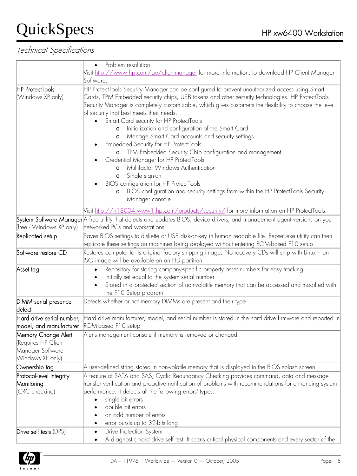|                                                                                      | Problem resolution                                                                                                                                                                                                                                                                                                                                                                                                                                                                                                                                                                                                                                                                                                                                                                                                                                                                                                     |  |  |  |  |  |  |
|--------------------------------------------------------------------------------------|------------------------------------------------------------------------------------------------------------------------------------------------------------------------------------------------------------------------------------------------------------------------------------------------------------------------------------------------------------------------------------------------------------------------------------------------------------------------------------------------------------------------------------------------------------------------------------------------------------------------------------------------------------------------------------------------------------------------------------------------------------------------------------------------------------------------------------------------------------------------------------------------------------------------|--|--|--|--|--|--|
|                                                                                      | Visit <u>http://www.hp.com/qo/clientmanager</u> for more information, to download HP Client Manager                                                                                                                                                                                                                                                                                                                                                                                                                                                                                                                                                                                                                                                                                                                                                                                                                    |  |  |  |  |  |  |
|                                                                                      | Software.                                                                                                                                                                                                                                                                                                                                                                                                                                                                                                                                                                                                                                                                                                                                                                                                                                                                                                              |  |  |  |  |  |  |
| <b>HP ProtectTools</b><br>(Windows XP only)                                          | HP ProtectTools Security Manager can be configured to prevent unauthorized access using Smart<br>Cards, TPM Embedded security chips, USB tokens and other security technologies. HP ProtectTools<br>Security Manager is completely customizable, which gives customers the flexibility to choose the level<br>of security that best meets their needs.<br>Smart Card security for HP ProtectTools<br>Initialization and configuration of the Smart Card<br>$\circ$<br>Manage Smart Card accounts and security settings<br>O<br>Embedded Security for HP ProtectTools<br>o TPM Embedded Security Chip configuration and management<br>Credential Manager for HP ProtectTools<br>Multifactor Windows Authentication<br>$\circ$<br>Single sign-on<br>$\circ$<br>BIOS configuration for HP ProtectTools<br>BIOS configuration and security settings from within the HP ProtectTools Security<br>$\circ$<br>Manager console |  |  |  |  |  |  |
|                                                                                      | Nisit <u>http://h18004.www1.hp.com/products/security/</u> for more information on HP ProtectTools.                                                                                                                                                                                                                                                                                                                                                                                                                                                                                                                                                                                                                                                                                                                                                                                                                     |  |  |  |  |  |  |
|                                                                                      | System Software Manager A free utility that detects and updates BIOS, device drivers, and management agent versions on your                                                                                                                                                                                                                                                                                                                                                                                                                                                                                                                                                                                                                                                                                                                                                                                            |  |  |  |  |  |  |
| (free - Windows XP only)                                                             | networked PCs and workstations                                                                                                                                                                                                                                                                                                                                                                                                                                                                                                                                                                                                                                                                                                                                                                                                                                                                                         |  |  |  |  |  |  |
| Replicated setup                                                                     | Saves BIOS settings to diskette or USB disk-on-key in human readable file. Repset.exe utility can then<br>replicate these settings on machines being deployed without entering ROM-based F10 setup                                                                                                                                                                                                                                                                                                                                                                                                                                                                                                                                                                                                                                                                                                                     |  |  |  |  |  |  |
| Software restore CD                                                                  | Restores computer to its original factory shipping image; No recovery CDs will ship with Linux – an<br>ISO image will be available on an HD partition.                                                                                                                                                                                                                                                                                                                                                                                                                                                                                                                                                                                                                                                                                                                                                                 |  |  |  |  |  |  |
| Asset tag                                                                            | Repository for storing company-specific property asset numbers for easy tracking<br>$\bullet$<br>Initially set equal to the system serial number<br>Stored in a protected section of non-volatile memory that can be accessed and modified with<br>the F10 Setup program                                                                                                                                                                                                                                                                                                                                                                                                                                                                                                                                                                                                                                               |  |  |  |  |  |  |
| DIMM serial presence<br>detect                                                       | Detects whether or not memory DIMMs are present and their type                                                                                                                                                                                                                                                                                                                                                                                                                                                                                                                                                                                                                                                                                                                                                                                                                                                         |  |  |  |  |  |  |
| model, and manufacturer ROM-based F10 setup                                          | Hard drive serial number, Hard drive manufacturer, model, and serial number is stored in the hard drive firmware and reported in                                                                                                                                                                                                                                                                                                                                                                                                                                                                                                                                                                                                                                                                                                                                                                                       |  |  |  |  |  |  |
| Memory Change Alert<br>(Requires HP Client<br>Manager Software –<br>Windows XP only) | Alerts management console if memory is removed or changed                                                                                                                                                                                                                                                                                                                                                                                                                                                                                                                                                                                                                                                                                                                                                                                                                                                              |  |  |  |  |  |  |
| Ownership tag                                                                        | $\mathsf A$ user-defined string stored in non-volatile memory that is displayed in the BIOS splash screen                                                                                                                                                                                                                                                                                                                                                                                                                                                                                                                                                                                                                                                                                                                                                                                                              |  |  |  |  |  |  |
| Protocol-level Integrity<br>Monitoring<br>(CRC checking)                             | A feature of SATA and SAS, Cyclic Redundancy Checking provides command, data and message<br>$ $ ransfer verification and proactive notification of problems with recommendations for enhancing system<br>performance. It detects all the following errors' types:<br>single bit errors<br>double bit errors<br>an odd number of errors<br>error bursts up to 32-bits long                                                                                                                                                                                                                                                                                                                                                                                                                                                                                                                                              |  |  |  |  |  |  |
| Drive self tests (DPS)                                                               | Drive Protection System<br>$\bullet$<br>A diagnostic hard drive self test. It scans critical physical components and every sector of the                                                                                                                                                                                                                                                                                                                                                                                                                                                                                                                                                                                                                                                                                                                                                                               |  |  |  |  |  |  |

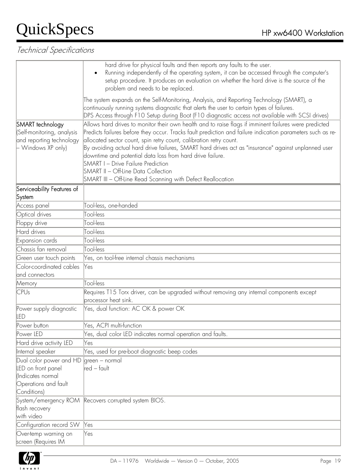|                                                                                                  | hard drive for physical faults and then reports any faults to the user.<br>Running independently of the operating system, it can be accessed through the computer's<br>$\bullet$<br>setup procedure. It produces an evaluation on whether the hard drive is the source of the<br>problem and needs to be replaced.                                                                                                                                                                                                                                                                                               |  |  |  |  |  |
|--------------------------------------------------------------------------------------------------|------------------------------------------------------------------------------------------------------------------------------------------------------------------------------------------------------------------------------------------------------------------------------------------------------------------------------------------------------------------------------------------------------------------------------------------------------------------------------------------------------------------------------------------------------------------------------------------------------------------|--|--|--|--|--|
|                                                                                                  | [The system expands on the Self-Monitoring, Analysis, and Reporting Technology (SMART), a<br>continuously running systems diagnostic that alerts the user to certain types of failures.<br>DPS Access through F10 Setup during Boot (F10 diagnostic access not available with SCSI drives)                                                                                                                                                                                                                                                                                                                       |  |  |  |  |  |
| SMART technology<br>(Self-monitoring, analysis<br>and reporting technology<br>- Windows XP only) | Allows hard drives to monitor their own health and to raise flags if imminent failures were predicted<br>Predicts failures before they occur. Tracks fault prediction and failure indication parameters such as re-<br>allocated sector count, spin retry count, calibration retry count.<br>By avoiding actual hard drive failures, SMART hard drives act as "insurance" against unplanned user<br>downtime and potential data loss from hard drive failure.<br><b>SMART I - Drive Failure Prediction</b><br>SMART II – Off-Line Data Collection<br>SMART III - Off-Line Read Scanning with Defect Reallocation |  |  |  |  |  |
| Serviceability Features of<br>System                                                             |                                                                                                                                                                                                                                                                                                                                                                                                                                                                                                                                                                                                                  |  |  |  |  |  |
| Access panel                                                                                     | Tool-less, one-handed                                                                                                                                                                                                                                                                                                                                                                                                                                                                                                                                                                                            |  |  |  |  |  |
| Optical drives                                                                                   | Tool-less                                                                                                                                                                                                                                                                                                                                                                                                                                                                                                                                                                                                        |  |  |  |  |  |
| Floppy drive                                                                                     | Tool-less                                                                                                                                                                                                                                                                                                                                                                                                                                                                                                                                                                                                        |  |  |  |  |  |
| Hard drives                                                                                      | Tool-less                                                                                                                                                                                                                                                                                                                                                                                                                                                                                                                                                                                                        |  |  |  |  |  |
| Expansion cards                                                                                  | Tool-less                                                                                                                                                                                                                                                                                                                                                                                                                                                                                                                                                                                                        |  |  |  |  |  |
| Chassis fan removal                                                                              | Tool-less                                                                                                                                                                                                                                                                                                                                                                                                                                                                                                                                                                                                        |  |  |  |  |  |
| Green user touch points                                                                          | Yes, on tool-free internal chassis mechanisms                                                                                                                                                                                                                                                                                                                                                                                                                                                                                                                                                                    |  |  |  |  |  |
| Color-coordinated cables                                                                         | Yes                                                                                                                                                                                                                                                                                                                                                                                                                                                                                                                                                                                                              |  |  |  |  |  |
| and connectors                                                                                   |                                                                                                                                                                                                                                                                                                                                                                                                                                                                                                                                                                                                                  |  |  |  |  |  |
| Memory                                                                                           | Tool-less                                                                                                                                                                                                                                                                                                                                                                                                                                                                                                                                                                                                        |  |  |  |  |  |
| CPUs                                                                                             | Requires T15 Torx driver, can be upgraded without removing any internal components except<br>processor heat sink.                                                                                                                                                                                                                                                                                                                                                                                                                                                                                                |  |  |  |  |  |
| Power supply diagnostic<br>led                                                                   | Yes, dual function: AC OK & power OK                                                                                                                                                                                                                                                                                                                                                                                                                                                                                                                                                                             |  |  |  |  |  |
| Power button                                                                                     | Yes, ACPI multi-function                                                                                                                                                                                                                                                                                                                                                                                                                                                                                                                                                                                         |  |  |  |  |  |
| Power LED                                                                                        | Yes, dual color LED indicates normal operation and faults.                                                                                                                                                                                                                                                                                                                                                                                                                                                                                                                                                       |  |  |  |  |  |
| Hard drive activity LED                                                                          | Yes                                                                                                                                                                                                                                                                                                                                                                                                                                                                                                                                                                                                              |  |  |  |  |  |
| Internal speaker                                                                                 | Yes, used for pre-boot diagnostic beep codes                                                                                                                                                                                                                                                                                                                                                                                                                                                                                                                                                                     |  |  |  |  |  |
| Dual color power and HD<br>LED on front panel<br>(Indicates normal                               | lareen - normal<br>red – fault                                                                                                                                                                                                                                                                                                                                                                                                                                                                                                                                                                                   |  |  |  |  |  |
| Operations and fault<br>Conditions)                                                              |                                                                                                                                                                                                                                                                                                                                                                                                                                                                                                                                                                                                                  |  |  |  |  |  |
| flash recovery<br>with video                                                                     | System/emergency ROM Recovers corrupted system BIOS.                                                                                                                                                                                                                                                                                                                                                                                                                                                                                                                                                             |  |  |  |  |  |
| Configuration record SW                                                                          | Yes                                                                                                                                                                                                                                                                                                                                                                                                                                                                                                                                                                                                              |  |  |  |  |  |
| Over-temp warning on<br>screen (Requires IM                                                      | Yes                                                                                                                                                                                                                                                                                                                                                                                                                                                                                                                                                                                                              |  |  |  |  |  |

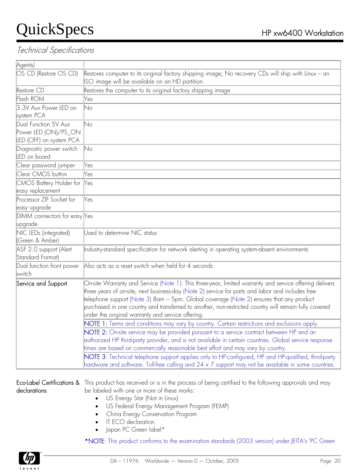#### Technical Specifications

| Agents)                                    |                                                                                                                                                        |
|--------------------------------------------|--------------------------------------------------------------------------------------------------------------------------------------------------------|
| OS CD (Restore OS CD)                      | Restores computer to its original factory shipping image; No recovery CDs will ship with Linux – an<br>ISO image will be available on an HD partition. |
| Restore CD                                 | Restores the computer to its original factory shipping image                                                                                           |
| Flash ROM                                  | Yes                                                                                                                                                    |
| 3.3V Aux Power LED on                      | No                                                                                                                                                     |
| system PCA                                 |                                                                                                                                                        |
| Dual Function 5V Aux                       | No                                                                                                                                                     |
| Power LED (ON)/PS_ON                       |                                                                                                                                                        |
| LED (OFF) on system PCA                    |                                                                                                                                                        |
| Diagnostic power switch<br>LED on board    | No                                                                                                                                                     |
|                                            |                                                                                                                                                        |
| Clear password jumper<br>Clear CMOS button | Yes                                                                                                                                                    |
|                                            | Yes                                                                                                                                                    |
| CMOS Battery Holder for                    | $\aleph$ es                                                                                                                                            |
| easy replacement                           |                                                                                                                                                        |
| Processor ZIF Socket for                   | Yes                                                                                                                                                    |
| easy upgrade                               |                                                                                                                                                        |
| DIMM connectors for easy Yes<br>upgrade    |                                                                                                                                                        |
| NIC LEDs (integrated)                      | Used to determine NIC status                                                                                                                           |
| (Green & Amber)                            |                                                                                                                                                        |
| ASF 2.0 support (Alert                     | Industry-standard specification for network alerting in operating system-absent environments                                                           |
| Standard Format)                           |                                                                                                                                                        |
| Dual function front power                  | Also acts as a reset switch when held for 4 seconds                                                                                                    |
| switch                                     |                                                                                                                                                        |
| Service and Support                        | On-site Warranty and Service (Note 1): This three-year, limited warranty and service offering delivers                                                 |
|                                            | three years of on-site, next business-day (Note 2) service for parts and labor and includes free                                                       |
|                                            | telephone support (Note 3) 8am – 5pm. Global coverage (Note 2) ensures that any product                                                                |
|                                            | purchased in one country and transferred to another, non-restricted country will remain fully covered                                                  |
|                                            | under the original warranty and service offering.                                                                                                      |
|                                            | NOTE 1: Terms and conditions may vary by country. Certain restrictions and exclusions apply.                                                           |
|                                            | NOTE 2: On-site service may be provided pursuant to a service contract between HP and an                                                               |
|                                            | authorized HP third-party provider, and is not available in certain countries. Global service response                                                 |
|                                            | times are based on commercially reasonable best effort and may vary by country.                                                                        |
|                                            | NOTE 3: Technical telephone support applies only to HP-configured, HP and HP-qualified, third-party                                                    |
|                                            | $\parallel$ hardware and software. Toll-free calling and 24 x 7 support may not be available in some countries.                                        |
|                                            |                                                                                                                                                        |

**Eco-Label Certifications &** This product has received or is in the process of being certified to the following approvals and may declarations be labeled with one or more of these marks:

- US Energy Star (Not in Linux)
- US Federal Energy Management Program (FEMP)
- China Energy Conservation Program
- IT ECO declaration
- Japan PC Green label\*

\*NOTE: This product conforms to the examination standards (2003 version) under JEITA's 'PC Green

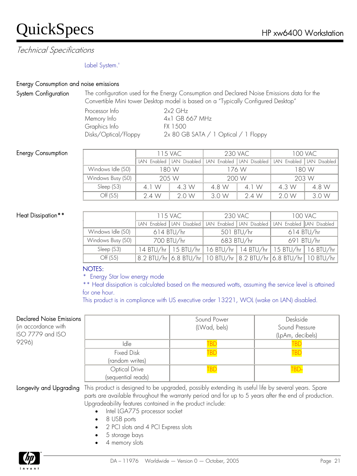Technical Specifications

#### Label System.'

#### Energy Consumption and noise emissions

System Configuration The configuration used for the Energy Consumption and Declared Noise Emissions data for the Convertible Mini tower Desktop model is based on a "Typically Configured Desktop"

| 2x2 GHz                              |
|--------------------------------------|
| 4x1 GB 667 MHz                       |
| FX 1.500                             |
| 2x 80 GB SATA / 1 Optical / 1 Floppy |
|                                      |

#### Energy Consumption

|                   | 115 VAC     |              | <b>230 VAC</b> |                                                         | 100 VAC |       |
|-------------------|-------------|--------------|----------------|---------------------------------------------------------|---------|-------|
|                   | IAN Fnabled | LAN Disabled |                | LAN Enabled   LAN Disabled   LAN Enabled   LAN Disabled |         |       |
| Windows Idle (SO) | 180 W       |              | 176 W          |                                                         | 1 80 W  |       |
| Windows Busy (SO) | 205 W       |              | 200 W          |                                                         | 203 W   |       |
| Sleep (S3)        | 4 1 W       | 4.3 W        | 4.8 W          | 4 1 W                                                   | 4.3 W   | 4.8 W |
| Off (S5)          | 24W         | 2.0 W        | 3.0 W          | 2.4 W                                                   | 20W     | 3.0 W |

#### Heat Dissipation\*\*

|                   | 115 VAC      |  | <b>230 VAC</b> |                                                                            | <b>100 VAC</b> |  |
|-------------------|--------------|--|----------------|----------------------------------------------------------------------------|----------------|--|
|                   |              |  |                | LAN Enabled LAN Disabled LAN Enabled LAN Disabled LAN Enabled LAN Disabled |                |  |
| Windows Idle (SO) | $614$ BTU/hr |  | 501 BTU/hr     |                                                                            | $614$ BTU/hr   |  |
| Windows Busy (SO) | 700 BTU/hr   |  | 683 BTU/hr     |                                                                            | 691 BTU/hr     |  |
| Sleep (S3)        |              |  |                | 14 BTU/hr   15 BTU/hr   16 BTU/hr   14 BTU/hr   15 BTU/hr   16 BTU/hr      |                |  |
| Off (S5)          |              |  |                | 8.2 BTU/hr 6.8 BTU/hr 10 BTU/hr 8.2 BTU/hr 6.8 BTU/hr 10 BTU/hr            |                |  |

#### NOTES:

\* Energy Star low energy mode

\*\* Heat dissipation is calculated based on the measured watts, assuming the service level is attained for one hour.

This product is in compliance with US executive order 13221, WOL (wake on LAN) disabled.

#### Declared Noise Emission

(in accordance with ISO 7779 and ISO 9296)

| ۱S |                    | Sound Power<br>(LWad, bels) | Deskside<br>Sound Pressure<br>(LpAm, decibels) |
|----|--------------------|-----------------------------|------------------------------------------------|
|    | Idle               | ΒI                          | TBC                                            |
|    | <b>Fixed Disk</b>  | <b>BD</b>                   | <b>TBD</b>                                     |
|    | (random writes)    |                             |                                                |
|    | Optical Drive      | BI                          |                                                |
|    | (sequential reads) |                             |                                                |

Longevity and Upgrading This product is designed to be upgraded, possibly extending its useful life by several years. Spare parts are available throughout the warranty period and for up to 5 years after the end of production. Upgradeability features contained in the product include:

- Intel LGA775 processor socket
- 8 USB ports
- 2 PCI slots and 4 PCI Express slots
- 5 storage bays
- 4 memory slots

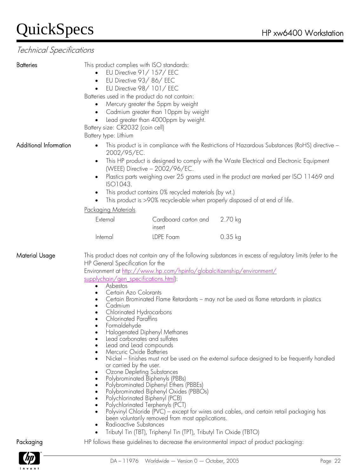| This product is in compliance with the Restrictions of Hazardous Substances (RoHS) directive -<br>$\bullet$<br>2002/95/EC.<br>This HP product is designed to comply with the Waste Electrical and Electronic Equipment<br>(WEEE) Directive - 2002/96/EC.<br>Plastics parts weighing over 25 grams used in the product are marked per ISO 11469 and<br>ISO1043.<br>This product contains 0% recycled materials (by wt.)<br>This product is >90% recycle-able when properly disposed of at end of life.<br><u>Packaging Materials</u><br>Cardboard carton and<br>2.70 kg<br>External<br>insert<br>LDPE Foam<br>$0.35$ kg<br>Internal<br>This product does not contain any of the following substances in excess of regulatory limits (refer to the<br>HP General Specification for the<br>Environment at http://www.hp.com/hpinfo/globalcitizenship/environment/<br>supplychain/gen specifications.html):<br>Asbestos<br>$\bullet$<br>Certain Azo Colorants<br>$\bullet$<br>Certain Brominated Flame Retardants - may not be used as flame retardants in plastics<br>Cadmium<br>Chlorinated Hydrocarbons<br><b>Chlorinated Paraffins</b><br>Formaldehyde<br>Halogenated Diphenyl Methanes<br>Lead carbonates and sulfates<br>Lead and Lead compounds<br>Mercuric Oxide Batteries<br>Nickel – finishes must not be used on the external surface designed to be frequently handled<br>or carried by the user.<br>Ozone Depleting Substances<br>Polybrominated Biphenyls (PBBs)<br>Polybrominated Diphenyl Ethers (PBBEs)<br>Polybrominated Biphenyl Oxides (PBBOs)<br>Polychlorinated Biphenyl (PCB)<br>Polychlorinated Terphenyls (PCT)<br>Polyvinyl Chloride (PVC) – except for wires and cables, and certain retail packaging has<br>been voluntarily removed from most applications.<br>Radioactive Substances<br>Tributyl Tin (TBT), Triphenyl Tin (TPT), Tributyl Tin Oxide (TBTO)<br>HP follows these guidelines to decrease the environmental impact of product packaging: | <b>Batteries</b>       | $\bullet$<br>$\bullet$<br>Battery size: CR2032 (coin cell)<br>Battery type: Lithium | This product complies with ISO standards:<br>EU Directive 91/157/EEC<br>EU Directive 93/86/EEC<br>EU Directive 98/101/EEC<br>Batteries used in the product do not contain:<br>Mercury greater the 5ppm by weight<br>Cadmium greater than 10ppm by weight<br>Lead greater than 4000ppm by weight. |  |  |  |  |  |
|--------------------------------------------------------------------------------------------------------------------------------------------------------------------------------------------------------------------------------------------------------------------------------------------------------------------------------------------------------------------------------------------------------------------------------------------------------------------------------------------------------------------------------------------------------------------------------------------------------------------------------------------------------------------------------------------------------------------------------------------------------------------------------------------------------------------------------------------------------------------------------------------------------------------------------------------------------------------------------------------------------------------------------------------------------------------------------------------------------------------------------------------------------------------------------------------------------------------------------------------------------------------------------------------------------------------------------------------------------------------------------------------------------------------------------------------------------------------------------------------------------------------------------------------------------------------------------------------------------------------------------------------------------------------------------------------------------------------------------------------------------------------------------------------------------------------------------------------------------------------------------------------------------------------------------------------------------------------------------|------------------------|-------------------------------------------------------------------------------------|--------------------------------------------------------------------------------------------------------------------------------------------------------------------------------------------------------------------------------------------------------------------------------------------------|--|--|--|--|--|
|                                                                                                                                                                                                                                                                                                                                                                                                                                                                                                                                                                                                                                                                                                                                                                                                                                                                                                                                                                                                                                                                                                                                                                                                                                                                                                                                                                                                                                                                                                                                                                                                                                                                                                                                                                                                                                                                                                                                                                                | Additional Information |                                                                                     |                                                                                                                                                                                                                                                                                                  |  |  |  |  |  |
|                                                                                                                                                                                                                                                                                                                                                                                                                                                                                                                                                                                                                                                                                                                                                                                                                                                                                                                                                                                                                                                                                                                                                                                                                                                                                                                                                                                                                                                                                                                                                                                                                                                                                                                                                                                                                                                                                                                                                                                |                        |                                                                                     |                                                                                                                                                                                                                                                                                                  |  |  |  |  |  |
|                                                                                                                                                                                                                                                                                                                                                                                                                                                                                                                                                                                                                                                                                                                                                                                                                                                                                                                                                                                                                                                                                                                                                                                                                                                                                                                                                                                                                                                                                                                                                                                                                                                                                                                                                                                                                                                                                                                                                                                |                        |                                                                                     |                                                                                                                                                                                                                                                                                                  |  |  |  |  |  |
|                                                                                                                                                                                                                                                                                                                                                                                                                                                                                                                                                                                                                                                                                                                                                                                                                                                                                                                                                                                                                                                                                                                                                                                                                                                                                                                                                                                                                                                                                                                                                                                                                                                                                                                                                                                                                                                                                                                                                                                | Material Usage         |                                                                                     |                                                                                                                                                                                                                                                                                                  |  |  |  |  |  |
|                                                                                                                                                                                                                                                                                                                                                                                                                                                                                                                                                                                                                                                                                                                                                                                                                                                                                                                                                                                                                                                                                                                                                                                                                                                                                                                                                                                                                                                                                                                                                                                                                                                                                                                                                                                                                                                                                                                                                                                | Packaging              |                                                                                     |                                                                                                                                                                                                                                                                                                  |  |  |  |  |  |

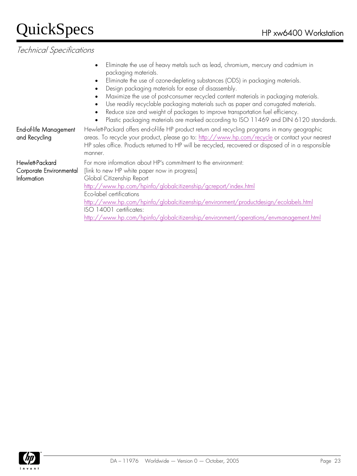| End-of-life Management<br>and Recycling                   | Eliminate the use of heavy metals such as lead, chromium, mercury and cadmium in<br>$\bullet$<br>packaging materials.<br>Eliminate the use of ozone-depleting substances (ODS) in packaging materials.<br>$\bullet$<br>Design packaging materials for ease of disassembly.<br>Maximize the use of post-consumer recycled content materials in packaging materials.<br>$\bullet$<br>Use readily recyclable packaging materials such as paper and corrugated materials.<br>Reduce size and weight of packages to improve transportation fuel efficiency.<br>$\bullet$<br>Plastic packaging materials are marked according to ISO 11469 and DIN 6120 standards.<br>$\bullet$<br>Hewlett-Packard offers end-of-life HP product return and recycling programs in many geographic<br>areas. To recycle your product, please go to: http://www.hp.com/recycle or contact your nearest<br>HP sales office. Products returned to HP will be recycled, recovered or disposed of in a responsible |
|-----------------------------------------------------------|----------------------------------------------------------------------------------------------------------------------------------------------------------------------------------------------------------------------------------------------------------------------------------------------------------------------------------------------------------------------------------------------------------------------------------------------------------------------------------------------------------------------------------------------------------------------------------------------------------------------------------------------------------------------------------------------------------------------------------------------------------------------------------------------------------------------------------------------------------------------------------------------------------------------------------------------------------------------------------------|
| Hewlett-Packard<br>Corporate Environmental<br>Information | manner.<br>For more information about HP's commitment to the environment:<br>[link to new HP white paper now in progress]<br>Global Citizenship Report<br>http://www.hp.com/hpinfo/globalcitizenship/gcreport/index.html<br>Eco-label certifications<br>http://www.hp.com/hpinfo/globalcitizenship/environment/productdesign/ecolabels.html<br>ISO 14001 certificates:<br>http://www.hp.com/hpinfo/qlobalcitizenship/environment/operations/envmanagement.html                                                                                                                                                                                                                                                                                                                                                                                                                                                                                                                         |

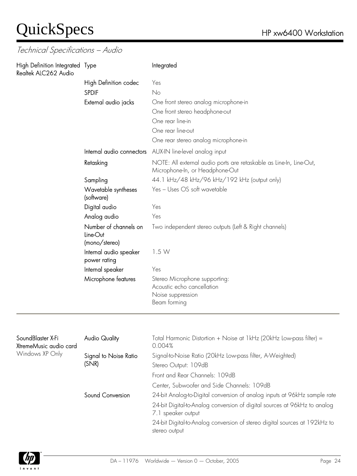Technical Specifications – Audio

| High Definition Integrated Type<br>Realtek ALC262 Audio |                                                    | Integrated                                                                                             |
|---------------------------------------------------------|----------------------------------------------------|--------------------------------------------------------------------------------------------------------|
|                                                         | High Definition codec                              | Yes                                                                                                    |
|                                                         | <b>SPDIF</b>                                       | No                                                                                                     |
|                                                         | External audio jacks                               | One front stereo analog microphone-in                                                                  |
|                                                         |                                                    | One front stereo headphone-out                                                                         |
|                                                         |                                                    | One rear line-in                                                                                       |
|                                                         |                                                    | One rear line-out                                                                                      |
|                                                         |                                                    | One rear stereo analog microphone-in                                                                   |
|                                                         | Internal audio connectors                          | AUX-IN line-level analog input                                                                         |
|                                                         | Retasking                                          | NOTE: All external audio ports are retaskable as Line-In, Line-Out,<br>Microphone-In, or Headphone-Out |
|                                                         | Sampling                                           | 44.1 kHz/48 kHz/96 kHz/192 kHz (output only)                                                           |
|                                                         | Wavetable syntheses<br>(software)                  | Yes - Uses OS soft wavetable                                                                           |
|                                                         | Digital audio                                      | Yes                                                                                                    |
|                                                         | Analog audio                                       | Yes                                                                                                    |
|                                                         | Number of channels on<br>Line-Out<br>(mono/stereo) | Two independent stereo outputs (Left & Right channels)                                                 |
|                                                         | Internal audio speaker<br>power rating             | 1.5W                                                                                                   |
|                                                         | Internal speaker                                   | Yes                                                                                                    |
|                                                         | Microphone features                                | Stereo Microphone supporting:<br>Acoustic echo cancellation<br>Noise suppression<br>Beam forming       |

| SoundBlaster X-Fi<br>XtremeMusic audio card | Audio Quality         | Total Harmonic Distortion + Noise at 1kHz (20kHz Low-pass filter) =<br>0.004%                   |
|---------------------------------------------|-----------------------|-------------------------------------------------------------------------------------------------|
| Windows XP Only                             | Signal to Noise Ratio | Signal-to-Noise Ratio (20kHz Low-pass filter, A-Weighted)                                       |
|                                             | (SNR)                 | Stereo Output: 109dB                                                                            |
|                                             |                       | Front and Rear Channels: 109dB                                                                  |
|                                             |                       | Center, Subwoofer and Side Channels: 109dB                                                      |
|                                             | Sound Conversion      | 24-bit Analog-to-Digital conversion of analog inputs at 96kHz sample rate                       |
|                                             |                       | 24-bit Digital-to-Analog conversion of digital sources at 96kHz to analog<br>7.1 speaker output |
|                                             |                       | 24-bit Digital-to-Analog conversion of stereo digital sources at 192kHz to<br>stereo output     |
|                                             |                       |                                                                                                 |

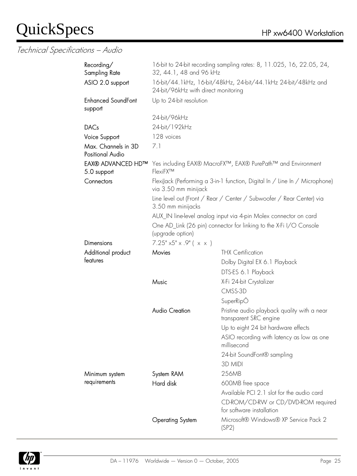#### Technical Specifications – Audio

| Recording/<br>Sampling Rate             | 16-bit to 24-bit recording sampling rates: 8, 11.025, 16, 22.05, 24,<br>32, 44.1, 48 and 96 kHz      |                                                                             |  |  |  |
|-----------------------------------------|------------------------------------------------------------------------------------------------------|-----------------------------------------------------------------------------|--|--|--|
| ASIO 2.0 support                        | 16-bit/44.1kHz, 16-bit/48kHz, 24-bit/44.1kHz 24-bit/48kHz and<br>24-bit/96kHz with direct monitoring |                                                                             |  |  |  |
| <b>Enhanced SoundFont</b><br>support    | Up to 24-bit resolution                                                                              |                                                                             |  |  |  |
|                                         | 24-bit/96kHz                                                                                         |                                                                             |  |  |  |
| <b>DACs</b>                             | 24-bit/192kHz                                                                                        |                                                                             |  |  |  |
| Voice Support                           | 128 voices                                                                                           |                                                                             |  |  |  |
| Max. Channels in 3D<br>Positional Audio | 7.1                                                                                                  |                                                                             |  |  |  |
| <b>EAX® ADVANCED HD™</b><br>5.0 support | FlexiFX™                                                                                             | Yes including EAX® MacroFX™, EAX® PurePath™ and Environment                 |  |  |  |
| Connectors                              | via 3.50 mm minijack                                                                                 | FlexiJack (Performing a 3-in-1 function, Digital In / Line In / Microphone) |  |  |  |
|                                         | 3.50 mm minijacks                                                                                    | Line level out (Front / Rear / Center / Subwoofer / Rear Center) via        |  |  |  |
|                                         |                                                                                                      | AUX_IN line-level analog input via 4-pin Molex connector on card            |  |  |  |
|                                         | (upgrade option)                                                                                     | One AD_Link (26 pin) connector for linking to the X-Fi I/O Console          |  |  |  |
| Dimensions                              | $7.25" \times 5" \times .9" ( \times \times )$                                                       |                                                                             |  |  |  |
| Additional product                      | <b>Movies</b>                                                                                        | <b>THX Certification</b>                                                    |  |  |  |
| features                                |                                                                                                      | Dolby Digital EX 6.1 Playback                                               |  |  |  |
|                                         |                                                                                                      | DTS-ES 6.1 Playback                                                         |  |  |  |
|                                         | Music                                                                                                | X-Fi 24-bit Crystalizer                                                     |  |  |  |
|                                         |                                                                                                      | CMSS-3D                                                                     |  |  |  |
|                                         |                                                                                                      | SuperRipÔ                                                                   |  |  |  |
|                                         | <b>Audio Creation</b>                                                                                | Pristine audio playback quality with a near<br>transparent SRC engine       |  |  |  |
|                                         |                                                                                                      | Up to eight 24 bit hardware effects                                         |  |  |  |
|                                         |                                                                                                      | ASIO recording with latency as low as one<br>millisecond                    |  |  |  |
|                                         |                                                                                                      | 24-bit SoundFont® sampling                                                  |  |  |  |
|                                         |                                                                                                      | 3D MIDI                                                                     |  |  |  |
| Minimum system                          | System RAM                                                                                           | 256MB                                                                       |  |  |  |
| requirements                            | Hard disk                                                                                            | 600MB free space                                                            |  |  |  |
|                                         |                                                                                                      | Available PCI 2.1 slot for the audio card                                   |  |  |  |
|                                         |                                                                                                      | CD-ROM/CD-RW or CD/DVD-ROM required<br>for software installation            |  |  |  |
|                                         | <b>Operating System</b>                                                                              | Microsoft® Windows® XP Service Pack 2<br>(SP2)                              |  |  |  |

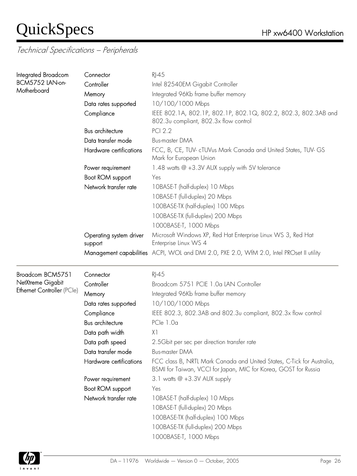| Integrated Broadcom        | Connector                          | $R$ -45                                                                                                                                   |  |  |  |
|----------------------------|------------------------------------|-------------------------------------------------------------------------------------------------------------------------------------------|--|--|--|
| BCM5752 LAN-on-            | Controller                         | Intel 82540EM Gigabit Controller                                                                                                          |  |  |  |
| Motherboard                | Memory                             | Integrated 96Kb frame buffer memory                                                                                                       |  |  |  |
|                            | Data rates supported               | 10/100/1000 Mbps                                                                                                                          |  |  |  |
|                            | Compliance                         | IEEE 802.1A, 802.1P, 802.1P, 802.1Q, 802.2, 802.3, 802.3AB and<br>802.3 <sub>v</sub> compliant, 802.3x flow control                       |  |  |  |
|                            | <b>Bus architecture</b>            | <b>PCI 2.2</b>                                                                                                                            |  |  |  |
|                            | Data transfer mode                 | <b>Bus-master DMA</b>                                                                                                                     |  |  |  |
|                            | Hardware certifications            | FCC, B, CE, TUV- cTUVus Mark Canada and United States, TUV-GS<br>Mark for European Union                                                  |  |  |  |
|                            | Power requirement                  | 1.48 watts @ +3.3V AUX supply with 5V tolerance                                                                                           |  |  |  |
|                            | Boot ROM support                   | Yes                                                                                                                                       |  |  |  |
|                            | Network transfer rate              | 10BASE-T (half-duplex) 10 Mbps                                                                                                            |  |  |  |
|                            |                                    | 10BASE-T (full-duplex) 20 Mbps                                                                                                            |  |  |  |
|                            |                                    | 100BASE-TX (half-duplex) 100 Mbps                                                                                                         |  |  |  |
|                            |                                    | 100BASE-TX (full-duplex) 200 Mbps                                                                                                         |  |  |  |
|                            |                                    | 1000BASE-T, 1000 Mbps                                                                                                                     |  |  |  |
|                            | Operating system driver<br>support | Microsoft Windows XP, Red Hat Enterprise Linux WS 3, Red Hat<br>Enterprise Linux WS 4                                                     |  |  |  |
|                            |                                    | Management capabilities ACPI, WOL and DMI 2.0, PXE 2.0, WfM 2.0, Intel PROset II utility                                                  |  |  |  |
| Broadcom BCM5751           | Connector                          | $RJ-45$                                                                                                                                   |  |  |  |
| NetXtreme Gigabit          | Controller                         | Broadcom 5751 PCIE 1.0a LAN Controller                                                                                                    |  |  |  |
| Ethernet Controller (PCIe) | Memory                             | Integrated 96Kb frame buffer memory                                                                                                       |  |  |  |
|                            | Data rates supported               | 10/100/1000 Mbps                                                                                                                          |  |  |  |
|                            | Compliance                         | IEEE 802.3, 802.3AB and 802.3u compliant, 802.3x flow control                                                                             |  |  |  |
|                            | Bus architecture                   | PCle 1.0a                                                                                                                                 |  |  |  |
|                            | Data path width                    | X1                                                                                                                                        |  |  |  |
|                            | Data path speed                    | 2.5Gbit per sec per direction transfer rate                                                                                               |  |  |  |
|                            | Data transfer mode                 | <b>Bus-master DMA</b>                                                                                                                     |  |  |  |
|                            | Hardware certifications            | FCC class B, NRTL Mark Canada and United States, C-Tick for Australia,<br>BSMI for Taiwan, VCCI for Japan, MIC for Korea, GOST for Russia |  |  |  |
|                            | Power requirement                  | 3.1 watts @ +3.3V AUX supply                                                                                                              |  |  |  |
|                            | Boot ROM support                   | Yes                                                                                                                                       |  |  |  |
|                            | Network transfer rate              | 10BASE-T (half-duplex) 10 Mbps                                                                                                            |  |  |  |
|                            |                                    | 10BASE-T (full-duplex) 20 Mbps                                                                                                            |  |  |  |
|                            |                                    | 100BASE-TX (half-duplex) 100 Mbps                                                                                                         |  |  |  |
|                            |                                    | 100BASE-TX (full-duplex) 200 Mbps                                                                                                         |  |  |  |
|                            |                                    |                                                                                                                                           |  |  |  |

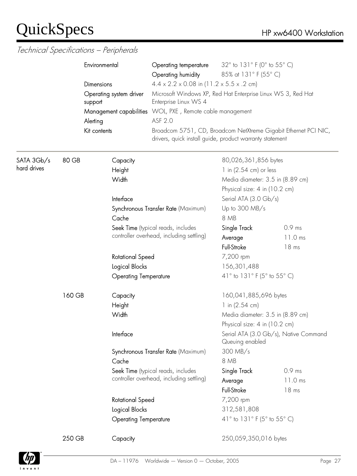|             |        | Environmental                       | 32° to 131° F (0° to 55° C)<br>Operating temperature<br>85% at 131° F (55° C)<br>Operating humidity<br>$4.4 \times 2.2 \times 0.08$ in (11.2 x 5.5 x .2 cm) |                                                                   |                                                                 |                 |                                       |
|-------------|--------|-------------------------------------|-------------------------------------------------------------------------------------------------------------------------------------------------------------|-------------------------------------------------------------------|-----------------------------------------------------------------|-----------------|---------------------------------------|
|             |        | Dimensions                          |                                                                                                                                                             |                                                                   |                                                                 |                 |                                       |
|             |        | Operating system driver<br>support  | Microsoft Windows XP, Red Hat Enterprise Linux WS 3, Red Hat<br>Enterprise Linux WS 4<br>WOL, PXE, Remote cable management<br>ASF 2.0                       |                                                                   |                                                                 |                 |                                       |
|             |        | Management capabilities<br>Alerting |                                                                                                                                                             |                                                                   |                                                                 |                 |                                       |
|             |        | Kit contents                        | drivers, quick install guide, product warranty statement                                                                                                    |                                                                   | Broadcom 5751, CD, Broadcom NetXtreme Gigabit Ethernet PCI NIC, |                 |                                       |
| SATA 3Gb/s  | 80 GB  | Capacity                            |                                                                                                                                                             | 80,026,361,856 bytes                                              |                                                                 |                 |                                       |
| hard drives |        | Height                              |                                                                                                                                                             | 1 in (2.54 cm) or less                                            |                                                                 |                 |                                       |
|             |        | Width                               |                                                                                                                                                             | Media diameter: 3.5 in (8.89 cm)                                  |                                                                 |                 |                                       |
|             |        |                                     |                                                                                                                                                             | Physical size: 4 in (10.2 cm)                                     |                                                                 |                 |                                       |
|             |        | Interface                           |                                                                                                                                                             | Serial ATA (3.0 Gb/s)                                             |                                                                 |                 |                                       |
|             |        |                                     | Synchronous Transfer Rate (Maximum)                                                                                                                         | Up to 300 MB/s                                                    |                                                                 |                 |                                       |
|             |        | Cache                               |                                                                                                                                                             | 8 MB                                                              |                                                                 |                 |                                       |
|             |        |                                     | Seek Time (typical reads, includes                                                                                                                          | Single Track                                                      | 0.9 ms                                                          |                 |                                       |
|             |        |                                     | controller overhead, including settling)                                                                                                                    | Average                                                           | 11.0 ms                                                         |                 |                                       |
|             |        |                                     |                                                                                                                                                             | Full-Stroke                                                       | 18 <sub>ms</sub>                                                |                 |                                       |
|             |        | <b>Rotational Speed</b>             |                                                                                                                                                             | 7,200 rpm                                                         |                                                                 |                 |                                       |
|             |        | Logical Blocks                      |                                                                                                                                                             | 156,301,488                                                       |                                                                 |                 |                                       |
|             |        | <b>Operating Temperature</b>        |                                                                                                                                                             | 41 $\degree$ to 131 $\degree$ F (5 $\degree$ to 55 $\degree$ C)   |                                                                 |                 |                                       |
|             | 160 GB | Capacity                            |                                                                                                                                                             | 160,041,885,696 bytes                                             |                                                                 |                 |                                       |
|             |        | Height                              |                                                                                                                                                             | 1 in $(2.54 \text{ cm})$                                          |                                                                 |                 |                                       |
|             |        | Width                               |                                                                                                                                                             | Media diameter: 3.5 in (8.89 cm)<br>Physical size: 4 in (10.2 cm) |                                                                 |                 |                                       |
|             |        |                                     |                                                                                                                                                             | Interface                                                         |                                                                 | Queuing enabled | Serial ATA (3.0 Gb/s), Native Command |
|             |        |                                     | Synchronous Transfer Rate (Maximum)                                                                                                                         | 300 MB/s                                                          |                                                                 |                 |                                       |
|             |        | Cache                               |                                                                                                                                                             | 8 MB                                                              |                                                                 |                 |                                       |
|             |        |                                     | Seek Time (typical reads, includes                                                                                                                          | Single Track                                                      | 0.9 ms                                                          |                 |                                       |
|             |        |                                     | controller overhead, including settling)                                                                                                                    | Average                                                           | 11.0 ms                                                         |                 |                                       |
|             |        |                                     |                                                                                                                                                             | Full-Stroke                                                       | 18 <sub>ms</sub>                                                |                 |                                       |
|             |        | Rotational Speed                    |                                                                                                                                                             | 7,200 rpm                                                         |                                                                 |                 |                                       |
|             |        | Logical Blocks                      |                                                                                                                                                             | 312,581,808                                                       |                                                                 |                 |                                       |
|             |        | <b>Operating Temperature</b>        |                                                                                                                                                             | 41 $\degree$ to 131 $\degree$ F (5 $\degree$ to 55 $\degree$ C)   |                                                                 |                 |                                       |
|             | 250 GB | Capacity                            |                                                                                                                                                             | 250,059,350,016 bytes                                             |                                                                 |                 |                                       |

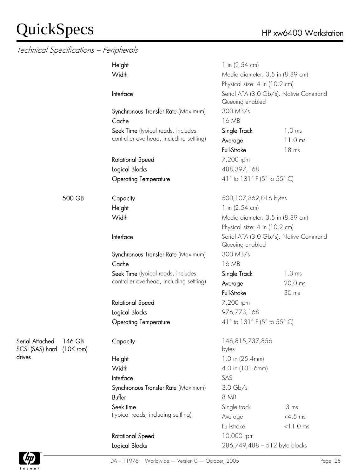Technical Specifications – Peripherals

| Technical Specifications – Peripherais |                       |                                          |                                                                                           |                   |  |
|----------------------------------------|-----------------------|------------------------------------------|-------------------------------------------------------------------------------------------|-------------------|--|
|                                        |                       | Height                                   | 1 in $(2.54 \text{ cm})$                                                                  |                   |  |
|                                        |                       | Width                                    | Media diameter: 3.5 in (8.89 cm)                                                          |                   |  |
|                                        |                       |                                          | Physical size: 4 in (10.2 cm)<br>Serial ATA (3.0 Gb/s), Native Command<br>Queuing enabled |                   |  |
|                                        |                       | Interface                                |                                                                                           |                   |  |
|                                        |                       | Synchronous Transfer Rate (Maximum)      | 300 MB/s                                                                                  |                   |  |
|                                        |                       | Cache                                    | 16 MB                                                                                     |                   |  |
|                                        |                       | Seek Time (typical reads, includes       | Single Track                                                                              | 1.0 <sub>ms</sub> |  |
|                                        |                       | controller overhead, including settling) | Average                                                                                   | $11.0$ ms         |  |
|                                        |                       |                                          | Full-Stroke                                                                               | 18 <sub>ms</sub>  |  |
|                                        |                       | <b>Rotational Speed</b>                  | 7,200 rpm                                                                                 |                   |  |
|                                        |                       | Logical Blocks                           | 488,397,168                                                                               |                   |  |
|                                        |                       | <b>Operating Temperature</b>             | 41 $\degree$ to 131 $\degree$ F (5 $\degree$ to 55 $\degree$ C)                           |                   |  |
|                                        | 500 GB                | Capacity                                 | 500,107,862,016 bytes                                                                     |                   |  |
|                                        |                       | Height                                   | 1 in $(2.54 \text{ cm})$                                                                  |                   |  |
|                                        |                       | Width                                    | Media diameter: 3.5 in (8.89 cm)                                                          |                   |  |
|                                        |                       |                                          | Physical size: 4 in (10.2 cm)                                                             |                   |  |
|                                        |                       | Interface                                | Serial ATA (3.0 Gb/s), Native Command<br>Queuing enabled                                  |                   |  |
|                                        |                       | Synchronous Transfer Rate (Maximum)      | 300 MB/s                                                                                  |                   |  |
|                                        |                       | Cache                                    | 16 MB                                                                                     |                   |  |
|                                        |                       | Seek Time (typical reads, includes       | Single Track                                                                              | $1.3 \text{ ms}$  |  |
|                                        |                       | controller overhead, including settling) | Average                                                                                   | 20.0 ms           |  |
|                                        |                       |                                          | Full-Stroke                                                                               | 30 ms             |  |
|                                        |                       | Rotational Speed                         | 7,200 rpm                                                                                 |                   |  |
|                                        |                       | <b>Logical Blocks</b>                    | 976,773,168                                                                               |                   |  |
|                                        |                       | <b>Operating Temperature</b>             | 41 $\degree$ to 131 $\degree$ F (5 $\degree$ to 55 $\degree$ C)                           |                   |  |
| Serial Attached<br>SCSI (SAS) hard     | 146 GB<br>$(10K$ rpm) | Capacity                                 | 146,815,737,856<br>bytes                                                                  |                   |  |
| drives                                 |                       | Height                                   | 1.0 in (25.4mm)                                                                           |                   |  |
|                                        |                       | Width                                    | 4.0 in (101.6mm)                                                                          |                   |  |
|                                        |                       | Interface                                | SAS                                                                                       |                   |  |
|                                        |                       | Synchronous Transfer Rate (Maximum)      | $3.0 \text{Gb/s}$                                                                         |                   |  |
|                                        |                       | Buffer                                   | 8 MB                                                                                      |                   |  |
|                                        |                       | Seek time                                | Single track                                                                              | .3 <sub>ms</sub>  |  |
|                                        |                       | (typical reads, including settling)      | Average                                                                                   | $<4.5$ ms         |  |
|                                        |                       |                                          | Full-stroke                                                                               | $< 11.0$ ms       |  |
|                                        |                       | Rotational Speed                         | 10,000 rpm                                                                                |                   |  |
|                                        |                       | Logical Blocks                           | 286,749,488 - 512 byte blocks                                                             |                   |  |



drives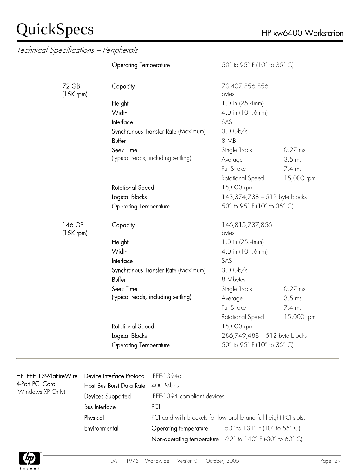|                       | <b>Operating Temperature</b>        | 50° to 95° F (10° to 35° C)   |            |
|-----------------------|-------------------------------------|-------------------------------|------------|
| 72 GB<br>$(15K$ rpm)  | Capacity                            | 73,407,856,856<br>bytes       |            |
|                       | Height                              | 1.0 in (25.4mm)               |            |
|                       | Width                               | 4.0 in (101.6mm)              |            |
|                       | Interface                           | SAS                           |            |
|                       | Synchronous Transfer Rate (Maximum) | $3.0 \text{Gb/s}$             |            |
|                       | Buffer                              | 8 MB                          |            |
|                       | Seek Time                           | Single Track                  | 0.27 ms    |
|                       | (typical reads, including settling) | Average                       | $3.5$ ms   |
|                       |                                     | Full-Stroke                   | 7.4 ms     |
|                       |                                     | Rotational Speed              | 15,000 rpm |
|                       | Rotational Speed                    | 15,000 rpm                    |            |
|                       | Logical Blocks                      | 143,374,738 - 512 byte blocks |            |
|                       | <b>Operating Temperature</b>        | 50° to 95° F (10° to 35° C)   |            |
| 146 GB<br>$(15K$ rpm) | Capacity                            | 146,815,737,856<br>bytes      |            |
|                       | Height                              | 1.0 in (25.4mm)               |            |
|                       | Width                               | 4.0 in (101.6mm)              |            |
|                       | Interface                           | SAS                           |            |
|                       | Synchronous Transfer Rate (Maximum) | $3.0 \text{Gb/s}$             |            |
|                       | Buffer                              | 8 Mbytes                      |            |
|                       | Seek Time                           | Single Track                  | $0.27$ ms  |
|                       | (typical reads, including settling) | Average                       | 3.5 ms     |
|                       |                                     | Full-Stroke                   | 7.4 ms     |
|                       |                                     | Rotational Speed              | 15,000 rpm |
|                       | <b>Rotational Speed</b>             | 15,000 rpm                    |            |
|                       | Logical Blocks                      | 286,749,488 - 512 byte blocks |            |
|                       | <b>Operating Temperature</b>        | 50° to 95° F (10° to 35° C)   |            |

| HP IEEE 1394aFireWire<br>4-Port PCI Card<br>(Windows XP Only) | Device Interface Protocol IEEE-1394a |                                                                   |                                                                      |  |
|---------------------------------------------------------------|--------------------------------------|-------------------------------------------------------------------|----------------------------------------------------------------------|--|
|                                                               | Host Bus Burst Data Rate 400 Mbps    |                                                                   |                                                                      |  |
|                                                               | Devices Supported                    | IEEE-1394 compliant devices<br>PCI                                |                                                                      |  |
|                                                               | <b>Bus Interface</b>                 |                                                                   |                                                                      |  |
|                                                               | Physical                             | PCI card with brackets for low profile and full height PCI slots. |                                                                      |  |
|                                                               | Environmental                        | Operating temperature                                             | 50 $^{\circ}$ to 131 $^{\circ}$ F (10 $^{\circ}$ to 55 $^{\circ}$ C) |  |
|                                                               |                                      | Non-operating temperature                                         | $-22^{\circ}$ to 140° F (-30° to 60° C)                              |  |
|                                                               |                                      |                                                                   |                                                                      |  |

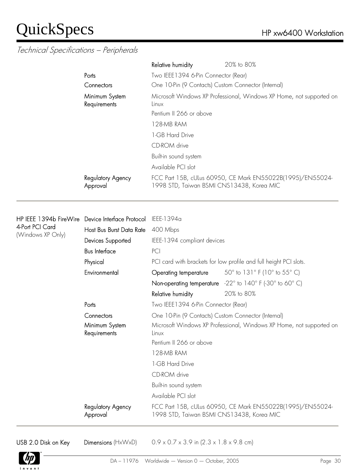#### Technical Specifications – Peripherals

|                                | Relative humidity                                   | 20% to 80%                                                           |  |
|--------------------------------|-----------------------------------------------------|----------------------------------------------------------------------|--|
| Ports                          | Two IEEE1394 6-Pin Connector (Rear)                 |                                                                      |  |
| Connectors                     | One 10-Pin (9 Contacts) Custom Connector (Internal) |                                                                      |  |
| Minimum System<br>Requirements | Linux                                               | Microsoft Windows XP Professional, Windows XP Home, not supported on |  |
|                                | Pentium II 266 or above                             |                                                                      |  |
|                                | 128-MB RAM                                          |                                                                      |  |
|                                | 1-GB Hard Drive                                     |                                                                      |  |
|                                | CD-ROM drive                                        |                                                                      |  |
|                                | Built-in sound system                               |                                                                      |  |
|                                | Available PCI slot                                  |                                                                      |  |
| Regulatory Agency<br>Approval  | 1998 STD, Taiwan BSMI CNS13438, Korea MIC           | FCC Part 15B, cULus 60950, CE Mark EN55022B(1995)/EN55024-           |  |

| HP IEEE 1394b FireWire                       | Device Interface Protocol     | IEEE-1394a                                                           |                                                                      |  |
|----------------------------------------------|-------------------------------|----------------------------------------------------------------------|----------------------------------------------------------------------|--|
| 4-Port PCI Card<br>(Windows XP Only)         | Host Bus Burst Data Rate      | 400 Mbps                                                             |                                                                      |  |
|                                              | Devices Supported             | IEEE-1394 compliant devices                                          |                                                                      |  |
|                                              | <b>Bus Interface</b>          | PCI                                                                  |                                                                      |  |
|                                              | Physical                      | PCI card with brackets for low profile and full height PCI slots.    |                                                                      |  |
|                                              | Environmental                 | Operating temperature                                                | 50 $^{\circ}$ to 131 $^{\circ}$ F (10 $^{\circ}$ to 55 $^{\circ}$ C) |  |
|                                              |                               |                                                                      | Non-operating temperature -22° to 140° F (-30° to 60° C)             |  |
|                                              |                               | Relative humidity                                                    | 20% to 80%                                                           |  |
|                                              | Ports                         | Two IEEE1394 6-Pin Connector (Rear)                                  |                                                                      |  |
| Connectors<br>Minimum System<br>Requirements |                               | One 10-Pin (9 Contacts) Custom Connector (Internal)                  |                                                                      |  |
|                                              | Linux                         | Microsoft Windows XP Professional, Windows XP Home, not supported on |                                                                      |  |
|                                              |                               | Pentium II 266 or above                                              |                                                                      |  |
|                                              |                               | 128-MB RAM                                                           |                                                                      |  |
|                                              |                               | 1-GB Hard Drive                                                      |                                                                      |  |
|                                              |                               | CD-ROM drive                                                         |                                                                      |  |
|                                              |                               | Built-in sound system                                                |                                                                      |  |
|                                              |                               | Available PCI slot                                                   |                                                                      |  |
|                                              | Regulatory Agency<br>Approval | 1998 STD, Taiwan BSMI CNS13438, Korea MIC                            | FCC Part 15B, cULus 60950, CE Mark EN55022B(1995)/EN55024-           |  |

USB 2.0 Disk on Key Dimensions  $(HxWxD)$  0.9 x 0.7 x 3.9 in (2.3 x 1.8 x 9.8 cm)

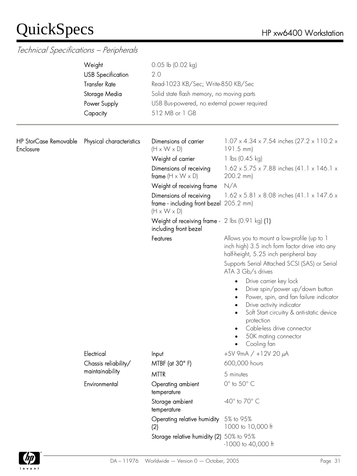|                                    | Weight<br><b>USB Specification</b><br><b>Transfer Rate</b><br>Storage Media<br>Power Supply<br>Capacity | $0.05$ lb $(0.02$ kg)<br>2.0<br>Read-1023 KB/Sec; Write-850 KB/Sec<br>Solid state flash memory, no moving parts<br>USB Bus-powered, no external power required<br>512 MB or 1 GB |                                                                                                                                                                                                                                                                              |
|------------------------------------|---------------------------------------------------------------------------------------------------------|----------------------------------------------------------------------------------------------------------------------------------------------------------------------------------|------------------------------------------------------------------------------------------------------------------------------------------------------------------------------------------------------------------------------------------------------------------------------|
| HP StorCase Removable<br>Enclosure | Physical characteristics                                                                                | Dimensions of carrier<br>$(H \times W \times D)$                                                                                                                                 | 1.07 x 4.34 x 7.54 inches (27.2 x 110.2 x<br>191.5 mm)                                                                                                                                                                                                                       |
|                                    |                                                                                                         | Weight of carrier                                                                                                                                                                | 1 lbs $(0.45 \text{ kg})$                                                                                                                                                                                                                                                    |
|                                    |                                                                                                         | Dimensions of receiving<br>frame $(H \times W \times D)$                                                                                                                         | $1.62 \times 5.75 \times 7.88$ inches (41.1 x 146.1 x<br>200.2 mm)                                                                                                                                                                                                           |
|                                    |                                                                                                         | Weight of receiving frame                                                                                                                                                        | N/A                                                                                                                                                                                                                                                                          |
|                                    |                                                                                                         | Dimensions of receiving<br>frame - including front bezel 205.2 mm)<br>$(H \times W \times D)$                                                                                    | $1.62 \times 5.81 \times 8.08$ inches (41.1 x 147.6 x                                                                                                                                                                                                                        |
|                                    |                                                                                                         | Weight of receiving frame - $2 \text{ lbs } (0.91 \text{ kg})$ (1)<br>including front bezel                                                                                      |                                                                                                                                                                                                                                                                              |
|                                    |                                                                                                         | Features                                                                                                                                                                         | Allows you to mount a low-profile (up to 1<br>inch high) 3.5 inch form factor drive into any<br>half-height, 5.25 inch peripheral bay                                                                                                                                        |
|                                    |                                                                                                         |                                                                                                                                                                                  | Supports Serial Attached SCSI (SAS) or Serial<br>ATA 3 Gb/s drives                                                                                                                                                                                                           |
|                                    |                                                                                                         |                                                                                                                                                                                  | Drive carrier key lock<br>$\bullet$<br>Drive spin/power up/down button<br>Power, spin, and fan failure indicator<br>Drive activity indicator<br>Soft Start circuitry & anti-static device<br>protection<br>Cable-less drive connector<br>50K mating connector<br>Cooling fan |
|                                    | Electrical                                                                                              | Input                                                                                                                                                                            | $+5V$ 9mA / $+12V$ 20 $\mu$ A                                                                                                                                                                                                                                                |
|                                    | Chassis reliability/                                                                                    | MTBF (at $30^\circ$ F)                                                                                                                                                           | 600,000 hours                                                                                                                                                                                                                                                                |
|                                    | maintainability                                                                                         | <b>MTTR</b>                                                                                                                                                                      | 5 minutes                                                                                                                                                                                                                                                                    |
|                                    | Environmental                                                                                           | Operating ambient<br>temperature                                                                                                                                                 | $0^\circ$ to $50^\circ$ C                                                                                                                                                                                                                                                    |
|                                    |                                                                                                         | Storage ambient<br>temperature                                                                                                                                                   | -40 $^{\circ}$ to 70 $^{\circ}$ C                                                                                                                                                                                                                                            |
|                                    |                                                                                                         | Operating relative humidity 5% to 95%<br>(2)                                                                                                                                     | 1000 to 10,000 ft                                                                                                                                                                                                                                                            |
|                                    |                                                                                                         | Storage relative humidity (2) 50% to 95%                                                                                                                                         | -1000 to 40,000 ft                                                                                                                                                                                                                                                           |

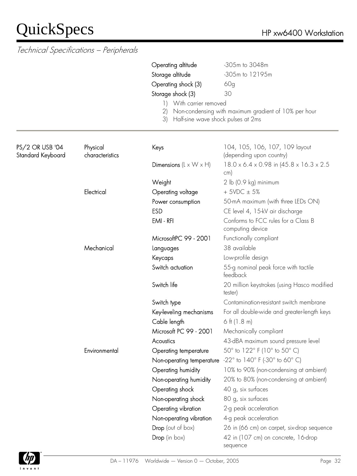|                                      | Technical Specifications - Peripherals |                                                 |                                                                         |
|--------------------------------------|----------------------------------------|-------------------------------------------------|-------------------------------------------------------------------------|
|                                      |                                        | Operating altitude                              | -305m to 3048m                                                          |
|                                      |                                        | Storage altitude                                | -305m to 12195m                                                         |
|                                      |                                        | Operating shock (3)                             | 60 <sub>g</sub>                                                         |
|                                      |                                        | Storage shock (3)                               | 30                                                                      |
|                                      |                                        | With carrier removed<br>$\left  \ \right $      |                                                                         |
|                                      |                                        | (2)<br>Half-sine wave shock pulses at 2ms<br>3) | Non-condensing with maximum gradient of 10% per hour                    |
| PS/2 OR USB '04<br>Standard Keyboard | Physical<br>characteristics            | Keys                                            | 104, 105, 106, 107, 109 layout<br>(depending upon country)              |
|                                      |                                        | Dimensions ( $L \times W \times H$ )            | $18.0 \times 6.4 \times 0.98$ in $(45.8 \times 16.3 \times 2.5)$<br>cm) |
|                                      |                                        | Weight                                          | 2 lb (0.9 kg) minimum                                                   |
|                                      | Electrical                             | Operating voltage                               | $+5VDC \pm 5%$                                                          |
|                                      |                                        | Power consumption                               | 50-mA maximum (with three LEDs ON)                                      |
|                                      |                                        | <b>ESD</b>                                      | CE level 4, 15-kV air discharge                                         |
|                                      |                                        | EMI-RFI                                         | Conforms to FCC rules for a Class B<br>computing device                 |
|                                      |                                        | MicrosoftPC 99 - 2001                           | Functionally compliant                                                  |
|                                      | Mechanical                             | Languages                                       | 38 available                                                            |
|                                      |                                        | Keycaps                                         | Low-profile design                                                      |
|                                      |                                        | Switch actuation                                | 55-g nominal peak force with tactile<br>feedback                        |
|                                      |                                        | Switch life                                     | 20 million keystrokes (using Hasco modified<br>tester)                  |
|                                      |                                        | Switch type                                     | Contamination-resistant switch membrane                                 |
|                                      |                                        | Key-leveling mechanisms                         | For all double-wide and greater-length keys                             |
|                                      |                                        | Cable length                                    | 6 ft $(1.8 \text{ m})$                                                  |
|                                      |                                        | Microsoft PC 99 - 2001                          | Mechanically compliant                                                  |
|                                      |                                        | Acoustics                                       | 43-dBA maximum sound pressure level                                     |
|                                      | Environmental                          | Operating temperature                           | 50° to 122° F (10° to 50° C)                                            |
|                                      |                                        | Non-operating temperature                       | $-22^{\circ}$ to 140° F (-30° to 60° C)                                 |
|                                      |                                        | Operating humidity                              | 10% to 90% (non-condensing at ambient)                                  |
|                                      |                                        | Non-operating humidity                          | 20% to 80% (non-condensing at ambient)                                  |
|                                      |                                        | Operating shock                                 | 40 g, six surfaces                                                      |
|                                      |                                        | Non-operating shock                             | 80 g, six surfaces                                                      |
|                                      |                                        | Operating vibration                             | 2-g peak acceleration                                                   |
|                                      |                                        | Non-operating vibration                         | 4-g peak acceleration                                                   |
|                                      |                                        | <b>Drop</b> (out of box)                        | 26 in (66 cm) on carpet, six-drop sequence                              |
|                                      |                                        | Drop (in box)                                   | 42 in (107 cm) on concrete, 16-drop<br>sequence                         |

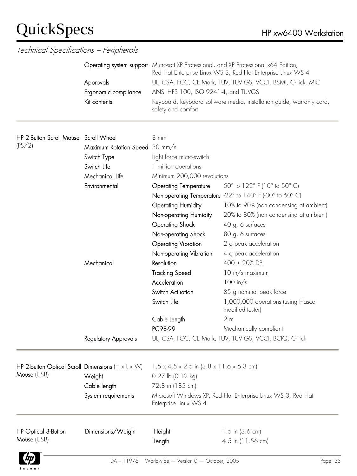| Technical Specifications - Peripherals                                         |                                                                                                                                       |                                                                                                                                                                                                                                                                                                                                                                                                                                    |                                                                                                                                                                                                                                                                                                                                                                                                                                                                                                                         |
|--------------------------------------------------------------------------------|---------------------------------------------------------------------------------------------------------------------------------------|------------------------------------------------------------------------------------------------------------------------------------------------------------------------------------------------------------------------------------------------------------------------------------------------------------------------------------------------------------------------------------------------------------------------------------|-------------------------------------------------------------------------------------------------------------------------------------------------------------------------------------------------------------------------------------------------------------------------------------------------------------------------------------------------------------------------------------------------------------------------------------------------------------------------------------------------------------------------|
|                                                                                | Approvals<br>Ergonomic compliance<br>Kit contents                                                                                     | Operating system support Microsoft XP Professional, and XP Professional x64 Edition,<br>Red Hat Enterprise Linux WS 3, Red Hat Enterprise Linux WS 4<br>UL, CSA, FCC, CE Mark, TUV, TUV GS, VCCI, BSMI, C-Tick, MIC<br>ANSI HFS 100, ISO 9241-4, and TUVGS<br>Keyboard, keyboard software media, installation guide, warranty card,<br>safety and comfort                                                                          |                                                                                                                                                                                                                                                                                                                                                                                                                                                                                                                         |
| HP 2-Button Scroll Mouse Scroll Wheel<br>(PS/2)                                | Maximum Rotation Speed<br>Switch Type<br>Switch Life<br>Mechanical Life<br>Environmental<br>Mechanical<br><b>Regulatory Approvals</b> | 8 mm<br>$30 \text{ mm/s}$<br>Light force micro-switch<br>1 million operations<br>Minimum 200,000 revolutions<br><b>Operating Temperature</b><br><b>Operating Humidity</b><br>Non-operating Humidity<br><b>Operating Shock</b><br>Non-operating Shock<br><b>Operating Vibration</b><br>Non-operating Vibration<br>Resolution<br><b>Tracking Speed</b><br>Acceleration<br>Switch Actuation<br>Switch Life<br>Cable Length<br>PC98-99 | 50° to 122° F (10° to 50° C)<br>Non-operating Temperature -22° to 140° F (-30° to 60° C)<br>10% to 90% (non condensing at ambient)<br>20% to 80% (non condensing at ambient)<br>40 g, 6 surfaces<br>80 g, 6 surfaces<br>2 g peak acceleration<br>4 g peak acceleration<br>$400 \pm 20\%$ DPI<br>10 in/s maximum<br>$100$ in/s<br>85 g nominal peak force<br>1,000,000 operations (using Hasco<br>modified tester)<br>2 <sub>m</sub><br>Mechanically compliant<br>UL, CSA, FCC, CE Mark, TUV, TUV GS, VCCI, BCIQ, C-Tick |
| HP 2-button Optical Scroll Dimensions ( $H \times L \times W$ )<br>Mouse (USB) | Weight<br>Cable length<br>System requirements                                                                                         | $1.5 \times 4.5 \times 2.5$ in $(3.8 \times 11.6 \times 6.3$ cm)<br>0.27 lb (0.12 kg)<br>72.8 in (185 cm)<br>Microsoft Windows XP, Red Hat Enterprise Linux WS 3, Red Hat<br>Enterprise Linux WS 4                                                                                                                                                                                                                                 |                                                                                                                                                                                                                                                                                                                                                                                                                                                                                                                         |
| HP Optical 3-Button<br>Mouse (USB)                                             | Dimensions/Weight                                                                                                                     | Height<br>Length                                                                                                                                                                                                                                                                                                                                                                                                                   | 1.5 in $(3.6 \text{ cm})$<br>4.5 in (11.56 cm)                                                                                                                                                                                                                                                                                                                                                                                                                                                                          |

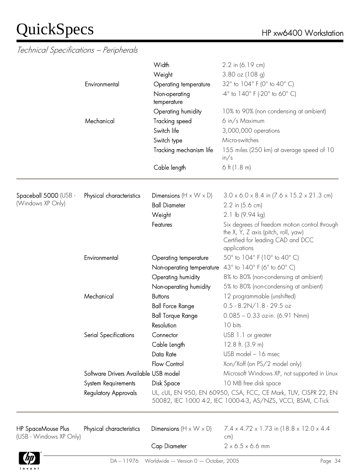$\overline{\phantom{a}}$ 

#### Technical Specifications – Peripherals

|                                            | Environmental                                                                       | Width<br>Weight<br>Operating temperature<br>Non-operating<br>temperature                           | 2.2 in (6.19 cm)<br>$3.80$ oz (108 q)<br>32° to 104° F (0° to 40° C)<br>$-4^{\circ}$ to $140^{\circ}$ F (-20 $^{\circ}$ to 60 $^{\circ}$ C)                                                               |
|--------------------------------------------|-------------------------------------------------------------------------------------|----------------------------------------------------------------------------------------------------|-----------------------------------------------------------------------------------------------------------------------------------------------------------------------------------------------------------|
|                                            | Mechanical                                                                          | Operating humidity<br>Tracking speed<br>Switch life<br>Switch type<br>Tracking mechanism life      | 10% to 90% (non condensing at ambient)<br>6 in/s Maximum<br>3,000,000 operations<br>Micro-switches<br>155 miles (250 km) at average speed of 10                                                           |
|                                            |                                                                                     | Cable length                                                                                       | in/s<br>$6$ ft (1.8 m)                                                                                                                                                                                    |
| Spaceball 5000 (USB -<br>(Windows XP Only) | Physical characteristics                                                            | Dimensions $(H \times W \times D)$<br><b>Ball Diameter</b><br>Weight                               | $3.0 \times 6.0 \times 8.4$ in $(7.6 \times 15.2 \times 21.3$ cm)<br>2.2 in (5.6 cm)<br>2.1 lb (9.94 kg)                                                                                                  |
|                                            |                                                                                     | Features                                                                                           | Six degrees of freedom motion control through<br>the X, Y, Z axis (pitch, roll, yaw)<br>Certified for leading CAD and DCC<br>applications                                                                 |
|                                            | Environmental                                                                       | Operating temperature<br>Non-operating temperature<br>Operating humidity<br>Non-operating humidity | 50° to 104° F (10° to 40° C)<br>43° to 140° F (6° to 60° C)<br>8% to 80% (non-condensing at ambient)<br>5% to 80% (non-condensing at ambient)                                                             |
|                                            | Mechanical                                                                          | <b>Buttons</b><br><b>Ball Force Range</b><br><b>Ball Torque Range</b><br>Resolution                | 12 programmable (unshifted)<br>$0.5 - 8.2N/1.8 - 29.5$ oz<br>$0.085 - 0.33$ oz-in. (6.91 Nmm)<br>10 bits                                                                                                  |
|                                            | Serial Specifications                                                               | Connector<br>Cable Length<br>Data Rate<br>Flow Control                                             | USB 1.1 or greater<br>12.8 ft. $(3.9 m)$<br>USB model - 16 msec<br>Xon/Xoff (on PS/2 model only)                                                                                                          |
|                                            | Software Drivers Available USB model<br>System Requirements<br>Regulatory Approvals | Disk Space                                                                                         | Microsoft Windows XP, not supported in Linux<br>10 MB free disk space<br>UL, cUL, EN 950, EN 60950, CSA, FCC, CE Mark, TUV, CISPR 22, EN<br>50082, IEC 1000 4-2, IEC 1000-4-3, AS/NZS, VCCI, BSMI, C-Tick |

| HP SpaceMouse Plus<br>(USB - Windows XP Only) | Physical characteristics | <b>Dimensions</b> $(H \times W \times D)$            | $7.4 \times 4.72 \times 1.73$ in (18.8 $\times$ 12.0 $\times$ 4.4<br>cm) |         |
|-----------------------------------------------|--------------------------|------------------------------------------------------|--------------------------------------------------------------------------|---------|
|                                               |                          | Cap Diameter                                         | $2 \times 6.5 \times 6.6$ mm                                             |         |
| $\Phi$                                        |                          | $DA - 11976$ Worldwide - Version $0 -$ October, 2005 |                                                                          | Page 34 |



Ċ,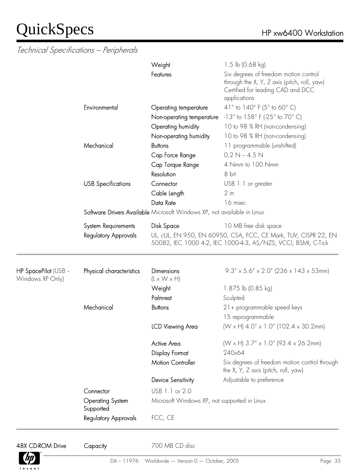Technical Specifications – Peripherals

|                                          |                                                                         | Weight                                       | 1.5 lb $(0.68 \text{ kg})$                                                                                                                |  |  |
|------------------------------------------|-------------------------------------------------------------------------|----------------------------------------------|-------------------------------------------------------------------------------------------------------------------------------------------|--|--|
|                                          |                                                                         | Features                                     | Six degrees of freedom motion control<br>through the X, Y, Z axis (pitch, roll, yaw)<br>Certified for leading CAD and DCC<br>applications |  |  |
|                                          | Environmental                                                           | Operating temperature                        | 41° to 140° F (5° to 60° C)                                                                                                               |  |  |
|                                          |                                                                         | Non-operating temperature                    | $-13^{\circ}$ to $158^{\circ}$ F (-25 $^{\circ}$ to 70 $^{\circ}$ C)                                                                      |  |  |
|                                          |                                                                         | Operating humidity                           | 10 to 98 % RH (non-condensing)                                                                                                            |  |  |
|                                          |                                                                         | Non-operating humidity                       | 10 to 98 % RH (non-condensing)                                                                                                            |  |  |
|                                          | Mechanical                                                              | <b>Buttons</b>                               | 11 programmable (unshifted)                                                                                                               |  |  |
|                                          |                                                                         | Cap Force Range                              | $0.2 N - 4.5 N$                                                                                                                           |  |  |
|                                          |                                                                         | Cap Torque Range                             | 4 Nmm to 100 Nmm                                                                                                                          |  |  |
|                                          |                                                                         | Resolution                                   | 8 bit                                                                                                                                     |  |  |
|                                          | <b>USB Specifications</b>                                               | Connector                                    | USB 1.1 or greater                                                                                                                        |  |  |
|                                          |                                                                         | Cable Length                                 | 2 <sub>m</sub>                                                                                                                            |  |  |
|                                          |                                                                         | Data Rate                                    | 16 msec                                                                                                                                   |  |  |
|                                          | Software Drivers Available Microsoft Windows XP, not available in Linux |                                              |                                                                                                                                           |  |  |
|                                          | System Requirements                                                     | Disk Space                                   | 10 MB free disk space                                                                                                                     |  |  |
|                                          | <b>Regulatory Approvals</b>                                             |                                              | UL, cUL, EN 950, EN 60950, CSA, FCC, CE Mark, TUV, CISPR 22, EN<br>50082, IEC 1000 4-2, IEC 1000-4-3, AS/NZS, VCCI, BSMI, C-Tick          |  |  |
| HP SpacePilot (USB -<br>Windows XP Only) | Physical characteristics                                                | Dimensions<br>$(L \times W \times H)$        | $9.3'' \times 5.6'' \times 2.0''$ (236 x 143 x 53mm)                                                                                      |  |  |
|                                          |                                                                         | Weight                                       | 1.875 lb (0.85 kg)                                                                                                                        |  |  |
|                                          |                                                                         | Palmrest                                     | Sculpted                                                                                                                                  |  |  |
|                                          | Mechanical                                                              | <b>Buttons</b>                               | 21+ programmable speed keys                                                                                                               |  |  |
|                                          |                                                                         |                                              | 15 reprogrammable                                                                                                                         |  |  |
|                                          |                                                                         | <b>ICD Viewing Area</b>                      | (W x H) $4.0''$ x 1.0" (102.4 x 30.2mm)                                                                                                   |  |  |
|                                          |                                                                         | <b>Active Area</b>                           | $(W \times H)$ 3.7" $\times$ 1.0" (93.4 $\times$ 26.2mm)                                                                                  |  |  |
|                                          |                                                                         | <b>Display Format</b>                        | 240x64                                                                                                                                    |  |  |
|                                          |                                                                         | <b>Motion Controller</b>                     | Six degrees of freedom motion control through<br>the X, Y, Z axis (pitch, roll, yaw)                                                      |  |  |
|                                          |                                                                         | Device Sensitivity                           | Adjustable to preference                                                                                                                  |  |  |
|                                          | Connector                                                               | USB 1.1 or 2.0                               |                                                                                                                                           |  |  |
|                                          | <b>Operating System</b><br>Supported                                    | Microsoft Windows XP, not supported in Linux |                                                                                                                                           |  |  |
|                                          | <b>Regulatory Approvals</b>                                             | FCC, CE                                      |                                                                                                                                           |  |  |



48X CD-ROM Drive Capacity 700 MB CD disc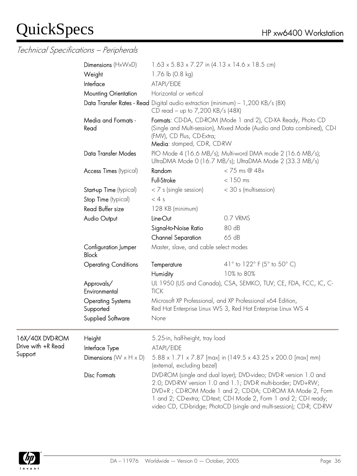Technical Specifications – Peripherals

|                    | Dimensions $(H \times W \times D)$    | $1.63 \times 5.83 \times 7.27$ in $(4.13 \times 14.6 \times 18.5$ cm)                                                                                                                                                                                                                                                                        |                                                                                                                                        |
|--------------------|---------------------------------------|----------------------------------------------------------------------------------------------------------------------------------------------------------------------------------------------------------------------------------------------------------------------------------------------------------------------------------------------|----------------------------------------------------------------------------------------------------------------------------------------|
|                    | Weight                                | 1.76 lb (0.8 kg)                                                                                                                                                                                                                                                                                                                             |                                                                                                                                        |
|                    | Interface                             | ATAPI/EIDE                                                                                                                                                                                                                                                                                                                                   |                                                                                                                                        |
|                    | <b>Mounting Orientation</b>           | Horizontal or vertical                                                                                                                                                                                                                                                                                                                       |                                                                                                                                        |
|                    |                                       | Data Transfer Rates - Read Digital audio extraction (minimum) - 1,200 KB/s (8X)<br>CD read – up to 7,200 KB/s $(48X)$                                                                                                                                                                                                                        |                                                                                                                                        |
|                    | Media and Formats -<br>Read           | (FMV), CD Plus, CD-Extra;<br>Media: stamped, CD-R, CD-RW                                                                                                                                                                                                                                                                                     | Formats: CD-DA, CD-ROM (Mode 1 and 2), CD-XA Ready, Photo CD<br>(Single and Multi-session), Mixed Mode (Audio and Data combined), CD-I |
|                    | Data Transfer Modes                   |                                                                                                                                                                                                                                                                                                                                              | PIO Mode 4 (16.6 MB/s); Multi-word DMA mode 2 (16.6 MB/s);<br>UltraDMA Mode 0 (16.7 MB/s); UltraDMA Mode 2 (33.3 MB/s)                 |
|                    | Access Times (typical)                | Random                                                                                                                                                                                                                                                                                                                                       | $<$ 75 ms @ 48 $x$                                                                                                                     |
|                    |                                       | Full-Stroke                                                                                                                                                                                                                                                                                                                                  | $<$ 150 ms                                                                                                                             |
|                    | Start-up Time (typical)               | $<$ 7 s (single session)                                                                                                                                                                                                                                                                                                                     | < 30 s (multisession)                                                                                                                  |
|                    | Stop Time (typical)                   | < 4s                                                                                                                                                                                                                                                                                                                                         |                                                                                                                                        |
|                    | Read Buffer size                      | 128 KB (minimum)                                                                                                                                                                                                                                                                                                                             |                                                                                                                                        |
|                    | Audio Output                          | Line-Out                                                                                                                                                                                                                                                                                                                                     | 0.7 VRMS                                                                                                                               |
|                    |                                       | Signal-to-Noise Ratio                                                                                                                                                                                                                                                                                                                        | 80 dB                                                                                                                                  |
|                    |                                       | <b>Channel Separation</b>                                                                                                                                                                                                                                                                                                                    | 65 dB                                                                                                                                  |
|                    | Configuration Jumper<br><b>Block</b>  | Master, slave, and cable select modes                                                                                                                                                                                                                                                                                                        |                                                                                                                                        |
|                    | <b>Operating Conditions</b>           | Temperature                                                                                                                                                                                                                                                                                                                                  | 41° to 122° F (5° to 50° C)                                                                                                            |
|                    |                                       | <b>Humidity</b>                                                                                                                                                                                                                                                                                                                              | 10% to 80%                                                                                                                             |
|                    | Approvals/<br>Environmental           | <b>TICK</b>                                                                                                                                                                                                                                                                                                                                  | UL 1950 (US and Canada), CSA, SEMKO, TUV; CE, FDA, FCC, IC, C-                                                                         |
|                    | <b>Operating Systems</b><br>Supported | Microsoft XP Professional, and XP Professional x64 Edition,<br>Red Hat Enterprise Linux WS 3, Red Hat Enterprise Linux WS 4                                                                                                                                                                                                                  |                                                                                                                                        |
|                    | Supplied Software                     | None                                                                                                                                                                                                                                                                                                                                         |                                                                                                                                        |
| 16X/40X DVD-ROM    | Height                                | 5.25-in, half-height, tray load                                                                                                                                                                                                                                                                                                              |                                                                                                                                        |
| Drive with +R Read | Interface Type                        | ATAPI/EIDE                                                                                                                                                                                                                                                                                                                                   |                                                                                                                                        |
| Support            | Dimensions ( $W \times H \times D$ )  | $5.88 \times 1.71 \times 7.87$ [max] in (149.5 x 43.25 x 200.0 [max] mm)<br>(external, excluding bezel)                                                                                                                                                                                                                                      |                                                                                                                                        |
|                    | <b>Disc Formats</b>                   | DVD-ROM (single and dual layer); DVD-video; DVD-R version 1.0 and<br>2.0; DVD-RW version 1.0 and 1.1; DVD-R multi-border; DVD+RW;<br>DVD+R; CD-ROM Mode 1 and 2; CD-DA; CD-ROM XA Mode 2, Form<br>1 and 2; CD-extra; CD-text; CD-I Mode 2, Form 1 and 2; CD-I ready;<br>video CD, CD-bridge; PhotoCD (single and multi-session); CD-R; CD-RW |                                                                                                                                        |

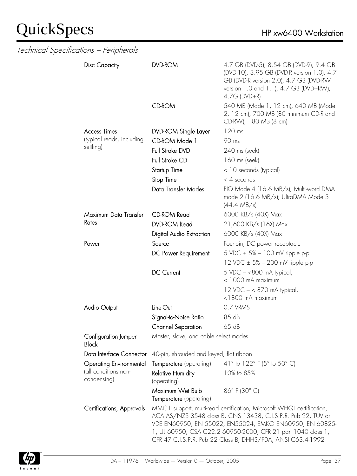| Technical Specitications - Peripherals |                                             |                                                                                                                                                                                                                                                                                                                                    |
|----------------------------------------|---------------------------------------------|------------------------------------------------------------------------------------------------------------------------------------------------------------------------------------------------------------------------------------------------------------------------------------------------------------------------------------|
| <b>Disc Capacity</b>                   | <b>DVD-ROM</b>                              | 4.7 GB (DVD-5), 8.54 GB (DVD-9), 9.4 GB<br>(DVD-10), 3.95 GB (DVD-R version 1.0), 4.7<br>GB (DVD-R version 2.0), 4.7 GB (DVD-RW<br>version 1.0 and 1.1), 4.7 GB (DVD+RW),<br>$4.7G$ (DVD+R)                                                                                                                                        |
|                                        | <b>CD-ROM</b>                               | 540 MB (Mode 1, 12 cm), 640 MB (Mode<br>2, 12 cm), 700 MB (80 minimum CD-R and<br>CD-RW), 180 MB (8 cm)                                                                                                                                                                                                                            |
| <b>Access Times</b>                    | DVD-ROM Single Layer                        | 120 ms                                                                                                                                                                                                                                                                                                                             |
| (typical reads, including              | CD-ROM Mode 1                               | 90 ms                                                                                                                                                                                                                                                                                                                              |
| settling)                              | Full Stroke DVD                             | 240 ms (seek)                                                                                                                                                                                                                                                                                                                      |
|                                        | Full Stroke CD                              | 160 ms (seek)                                                                                                                                                                                                                                                                                                                      |
|                                        | Startup Time                                | < 10 seconds (typical)                                                                                                                                                                                                                                                                                                             |
|                                        | Stop Time                                   | $<$ 4 seconds                                                                                                                                                                                                                                                                                                                      |
|                                        | Data Transfer Modes                         | PIO Mode 4 (16.6 MB/s); Multi-word DMA<br>mode 2 (16.6 MB/s); UltraDMA Mode 3<br>$(44.4 \text{ MB/s})$                                                                                                                                                                                                                             |
| Maximum Data Transfer                  | <b>CD-ROM Read</b>                          | 6000 KB/s (40X) Max                                                                                                                                                                                                                                                                                                                |
| Rates                                  | <b>DVD-ROM Read</b>                         | 21,600 KB/s (16X) Max                                                                                                                                                                                                                                                                                                              |
|                                        | Digital Audio Extraction                    | 6000 KB/s (40X) Max                                                                                                                                                                                                                                                                                                                |
| Power                                  | Source                                      | Four-pin, DC power receptacle                                                                                                                                                                                                                                                                                                      |
|                                        | DC Power Requirement                        | 5 VDC ± 5% - 100 mV ripple p-p                                                                                                                                                                                                                                                                                                     |
|                                        |                                             | 12 VDC $\pm$ 5% – 200 mV ripple p-p                                                                                                                                                                                                                                                                                                |
|                                        | DC Current                                  | 5 VDC $-$ <800 mA typical,                                                                                                                                                                                                                                                                                                         |
|                                        |                                             | < 1000 mA maximum                                                                                                                                                                                                                                                                                                                  |
|                                        |                                             | 12 VDC - < 870 mA typical,<br><1800 mA maximum                                                                                                                                                                                                                                                                                     |
| Audio Output                           | Line-Out                                    | 0.7 VRMS                                                                                                                                                                                                                                                                                                                           |
|                                        | Signal-to-Noise Ratio                       | 85 dB                                                                                                                                                                                                                                                                                                                              |
|                                        | <b>Channel Separation</b>                   | 65 dB                                                                                                                                                                                                                                                                                                                              |
| Configuration Jumper<br><b>Block</b>   | Master, slave, and cable select modes       |                                                                                                                                                                                                                                                                                                                                    |
| Data Interface Connector               | 40-pin, shrouded and keyed, flat ribbon     |                                                                                                                                                                                                                                                                                                                                    |
| <b>Operating Environmental</b>         | Temperature (operating)                     | 41° to 122° F (5° to 50° C)                                                                                                                                                                                                                                                                                                        |
| (all conditions non-<br>condensing)    | <b>Relative Humidity</b><br>(operating)     | 10% to 85%                                                                                                                                                                                                                                                                                                                         |
|                                        | Maximum Wet Bulb<br>Temperature (operating) | 86°F (30°C)                                                                                                                                                                                                                                                                                                                        |
| Certifications, Approvals              |                                             | MMC II support, multi-read certification, Microsoft WHQL certification,<br>ACA AS/NZS 3548 class B, CNS 13438, C.I.S.P.R. Pub 22, TUV or<br>VDE EN60950, EN 55022, EN55024, EMKO EN60950, EN 60825-<br>1, UL 60950, CSA C22.2 60950-2000, CFR 21 part 1040 class 1,<br>CFR 47 C.I.S.P.R. Pub 22 Class B, DHHS/FDA, ANSI C63.4-1992 |

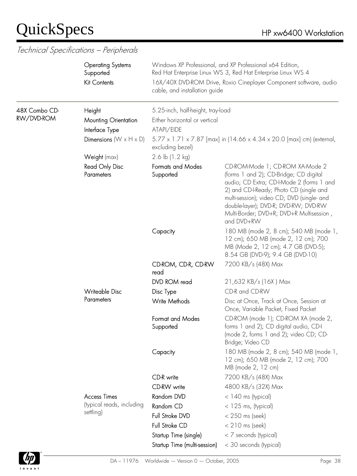|                             | <b>Operating Systems</b><br>Supported<br><b>Kit Contents</b> | cable, and installation guide                                                                                          | Windows XP Professional, and XP Professional x64 Edition,<br>Red Hat Enterprise Linux WS 3, Red Hat Enterprise Linux WS 4<br>16X/40X DVD-ROM Drive, Roxio Cineplayer Component software, audio                                                                                                                    |  |
|-----------------------------|--------------------------------------------------------------|------------------------------------------------------------------------------------------------------------------------|-------------------------------------------------------------------------------------------------------------------------------------------------------------------------------------------------------------------------------------------------------------------------------------------------------------------|--|
| 48X Combo CD-<br>RW/DVD-ROM | Height<br>Mounting Orientation<br>Interface Type             | 5.25-inch, half-height, tray-load<br>Either horizontal or vertical<br>ATAPI/EIDE                                       |                                                                                                                                                                                                                                                                                                                   |  |
|                             | Dimensions ( $W \times H \times D$ )                         | 5.77 x 1.71 x 7.87 [max] in (14.66 x 4.34 x 20.0 [max] cm) (external,<br>excluding bezel)<br>2.6 lb $(1.2 \text{ kg})$ |                                                                                                                                                                                                                                                                                                                   |  |
|                             | Weight (max)                                                 |                                                                                                                        |                                                                                                                                                                                                                                                                                                                   |  |
|                             | Read Only Disc<br>Parameters                                 | <b>Formats and Modes</b><br>Supported                                                                                  | CD-ROM-Mode 1; CD-ROM XA-Mode 2<br>(forms 1 and 2); CD-Bridge; CD digital<br>audio; CD Extra; CD-I-Mode 2 (forms 1 and<br>2) and CD-I-Ready; Photo CD (single and<br>multi-session); video CD; DVD (single- and<br>double-layer); DVD-R; DVD-RW; DVD-RW<br>Multi-Border; DVD+R; DVD+R Multisession,<br>and DVD+RW |  |
|                             |                                                              | Capacity                                                                                                               | 180 MB (mode 2, 8 cm); 540 MB (mode 1,<br>12 cm); 650 MB (mode 2, 12 cm); 700<br>MB (Mode 2, 12 cm); 4.7 GB (DVD-5);<br>8.54 GB (DVD-9); 9.4 GB (DVD-10)                                                                                                                                                          |  |
|                             |                                                              | CD-ROM, CD-R, CD-RW<br>read                                                                                            | 7200 KB/s (48X) Max                                                                                                                                                                                                                                                                                               |  |
|                             |                                                              | DVD ROM read                                                                                                           | 21,632 KB/s (16X) Max                                                                                                                                                                                                                                                                                             |  |
|                             | <b>Writeable Disc</b>                                        | Disc Type                                                                                                              | CD-R and CD-RW                                                                                                                                                                                                                                                                                                    |  |
|                             | Parameters                                                   | <b>Write Methods</b>                                                                                                   | Disc at Once, Track at Once, Session at<br>Once, Variable Packet, Fixed Packet                                                                                                                                                                                                                                    |  |
|                             |                                                              | Format and Modes<br>Supported                                                                                          | CD-ROM (mode 1); CD-ROM XA (mode 2,<br>forms 1 and 2); CD digital audio, CD-I<br>(mode 2, forms 1 and 2); video CD; CD-<br>Bridge; Video CD                                                                                                                                                                       |  |
|                             |                                                              | Capacity                                                                                                               | 180 MB (mode 2, 8 cm); 540 MB (mode 1,<br>12 cm); 650 MB (mode 2, 12 cm); 700<br>MB (mode 2, 12 cm)                                                                                                                                                                                                               |  |
|                             |                                                              | CD-R write                                                                                                             | 7200 KB/s (48X) Max                                                                                                                                                                                                                                                                                               |  |
|                             |                                                              | CD-RW write                                                                                                            | 4800 KB/s (32X) Max                                                                                                                                                                                                                                                                                               |  |
|                             | <b>Access Times</b>                                          | Random DVD                                                                                                             | $<$ 140 ms (typical)                                                                                                                                                                                                                                                                                              |  |
|                             | (typical reads, including                                    | Random CD                                                                                                              | $<$ 125 ms, (typical)                                                                                                                                                                                                                                                                                             |  |
|                             | settling)                                                    | Full Stroke DVD                                                                                                        | $<$ 250 ms (seek)                                                                                                                                                                                                                                                                                                 |  |
|                             |                                                              | Full Stroke CD                                                                                                         | $< 210$ ms (seek)                                                                                                                                                                                                                                                                                                 |  |
|                             |                                                              | Startup Time (single)                                                                                                  | < 7 seconds (typical)                                                                                                                                                                                                                                                                                             |  |
|                             |                                                              | Startup Time (multi-session)                                                                                           | < 30 seconds (typical)                                                                                                                                                                                                                                                                                            |  |

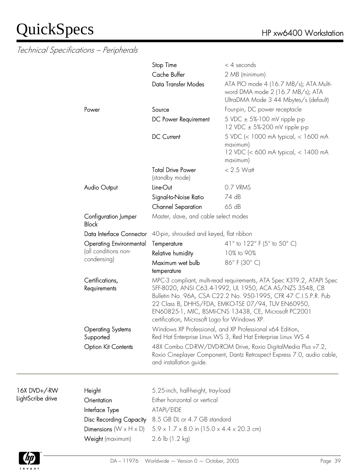|                                       | Stop Time<br>Cache Buffer<br>Data Transfer Modes                                                                                                                                                                                                                                                                                                                   | $<$ 4 seconds<br>2 MB (minimum)<br>ATA PIO mode 4 (16.7 MB/s); ATA Multi-<br>word DMA mode 2 (16.7 MB/s); ATA<br>UltraDMA Mode 3 44 Mbytes/s (default) |
|---------------------------------------|--------------------------------------------------------------------------------------------------------------------------------------------------------------------------------------------------------------------------------------------------------------------------------------------------------------------------------------------------------------------|--------------------------------------------------------------------------------------------------------------------------------------------------------|
| Power                                 | Source                                                                                                                                                                                                                                                                                                                                                             | Four-pin, DC power receptacle                                                                                                                          |
|                                       | DC Power Requirement                                                                                                                                                                                                                                                                                                                                               | 5 VDC ± 5%-100 mV ripple p-p<br>12 VDC ± 5%-200 mV ripple p-p                                                                                          |
|                                       | <b>DC</b> Current                                                                                                                                                                                                                                                                                                                                                  | 5 VDC (< 1000 mA typical, < 1600 mA<br>maximum)<br>12 VDC (< 600 mA typical, < 1400 mA<br>maximum)                                                     |
|                                       | <b>Total Drive Power</b><br>(standby mode)                                                                                                                                                                                                                                                                                                                         | $< 2.5$ Watt                                                                                                                                           |
| <b>Audio Output</b>                   | Line-Out                                                                                                                                                                                                                                                                                                                                                           | 0.7 VRMS                                                                                                                                               |
|                                       | Signal-to-Noise Ratio                                                                                                                                                                                                                                                                                                                                              | 74 dB                                                                                                                                                  |
|                                       | <b>Channel Separation</b>                                                                                                                                                                                                                                                                                                                                          | 65 dB                                                                                                                                                  |
| Configuration Jumper<br><b>Block</b>  | Master, slave, and cable select modes                                                                                                                                                                                                                                                                                                                              |                                                                                                                                                        |
| Data Interface Connector              | 40-pin, shrouded and keyed, flat ribbon                                                                                                                                                                                                                                                                                                                            |                                                                                                                                                        |
| <b>Operating Environmental</b>        | Temperature                                                                                                                                                                                                                                                                                                                                                        | 41 $\degree$ to 122 $\degree$ F (5 $\degree$ to 50 $\degree$ C)                                                                                        |
| (all conditions non-                  | Relative humidity                                                                                                                                                                                                                                                                                                                                                  | 10% to 90%                                                                                                                                             |
| condensing)                           | Maximum wet bulb<br>temperature                                                                                                                                                                                                                                                                                                                                    | 86°F (30°C)                                                                                                                                            |
| Certifications,<br>Requirements       | MPC-3 compliant, multi-read requirements, ATA Spec X3T9.2, ATAPI Spec<br>SFF-8020, ANSI C63.4-1992, UL 1950, ACA AS/NZS 3548, CB<br>Bulletin No. 96A, CSA C22.2 No. 950-1995, CFR 47 C.I.S.P.R. Pub<br>22 Class B, DHHS/FDA, EMKO-TSE 07/94, TUV EN60950,<br>EN60825-1, MIC, BSMI-CNS 13438, CE, Microsoft PC2001<br>certification, Microsoft Logo for Windows XP. |                                                                                                                                                        |
| <b>Operating Systems</b><br>Supported |                                                                                                                                                                                                                                                                                                                                                                    | Windows XP Professional, and XP Professional x64 Edition,<br>Red Hat Enterprise Linux WS 3, Red Hat Enterprise Linux WS 4                              |
| <b>Option Kit Contents</b>            | and installation quide.                                                                                                                                                                                                                                                                                                                                            | 48X Combo CD-RW/DVD-ROM Drive, Roxio DigitalMedia Plus v7.2,<br>Roxio Cineplayer Component, Dantz Retrospect Express 7.0, audio cable,                 |
|                                       |                                                                                                                                                                                                                                                                                                                                                                    |                                                                                                                                                        |

| 16X DVD+/-RW      |
|-------------------|
| LightScribe drive |

| 5.25-inch, half-height, tray-load                                   |
|---------------------------------------------------------------------|
| Either horizontal or vertical                                       |
| ATAPI/EIDE                                                          |
| 8.5 GB DL or 4.7 GB standard                                        |
| $5.9 \times 1.7 \times 8.0$ in (15.0 $\times$ 4.4 $\times$ 20.3 cm) |
| 2.6 $\vert$ b (1.2 kg)                                              |
|                                                                     |

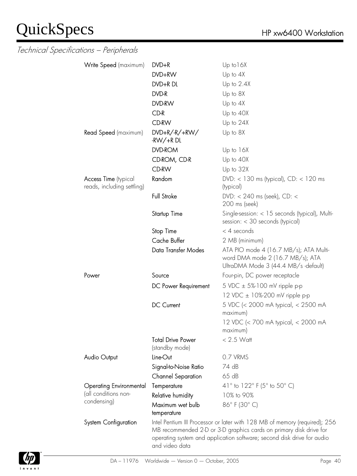| Write Speed (maximum)          | $DVD+R$                                    | Up to 16X                                                                           |
|--------------------------------|--------------------------------------------|-------------------------------------------------------------------------------------|
|                                | DVD+RW                                     | Up to $4X$                                                                          |
|                                | DVD+R DL                                   | Up to $2.4X$                                                                        |
|                                | DVD-R                                      | Up to 8X                                                                            |
|                                | DVD-RW                                     | Up to 4X                                                                            |
|                                | CD-R                                       | Up to 40X                                                                           |
|                                | <b>CD-RW</b>                               | Up to 24X                                                                           |
| Read Speed (maximum)           | $DVD+R/+RW/$                               | Up to 8X                                                                            |
|                                | $-RW/+R DL$                                |                                                                                     |
|                                | <b>DVD-ROM</b>                             | Up to 16X                                                                           |
|                                | CD-ROM, CD-R                               | Up to 40X                                                                           |
|                                | <b>CD-RW</b>                               | Up to 32X                                                                           |
| <b>Access Time</b> (typical    | Random                                     | $DVD:$ < 130 ms (typical), $CD:$ < 120 ms                                           |
| reads, including settling)     |                                            | (typical)                                                                           |
|                                | <b>Full Stroke</b>                         | DVD: $<$ 240 ms (seek), CD: $<$                                                     |
|                                |                                            | 200 ms (seek)                                                                       |
|                                | Startup Time                               | Single-session: < 15 seconds (typical), Multi-<br>session: $<$ 30 seconds (typical) |
|                                | Stop Time                                  | $<$ 4 seconds                                                                       |
|                                | Cache Buffer                               | 2 MB (minimum)                                                                      |
|                                | Data Transfer Modes                        | ATA PIO mode 4 (16.7 MB/s); ATA Multi-                                              |
|                                |                                            | word DMA mode 2 (16.7 MB/s); ATA<br>UltraDMA Mode 3 (44.4 MB/s -default)            |
| Power                          | Source                                     | Four-pin, DC power receptacle                                                       |
|                                | DC Power Requirement                       | 5 VDC $\pm$ 5%-100 mV ripple p-p                                                    |
|                                |                                            | 12 VDC ± 10%-200 mV ripple p-p                                                      |
|                                | <b>DC Current</b>                          | 5 VDC (< 2000 mA typical, < 2500 mA<br>maximum)                                     |
|                                |                                            | 12 VDC (< 700 mA typical, < 2000 mA                                                 |
|                                |                                            | maximum)                                                                            |
|                                | <b>Total Drive Power</b><br>(standby mode) | $< 2.5$ Watt                                                                        |
| Audio Output                   | Line-Out                                   | 0.7 VRMS                                                                            |
|                                | Signal-to-Noise Ratio                      | 74 dB                                                                               |
|                                | <b>Channel Separation</b>                  | 65 dB                                                                               |
| <b>Operating Environmental</b> | Temperature                                | 41° to 122° F (5° to 50° C)                                                         |
| (all conditions non-           | Relative humidity                          | 10% to 90%                                                                          |
| condensing)                    | Maximum wet bulb<br>temperature            | 86°F (30°C)                                                                         |
| System Configuration           |                                            | Intel Pentium III Processor or later with 128 MB of memory (required); 256          |
|                                |                                            | MB recommended 2-D or 3-D graphics cards on primary disk drive for                  |
|                                | and video data                             | operating system and application software; second disk drive for audio              |

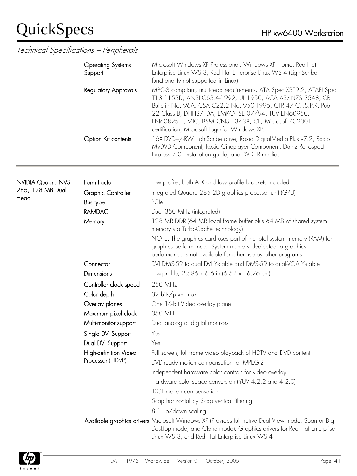#### Technical Specifications – Peripherals

|                          | <b>Operating Systems</b><br>Support                | Microsoft Windows XP Professional, Windows XP Home, Red Hat<br>Enterprise Linux WS 3, Red Hat Enterprise Linux WS 4 (LightScribe<br>functionality not supported in Linux)                                                                                                                                                                                           |  |  |
|--------------------------|----------------------------------------------------|---------------------------------------------------------------------------------------------------------------------------------------------------------------------------------------------------------------------------------------------------------------------------------------------------------------------------------------------------------------------|--|--|
|                          | <b>Regulatory Approvals</b><br>Option Kit contents | MPC-3 compliant, multi-read requirements, ATA Spec X3T9.2, ATAPI Spec<br>T13.1153D, ANSI C63.4-1992, UL 1950, ACA AS/NZS 3548, CB<br>Bulletin No. 96A, CSA C22.2 No. 950-1995, CFR 47 C.I.S.P.R. Pub<br>22 Class B, DHHS/FDA, EMKO-TSE 07/94, TUV EN60950,<br>EN60825-1, MIC, BSMI-CNS 13438, CE, Microsoft PC2001<br>certification, Microsoft Logo for Windows XP. |  |  |
|                          |                                                    | 16X DVD+/-RW LightScribe drive, Roxio DigitalMedia Plus v7.2, Roxio<br>MyDVD Component, Roxio Cineplayer Component, Dantz Retrospect<br>Express 7.0, installation guide, and DVD+R media.                                                                                                                                                                           |  |  |
| <b>NVIDIA Quadro NVS</b> | Form Factor                                        | Low profile, both ATX and low profile brackets included                                                                                                                                                                                                                                                                                                             |  |  |
| 285, 128 MB Dual<br>Head | <b>Graphic Controller</b><br>Bus type              | Integrated Quadro 285 2D graphics processor unit (GPU)<br>PCle                                                                                                                                                                                                                                                                                                      |  |  |
|                          | <b>RAMDAC</b>                                      | Dual 350 MHz (integrated)                                                                                                                                                                                                                                                                                                                                           |  |  |
|                          | Memory                                             | 128 MB DDR (64 MB local frame buffer plus 64 MB of shared system<br>memory via TurboCache technology)                                                                                                                                                                                                                                                               |  |  |
|                          |                                                    | NOTE: The graphics card uses part of the total system memory (RAM) for<br>graphics performance. System memory dedicated to graphics<br>performance is not available for other use by other programs.                                                                                                                                                                |  |  |
|                          | Connector                                          | DVI DMS-59 to dual DVI Y-cable and DMS-59 to dual-VGA Y-cable                                                                                                                                                                                                                                                                                                       |  |  |
|                          | <b>Dimensions</b>                                  | Low-profile, 2.586 x 6.6 in (6.57 x 16.76 cm)                                                                                                                                                                                                                                                                                                                       |  |  |
|                          | Controller clock speed                             | 250 MHz                                                                                                                                                                                                                                                                                                                                                             |  |  |
|                          | Color depth                                        | 32 bits/pixel max                                                                                                                                                                                                                                                                                                                                                   |  |  |
|                          | Overlay planes                                     | One 16-bit Video overlay plane                                                                                                                                                                                                                                                                                                                                      |  |  |
|                          | Maximum pixel clock                                | 350 MHz                                                                                                                                                                                                                                                                                                                                                             |  |  |
|                          | Multi-monitor support                              | Dual analog or digital monitors                                                                                                                                                                                                                                                                                                                                     |  |  |
|                          | Single DVI Support                                 | Yes                                                                                                                                                                                                                                                                                                                                                                 |  |  |
|                          | Dual DVI Support                                   | Yes                                                                                                                                                                                                                                                                                                                                                                 |  |  |
|                          | High-definition Video                              | Full screen, full frame video playback of HDTV and DVD content                                                                                                                                                                                                                                                                                                      |  |  |
|                          | Processor (HDVP)                                   | DVD-ready motion compensation for MPEG-2                                                                                                                                                                                                                                                                                                                            |  |  |
|                          |                                                    | Independent hardware color controls for video overlay                                                                                                                                                                                                                                                                                                               |  |  |
|                          |                                                    | Hardware color-space conversion (YUV 4:2:2 and 4:2:0)                                                                                                                                                                                                                                                                                                               |  |  |
|                          |                                                    | <b>IDCT</b> motion compensation                                                                                                                                                                                                                                                                                                                                     |  |  |
|                          |                                                    | 5-tap horizontal by 3-tap vertical filtering                                                                                                                                                                                                                                                                                                                        |  |  |
|                          |                                                    | 8:1 up/down scaling                                                                                                                                                                                                                                                                                                                                                 |  |  |
|                          |                                                    | Available graphics drivers Microsoft Windows XP (Provides full native Dual View mode, Span or Big<br>Desktop mode, and Clone mode), Graphics drivers for Red Hat Enterprise<br>Linux WS 3, and Red Hat Enterprise Linux WS 4                                                                                                                                        |  |  |

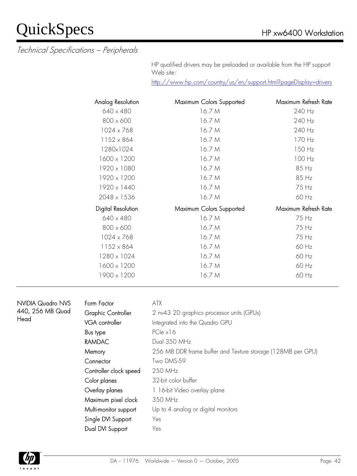Technical Specifications – Peripherals

 HP qualified drivers may be preloaded or available from the HP support Web site:

<http://www.hp.com/country/us/en/support.html?pageDisplay=drivers>

| Analog Resolution  | Maximum Colors Supported | Maximum Refresh Rate |
|--------------------|--------------------------|----------------------|
| 640 x 480          | 16.7 M                   | 240 Hz               |
| $800 \times 600$   | 16.7 M                   | 240 Hz               |
| $1024 \times 768$  | 16.7 M                   | 240 Hz               |
| 1152 x 864         | 16.7 M                   | 170 Hz               |
| 1280x1024          | 16.7 M                   | 150 Hz               |
| 1600 x 1200        | 16.7 M                   | 100 Hz               |
| 1920 x 1080        | 16.7 M                   | 85 Hz                |
| 1920 x 1200        | 16.7 M                   | 85 Hz                |
| 1920 x 1440        | 16.7 M                   | 75 Hz                |
| 2048 x 1536        | 16.7 M                   | 60 Hz                |
| Digital Resolution | Maximum Colors Supported | Maximum Refresh Rate |
| 640 x 480          | 16.7 M                   | 75 Hz                |
| 800 x 600          | 16.7 M                   | 75 Hz                |
| 1024 x 768         | 16.7 M                   | 75 Hz                |
| 1152 x 864         | 16.7 M                   | 60 Hz                |
| 1280 x 1024        | 16.7 M                   | 60 Hz                |
| 1600 x 1200        | 16.7 M                   | 60 Hz                |
| 1900 x 1200        | 16.7 M                   | 60 Hz                |

| NVIDIA Quadro NVS |
|-------------------|
| 440, 256 MB Quad  |
| Head              |

#### ATX

| Form Factor               | <b>ATX</b>                                                  |
|---------------------------|-------------------------------------------------------------|
| <b>Graphic Controller</b> | 2 nv43 2D graphics processor units (GPUs)                   |
| <b>VGA</b> controller     | Integrated into the Quadro GPU                              |
| Bus type                  | $PCle \times 16$                                            |
| <b>RAMDAC</b>             | Dual 350 MHz                                                |
| Memory                    | 256 MB DDR frame buffer and Texture storage (128MB per GPU) |
| Connector                 | Two DMS-59                                                  |
| Controller clock speed    | 250 MHz                                                     |
| Color planes              | 32-bit color buffer                                         |
| Overlay planes            | 1 16-bit Video overlay plane                                |
| Maximum pixel clock       | 350 MHz                                                     |
| Multi-monitor support     | Up to 4 analog or digital monitors                          |
| Single DVI Support        | Yes                                                         |
| Dual DVI Support          | Yes                                                         |

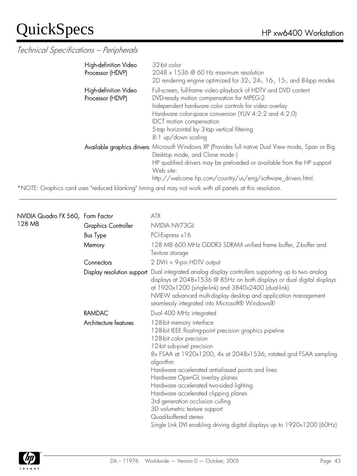#### Technical Specifications – Peripherals

| High-definition Video<br>Processor (HDVP) | 32-bit color<br>2048 x 1536 @ 60 Hz maximum resolution<br>2D rendering engine optimized for 32-, 24-, 16-, 15-, and 8-bpp modes                                                                                                                                                                                                        |
|-------------------------------------------|----------------------------------------------------------------------------------------------------------------------------------------------------------------------------------------------------------------------------------------------------------------------------------------------------------------------------------------|
| High-definition Video<br>Processor (HDVP) | Full-screen, full-frame video playback of HDTV and DVD content<br>DVD-ready motion compensation for MPEG-2<br>Independent hardware color controls for video overlay<br>Hardware color-space conversion (YUV 4:2:2 and 4:2:0)<br><b>IDCT</b> motion compensation<br>5-tap horizontal by 3-tap vertical filtering<br>8:1 up/down scaling |
|                                           | Available graphics drivers Microsoft Windows XP (Provides full native Dual View mode, Span or Big<br>Desktop mode, and Clone mode)<br>HP qualified drivers may be preloaded or available from the HP support<br>Web site:<br>http://welcome.hp.com/country/us/eng/software_drivers.html.                                               |

\*NOTE: Graphics card uses "reduced blanking" timing and may not work with all panels at this resolution.

| NVIDIA Quadro FX 560, Form Factor |                       | <b>ATX</b>                                                                                                                                                                                                                                                                                                                                                                                                                                                                                                                                                                        |
|-----------------------------------|-----------------------|-----------------------------------------------------------------------------------------------------------------------------------------------------------------------------------------------------------------------------------------------------------------------------------------------------------------------------------------------------------------------------------------------------------------------------------------------------------------------------------------------------------------------------------------------------------------------------------|
| 128 MB                            | Graphics Controller   | NVIDIA NV73GL                                                                                                                                                                                                                                                                                                                                                                                                                                                                                                                                                                     |
|                                   | <b>Bus Type</b>       | PCI-Express x16                                                                                                                                                                                                                                                                                                                                                                                                                                                                                                                                                                   |
|                                   | Memory                | 128 MB 600 MHz GDDR3 SDRAM unified frame buffer, Z-buffer and<br>Texture storage                                                                                                                                                                                                                                                                                                                                                                                                                                                                                                  |
|                                   | Connectors            | 2 DVI-I + 9-pin HDTV output                                                                                                                                                                                                                                                                                                                                                                                                                                                                                                                                                       |
|                                   |                       | Display resolution support Dual integrated analog display controllers supporting up to two analog<br>displays at 2048x1536 @ 85Hz on both displays or dual digital displays<br>at 1920x1200 (single-link) and 3840x2400 (dual-link).<br>NVIEW advanced multi-display desktop and application management<br>seamlessly integrated into Microsoft® Windows®                                                                                                                                                                                                                         |
|                                   | <b>RAMDAC</b>         | Dual 400 MHz integrated                                                                                                                                                                                                                                                                                                                                                                                                                                                                                                                                                           |
|                                   | Architecture features | 128-bit memory interface<br>128-bit IEEE floating-point precision graphics pipeline<br>128-bit color precision<br>12-bit sub-pixel precision<br>8x FSAA at 1920x1200, 4x at 2048x1536, rotated grid FSAA sampling<br>algorithm<br>Hardware accelerated antialiased points and lines<br>Hardware OpenGL overlay planes<br>Hardware accelerated two-sided lighting<br>Hardware accelerated clipping planes<br>3rd generation occlusion culling<br>3D volumetric texture support<br>Quad-buffered stereo<br>Single Link DVI enabling driving digital displays up to 1920x1200 (60Hz) |

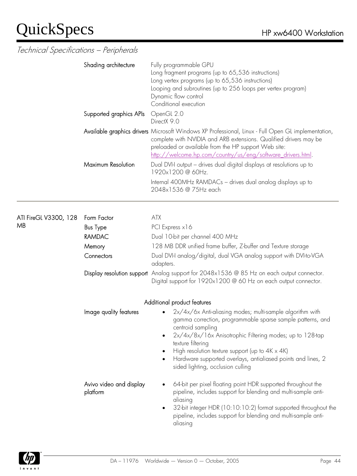|                             | Shading architecture                | Fully programmable GPU<br>Long fragment programs (up to 65,536 instructions)<br>Long vertex programs (up to 65,536 instructions)<br>Looping and subroutines (up to 256 loops per vertex program)<br>Dynamic flow control<br>Conditional execution                                                                                                                                             |  |  |
|-----------------------------|-------------------------------------|-----------------------------------------------------------------------------------------------------------------------------------------------------------------------------------------------------------------------------------------------------------------------------------------------------------------------------------------------------------------------------------------------|--|--|
|                             | Supported graphics APIs             | OpenGL 2.0<br>DirectX 9.0                                                                                                                                                                                                                                                                                                                                                                     |  |  |
|                             |                                     | Available graphics drivers Microsoft Windows XP Professional, Linux - Full Open GL implementation,<br>complete with NVIDIA and ARB extensions. Qualified drivers may be<br>preloaded or available from the HP support Web site:<br><u>http://welcome.hp.com/country/us/eng/software_drivers.html</u>                                                                                          |  |  |
|                             | Maximum Resolution                  | Dual DVI-I output - drives dual digital displays at resolutions up to<br>1920x1200@60Hz.                                                                                                                                                                                                                                                                                                      |  |  |
|                             |                                     | Internal 400MHz RAMDACs - drives dual analog displays up to<br>2048x1536 @ 75Hz each                                                                                                                                                                                                                                                                                                          |  |  |
|                             | Form Factor                         | <b>ATX</b>                                                                                                                                                                                                                                                                                                                                                                                    |  |  |
| ATI FireGL V3300, 128<br>MB | <b>Bus Type</b>                     | PCI Express x16                                                                                                                                                                                                                                                                                                                                                                               |  |  |
|                             | <b>RAMDAC</b>                       | Dual 10-bit per channel 400 MHz                                                                                                                                                                                                                                                                                                                                                               |  |  |
|                             | Memory                              | 128 MB DDR unified frame buffer, Z-buffer and Texture storage                                                                                                                                                                                                                                                                                                                                 |  |  |
|                             | Connectors                          | Dual DVI-I analog/digital, dual VGA analog support with DVI-to-VGA<br>adapters.                                                                                                                                                                                                                                                                                                               |  |  |
|                             |                                     | Display resolution support Analog support for 2048x1536 @ 85 Hz on each output connector.<br>Digital support for 1920x1200 @ 60 Hz on each output connector.                                                                                                                                                                                                                                  |  |  |
|                             | Additional product features         |                                                                                                                                                                                                                                                                                                                                                                                               |  |  |
|                             | Image quality features              | 2x/4x/6x Anti-aliasing modes; multi-sample algorithm with<br>gamma correction, programmable sparse sample patterns, and<br>centroid sampling<br>2x/4x/8x/16x Anisotrophic Filtering modes; up to 128-tap<br>texture filtering<br>High resolution texture support (up to $4K \times 4K$ )<br>Hardware supported overlays, antialiased points and lines, 2<br>sided lighting, occlusion culling |  |  |
|                             | Avivo video and display<br>platform | 64-bit per pixel floating point HDR supported throughout the<br>pipeline, includes support for blending and multi-sample anti-<br>aliasing<br>32-bit integer HDR (10:10:10:2) format supported throughout the<br>$\bullet$<br>pipeline, includes support for blending and multi-sample anti-<br>aliasing                                                                                      |  |  |

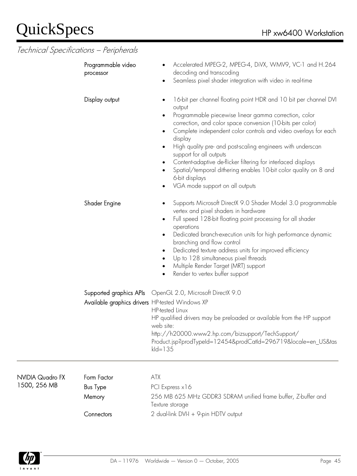### $\text{Quick} \text{Specs}$  HP xw6400 Workstation

| Technical Specifications - Peripherals |  |
|----------------------------------------|--|
| Programmable video<br>processor        |  |
|                                        |  |

Display output

Shader Engine

| 16-bit per channel floating point HDR and 10 bit per channel DVI |
|------------------------------------------------------------------|
| output                                                           |

Seamless pixel shader integration with video in real-time

- Programmable piecewise linear gamma correction, color correction, and color space conversion (10-bits per color)
- Complete independent color controls and video overlays for each display

• Accelerated MPEG-2, MPEG-4, DiVX, WMV9, VC-1 and H.264

- High quality pre- and post-scaling engineers with underscan support for all outputs
- Content-adaptive de-flicker filtering for interlaced displays
- Spatial/temporal dithering enables 10-bit color quality on 8 and 6-bit displays
- VGA mode support on all outputs

decoding and transcoding

- Supports Microsoft DirectX 9.0 Shader Model 3.0 programmable vertex and pixel shaders in hardware
	- Full speed 128-bit floating point processing for all shader operations
	- Dedicated branch-execution units for high performance dynamic branching and flow control
	- Dedicated texture address units for improved efficiency
	- Up to 128 simultaneous pixel threads
	- Multiple Render Target (MRT) support
	- Render to vertex buffer support

Supported graphics APIs OpenGL 2.0, Microsoft DirectX 9.0 Available graphics drivers HP-tested Windows XP HP-tested Linux

HP qualified drivers may be preloaded or available from the HP support web site: [http://h20000.www2.hp.com/bizsupport/TechSupport/](http://h20000.www2.hp.com/bizsupport/TechSupport/Product.jsp?prodTypeId=12454&prodCatId=296719&locale=en_US&taskId=135) 

[Product.jsp?prodTypeId=12454&prodCatId=296719&locale=en\\_US&tas](http://h20000.www2.hp.com/bizsupport/TechSupport/Product.jsp?prodTypeId=12454&prodCatId=296719&locale=en_US&taskId=135)  $kd=135$ 

#### NVIDIA Quadro FX 1500, 256 MB

Form Factor **ATX** 

**Bus Type** PCI Express x16 Memory 256 MB 625 MHz GDDR3 SDRAM unified frame buffer, Z-buffer and Texture storage Connectors 2 dual-link DVI-I + 9-pin HDTV output

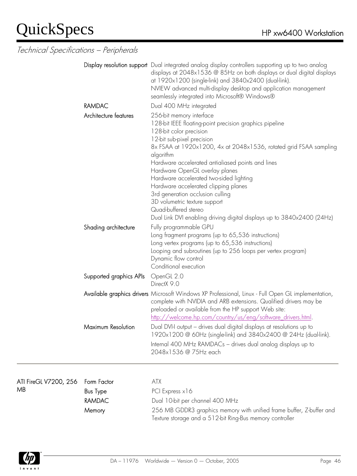Technical Specifications – Peripherals

|                       |                         | Display resolution support Dual integrated analog display controllers supporting up to two analog<br>displays at 2048x1536 @ 85Hz on both displays or dual digital displays<br>at 1920x1200 (single-link) and 3840x2400 (dual-link).<br>NVIEW advanced multi-display desktop and application management<br>seamlessly integrated into Microsoft® Windows®                                                                                                                                                                                                                       |
|-----------------------|-------------------------|---------------------------------------------------------------------------------------------------------------------------------------------------------------------------------------------------------------------------------------------------------------------------------------------------------------------------------------------------------------------------------------------------------------------------------------------------------------------------------------------------------------------------------------------------------------------------------|
|                       | <b>RAMDAC</b>           | Dual 400 MHz integrated                                                                                                                                                                                                                                                                                                                                                                                                                                                                                                                                                         |
|                       | Architecture features   | 256-bit memory interface<br>128-bit IEEE floating-point precision graphics pipeline<br>128-bit color precision<br>12-bit sub-pixel precision<br>8x FSAA at 1920x1200, 4x at 2048x1536, rotated grid FSAA sampling<br>algorithm<br>Hardware accelerated antialiased points and lines<br>Hardware OpenGL overlay planes<br>Hardware accelerated two-sided lighting<br>Hardware accelerated clipping planes<br>3rd generation occlusion culling<br>3D volumetric texture support<br>Quad-buffered stereo<br>Dual Link DVI enabling driving digital displays up to 3840x2400 (24Hz) |
|                       | Shading architecture    | Fully programmable GPU<br>Long fragment programs (up to 65,536 instructions)<br>Long vertex programs (up to 65,536 instructions)<br>Looping and subroutines (up to 256 loops per vertex program)<br>Dynamic flow control<br>Conditional execution                                                                                                                                                                                                                                                                                                                               |
|                       | Supported graphics APIs | OpenGL 2.0<br>DirectX 9.0                                                                                                                                                                                                                                                                                                                                                                                                                                                                                                                                                       |
|                       |                         | Available graphics drivers Microsoft Windows XP Professional, Linux - Full Open GL implementation,<br>complete with NVIDIA and ARB extensions. Qualified drivers may be<br>preloaded or available from the HP support Web site:<br>http://welcome.hp.com/country/us/eng/software_drivers.html.                                                                                                                                                                                                                                                                                  |
|                       | Maximum Resolution      | Dual DVI-I output - drives dual digital displays at resolutions up to<br>1920x1200 @ 60Hz (single-link) and 3840x2400 @ 24Hz (dual-link).<br>Internal 400 MHz RAMDACs - drives dual analog displays up to<br>2048x1536 @ 75Hz each                                                                                                                                                                                                                                                                                                                                              |
| ATI FireGL V7200, 256 | Form Factor             | <b>ATX</b>                                                                                                                                                                                                                                                                                                                                                                                                                                                                                                                                                                      |
| MB                    | <b>Bus Type</b>         | PCI Express x16                                                                                                                                                                                                                                                                                                                                                                                                                                                                                                                                                                 |
|                       | <b>RAMDAC</b>           | Dual 10-bit per channel 400 MHz                                                                                                                                                                                                                                                                                                                                                                                                                                                                                                                                                 |
|                       | Memory                  | 256 MB GDDR3 graphics memory with unified frame buffer, Z-buffer and<br>Texture storage and a 512-bit Ring-Bus memory controller                                                                                                                                                                                                                                                                                                                                                                                                                                                |

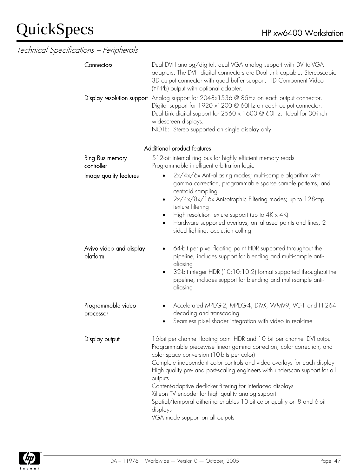| Connectors<br>Display resolution support | Dual DVI-I analog/digital, dual VGA analog support with DVI-to-VGA<br>adapters. The DVI-I digital connectors are Dual Link capable. Stereoscopic<br>3D output connector with quad buffer support, HD Component Video<br>(YPrPb) output with optional adapter.<br>Analog support for 2048x1536 @ 85Hz on each output connector.                                                                                                                                                                                                                                                                                      |  |
|------------------------------------------|---------------------------------------------------------------------------------------------------------------------------------------------------------------------------------------------------------------------------------------------------------------------------------------------------------------------------------------------------------------------------------------------------------------------------------------------------------------------------------------------------------------------------------------------------------------------------------------------------------------------|--|
|                                          | Digital support for 1920 x1200 @ 60Hz on each output connector.<br>Dual Link digital support for 2560 x 1600 @ 60Hz. Ideal for 30-inch<br>widescreen displays.<br>NOTE: Stereo supported on single display only.                                                                                                                                                                                                                                                                                                                                                                                                    |  |
|                                          | Additional product features                                                                                                                                                                                                                                                                                                                                                                                                                                                                                                                                                                                         |  |
| Ring Bus memory<br>controller            | 512-bit internal ring bus for highly efficient memory reads<br>Programmable intelligent arbitration logic                                                                                                                                                                                                                                                                                                                                                                                                                                                                                                           |  |
| Image quality features                   | 2x/4x/6x Anti-aliasing modes; multi-sample algorithm with<br>gamma correction, programmable sparse sample patterns, and<br>centroid sampling<br>2x/4x/8x/16x Anisotrophic Filtering modes; up to 128-tap<br>٠                                                                                                                                                                                                                                                                                                                                                                                                       |  |
|                                          | texture filtering<br>High resolution texture support (up to $4K \times 4K$ )<br>Hardware supported overlays, antialiased points and lines, 2<br>sided lighting, occlusion culling                                                                                                                                                                                                                                                                                                                                                                                                                                   |  |
| Avivo video and display<br>platform      | 64-bit per pixel floating point HDR supported throughout the<br>pipeline, includes support for blending and multi-sample anti-<br>aliasing<br>32-bit integer HDR (10:10:10:2) format supported throughout the<br>pipeline, includes support for blending and multi-sample anti-<br>aliasing                                                                                                                                                                                                                                                                                                                         |  |
| Programmable video<br>processor          | Accelerated MPEG-2, MPEG-4, DiVX, WMV9, VC-1 and H.264<br>decoding and transcoding<br>Seamless pixel shader integration with video in real-time                                                                                                                                                                                                                                                                                                                                                                                                                                                                     |  |
| Display output                           | 16-bit per channel floating point HDR and 10 bit per channel DVI output<br>Programmable piecewise linear gamma correction, color correction, and<br>color space conversion (10-bits per color)<br>Complete independent color controls and video overlays for each display<br>High quality pre- and post-scaling engineers with underscan support for all<br>outputs<br>Content-adaptive de-flicker filtering for interlaced displays<br>Xilleon TV encoder for high quality analog support<br>Spatial/temporal dithering enables 10-bit color quality on 8 and 6-bit<br>displays<br>VGA mode support on all outputs |  |

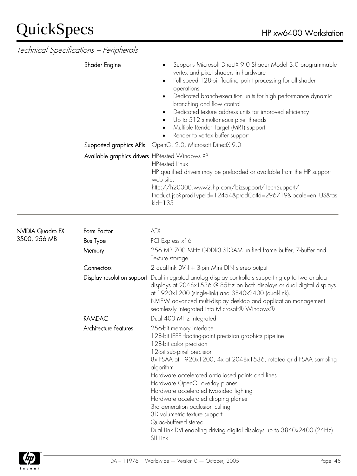Technical Specifications – Peripherals

|                                         | Shader Engine                                                              | Supports Microsoft DirectX 9.0 Shader Model 3.0 programmable<br>vertex and pixel shaders in hardware<br>Full speed 128-bit floating point processing for all shader<br>$\bullet$<br>operations<br>Dedicated branch-execution units for high performance dynamic<br>$\bullet$<br>branching and flow control<br>Dedicated texture address units for improved efficiency<br>Up to 512 simultaneous pixel threads<br>Multiple Render Target (MRT) support<br>Render to vertex buffer support |
|-----------------------------------------|----------------------------------------------------------------------------|------------------------------------------------------------------------------------------------------------------------------------------------------------------------------------------------------------------------------------------------------------------------------------------------------------------------------------------------------------------------------------------------------------------------------------------------------------------------------------------|
|                                         | Supported graphics APIs<br>Available graphics drivers HP-tested Windows XP | OpenGL 2.0, Microsoft DirectX 9.0<br><b>HP-tested Linux</b><br>HP qualified drivers may be preloaded or available from the HP support<br>web site:<br>http://h20000.www2.hp.com/bizsupport/TechSupport/<br>Product.jsp?prodTypeId=12454&prodCatId=296719&locale=en_US&tas<br>$kId = 135$                                                                                                                                                                                                 |
| <b>NVIDIA Quadro FX</b><br>3500, 256 MB | Form Factor<br><b>Bus Type</b><br>Memory<br>Connectors                     | <b>ATX</b><br>PCI Express x16<br>256 MB 700 MHz GDDR3 SDRAM unified frame buffer, Z-buffer and<br>Texture storage                                                                                                                                                                                                                                                                                                                                                                        |
|                                         |                                                                            | 2 dual-link DVI-I + 3-pin Mini DIN stereo output<br>Display resolution support Dual integrated analog display controllers supporting up to two analog<br>displays at 2048x1536 @ 85Hz on both displays or dual digital displays<br>at 1920x1200 (single-link) and 3840x2400 (dual-link).<br>NVIEW advanced multi-display desktop and application management                                                                                                                              |

seamlessly integrated into Microsoft® Windows®

128-bit IEEE floating-point precision graphics pipeline

Hardware accelerated antialiased points and lines

Hardware OpenGL overlay planes Hardware accelerated two-sided lighting Hardware accelerated clipping planes 3rd generation occlusion culling 3D volumetric texture support

8x FSAA at 1920x1200, 4x at 2048x1536, rotated grid FSAA sampling

Dual Link DVI enabling driving digital displays up to 3840x2400 (24Hz)



Quad-buffered stereo

128-bit color precision 12-bit sub-pixel precision

algorithm

SLI Link

RAMDAC Dual 400 MHz integrated Architecture features 256-bit memory interface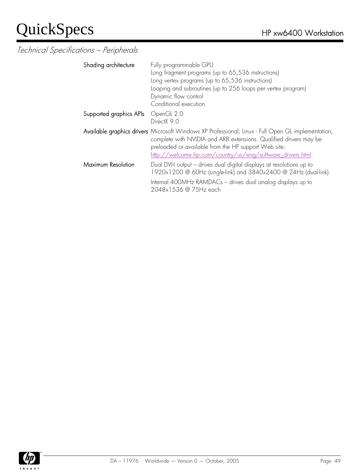| Shading architecture      | Fully programmable GPU<br>Long fragment programs (up to 65,536 instructions)<br>Long vertex programs (up to 65,536 instructions)<br>Looping and subroutines (up to 256 loops per vertex program)<br>Dynamic flow control<br>Conditional execution                                              |
|---------------------------|------------------------------------------------------------------------------------------------------------------------------------------------------------------------------------------------------------------------------------------------------------------------------------------------|
| Supported graphics APIs   | OpenGL 2.0<br>DirectX 9.0                                                                                                                                                                                                                                                                      |
|                           | Available graphics drivers Microsoft Windows XP Professional; Linux - Full Open GL implementation,<br>complete with NVIDIA and ARB extensions. Qualified drivers may be<br>preloaded or available from the HP support Web site:<br>http://welcome.hp.com/country/us/eng/software_drivers.html. |
| <b>Maximum Resolution</b> | Dual DVI-I output - drives dual digital displays at resolutions up to<br>1920x1200 @ 60Hz (single-link) and 3840x2400 @ 24Hz (dual-link).<br>Internal 400MHz RAMDACs - drives dual analog displays up to<br>2048x1536 @ 75Hz each                                                              |

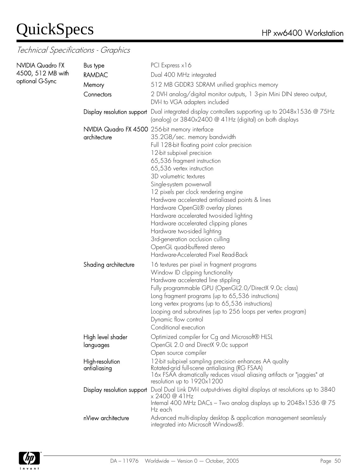#### Technical Specifications - Graphics

| <b>NVIDIA Quadro FX</b><br>4500, 512 MB with | Bus type                                                       | PCI Express x16                                                                                                                                                                                                                                                                                                                                                                                                                                                                                                                                                                      |
|----------------------------------------------|----------------------------------------------------------------|--------------------------------------------------------------------------------------------------------------------------------------------------------------------------------------------------------------------------------------------------------------------------------------------------------------------------------------------------------------------------------------------------------------------------------------------------------------------------------------------------------------------------------------------------------------------------------------|
|                                              | <b>RAMDAC</b>                                                  | Dual 400 MHz integrated                                                                                                                                                                                                                                                                                                                                                                                                                                                                                                                                                              |
| optional G-Sync                              | Memory                                                         | 512 MB GDDR3 SDRAM unified graphics memory                                                                                                                                                                                                                                                                                                                                                                                                                                                                                                                                           |
|                                              | Connectors                                                     | 2 DVI-I analog/digital monitor outputs, 1 3-pin Mini DIN stereo output,<br>DVI-I to VGA adapters included                                                                                                                                                                                                                                                                                                                                                                                                                                                                            |
|                                              |                                                                | Display resolution support Dual integrated display controllers supporting up to 2048x1536 @ 75Hz<br>(analog) or 3840x2400 @ 41Hz (digital) on both displays                                                                                                                                                                                                                                                                                                                                                                                                                          |
|                                              | NVIDIA Quadro FX 4500 256-bit memory interface<br>architecture | 35.2GB/sec. memory bandwidth<br>Full 128-bit floating point color precision<br>12-bit subpixel precision<br>65,536 fragment instruction<br>65,536 vertex instruction<br>3D volumetric textures<br>Single-system powerwall<br>12 pixels per clock rendering engine<br>Hardware accelerated antialiased points & lines<br>Hardware OpenGL® overlay planes<br>Hardware accelerated two-sided lighting<br>Hardware accelerated clipping planes<br>Hardware two-sided lighting<br>3rd-generation occlusion culling<br>OpenGL quad-buffered stereo<br>Hardware-Accelerated Pixel Read-Back |
|                                              | Shading architecture                                           | 16 textures per pixel in fragment programs<br>Window ID clipping functionality<br>Hardware accelerated line stippling<br>Fully programmable GPU (OpenGL2.0/DirectX 9.0c class)<br>Long fragment programs (up to 65,536 instructions)<br>Long vertex programs (up to 65,536 instructions)<br>Looping and subroutines (up to 256 loops per vertex program)<br>Dynamic flow control<br>Conditional execution                                                                                                                                                                            |
|                                              | High level shader<br>languages                                 | Optimized compiler for Cq and Microsoft® HLSL<br>OpenGL 2.0 and DirectX 9.0c support<br>Open source compiler                                                                                                                                                                                                                                                                                                                                                                                                                                                                         |
|                                              | High-resolution<br>antialiasing                                | 12-bit subpixel sampling precision enhances AA quality<br>Rotated-grid full-scene antialiasing (RG FSAA)<br>16x FSAA dramatically reduces visual aliasing artifacts or "jaggies" at<br>resolution up to 1920x1200                                                                                                                                                                                                                                                                                                                                                                    |
|                                              | Display resolution support                                     | Dual Dual Link DVI-I output-drives digital displays at resolutions up to 3840<br>x 2400 @ 41Hz<br>Internal 400 MHz DACs - Two analog displays up to 2048x1536 @ 75<br>Hz each                                                                                                                                                                                                                                                                                                                                                                                                        |
|                                              | nView architecture                                             | Advanced multi-display desktop & application management seamlessly<br>integrated into Microsoft Windows®.                                                                                                                                                                                                                                                                                                                                                                                                                                                                            |

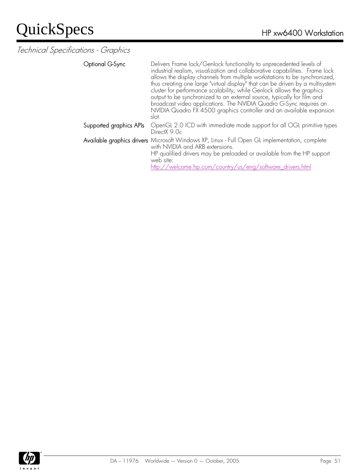Technical Specifications - Graphics

Optional G-Sync **Delivers Frame lock/Genlock functionality to unprecedented levels of** industrial realism, visualization and collaborative capabilities. Frame lock allows the display channels from multiple workstations to be synchronized, thus creating one large "virtual display" that can be driven by a multisystem cluster for performance scalability, while Genlock allows the graphics output to be synchronized to an external source, typically for film and broadcast video applications. The NVIDIA Quadro G-Sync requires an NVIDIA Quadro FX 4500 graphics controller and an available expansion slot. Supported graphics APIs OpenGL 2.0 ICD with immediate mode support for all OGL primitive types DirectX 9.0c Available graphics drivers Microsoft Windows XP, Linux - Full Open GL implementation, complete with NVIDIA and ARB extensions. HP qualified drivers may be preloaded or available from the HP support web site:

http://welcome.hp.com/country/us/eng/software\_drivers.html

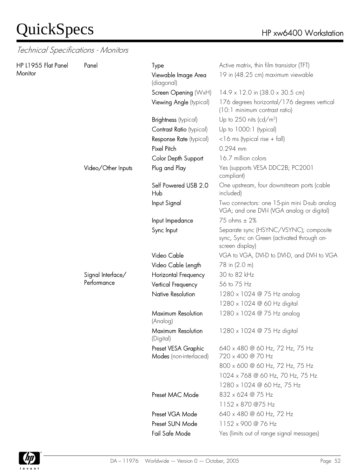| HP L1955 Flat Panel<br>Monitor | Panel              | Type<br>Viewable Image Area<br>(diagonal)     | Active matrix, thin film transistor (TFT)<br>19 in (48.25 cm) maximum viewable                          |
|--------------------------------|--------------------|-----------------------------------------------|---------------------------------------------------------------------------------------------------------|
|                                |                    | Screen Opening (WxH)                          | $14.9 \times 12.0$ in $(38.0 \times 30.5$ cm)                                                           |
|                                |                    | Viewing Angle (typical)                       | 176 degrees horizontal/176 degrees vertical<br>(10:1 minimum contrast ratio)                            |
|                                |                    | Brightness (typical)                          | Up to 250 nits (cd/m <sup>2</sup> )                                                                     |
|                                |                    | Contrast Ratio (typical)                      | Up to 1000:1 (typical)                                                                                  |
|                                |                    | Response Rate (typical)                       | $<$ 16 ms (typical rise + fall)                                                                         |
|                                |                    | Pixel Pitch                                   | $0.294$ mm                                                                                              |
|                                |                    | Color Depth Support                           | 16.7 million colors                                                                                     |
|                                | Video/Other Inputs | Plug and Play                                 | Yes (supports VESA DDC2B; PC2001<br>compliant)                                                          |
|                                |                    | Self Powered USB 2.0<br>Hub                   | One upstream, four downstream ports (cable<br>included)                                                 |
|                                |                    | Input Signal                                  | Two connectors: one 15-pin mini D-sub analog<br>VGA; and one DVI-I (VGA analog or digital)              |
|                                |                    | Input Impedance                               | 75 ohms ± 2%                                                                                            |
|                                |                    | Sync Input                                    | Separate sync (HSYNC/VSYNC); composite<br>sync, Sync on Green (activated through on-<br>screen display) |
|                                |                    | Video Cable                                   | VGA to VGA, DVI-D to DVI-D, and DVI-I to VGA                                                            |
|                                |                    | Video Cable Length                            | 78 in (2.0 m)                                                                                           |
|                                | Signal Interface/  | Horizontal Frequency                          | 30 to 82 kHz                                                                                            |
|                                | Performance        | Vertical Frequency                            | 56 to 75 Hz                                                                                             |
|                                |                    | Native Resolution                             | 1280 x 1024 @ 75 Hz analog                                                                              |
|                                |                    |                                               | 1280 x 1024 @ 60 Hz digital                                                                             |
|                                |                    | Maximum Resolution<br>(Analog)                | 1280 x 1024 @ 75 Hz analog                                                                              |
|                                |                    | Maximum Resolution<br>(Digital)               | 1280 x 1024 @ 75 Hz digital                                                                             |
|                                |                    | Preset VESA Graphic<br>Modes (non-interlaced) | 640 x 480 @ 60 Hz, 72 Hz, 75 Hz<br>720 x 400 @ 70 Hz                                                    |
|                                |                    |                                               | 800 x 600 @ 60 Hz, 72 Hz, 75 Hz                                                                         |
|                                |                    |                                               | 1024 x 768 @ 60 Hz, 70 Hz, 75 Hz                                                                        |
|                                |                    |                                               | 1280 x 1024 @ 60 Hz, 75 Hz                                                                              |
|                                |                    | Preset MAC Mode                               | 832 x 624 @ 75 Hz                                                                                       |
|                                |                    |                                               | 1152 x 870 @75 Hz                                                                                       |
|                                |                    | Preset VGA Mode                               | 640 x 480 @ 60 Hz, 72 Hz                                                                                |
|                                |                    | Preset SUN Mode                               | 1152 x 900 @ 76 Hz                                                                                      |
|                                |                    | Fail Safe Mode                                | Yes (limits out of range signal messages)                                                               |

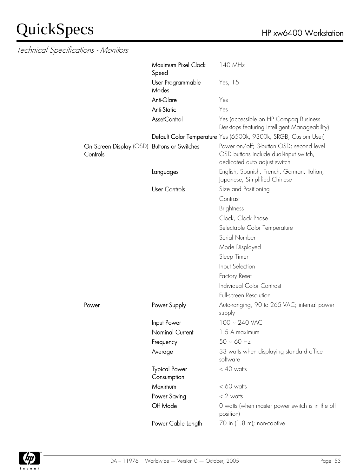|                                                         | Maximum Pixel Clock<br>Speed        | 140 MHz                                                                                                            |
|---------------------------------------------------------|-------------------------------------|--------------------------------------------------------------------------------------------------------------------|
|                                                         | User Programmable<br>Modes          | Yes, 15                                                                                                            |
|                                                         | Anti-Glare                          | Yes                                                                                                                |
|                                                         | <b>Anti-Static</b>                  | Yes                                                                                                                |
|                                                         | <b>AssetControl</b>                 | Yes (accessible on HP Compaq Business<br>Desktops featuring Intelligent Manageability)                             |
|                                                         |                                     | Default Color Temperature Yes (6500k, 9300k, SRGB, Custom User)                                                    |
| On Screen Display (OSD) Buttons or Switches<br>Controls |                                     | Power on/off; 3-button OSD; second level<br>OSD buttons include dual-input switch,<br>dedicated auto adjust switch |
|                                                         | Languages                           | English, Spanish, French, German, Italian,<br>Japanese, Simplified Chinese                                         |
|                                                         | <b>User Controls</b>                | Size and Positioning                                                                                               |
|                                                         |                                     | Contrast                                                                                                           |
|                                                         |                                     | <b>Brightness</b>                                                                                                  |
|                                                         |                                     | Clock, Clock Phase                                                                                                 |
|                                                         |                                     | Selectable Color Temperature                                                                                       |
|                                                         |                                     | Serial Number                                                                                                      |
|                                                         |                                     | Mode Displayed                                                                                                     |
|                                                         |                                     | Sleep Timer                                                                                                        |
|                                                         |                                     | Input Selection                                                                                                    |
|                                                         |                                     | <b>Factory Reset</b>                                                                                               |
|                                                         |                                     | Individual Color Contrast                                                                                          |
|                                                         |                                     | Full-screen Resolution                                                                                             |
| Power                                                   | Power Supply                        | Auto-ranging, 90 to 265 VAC; internal power<br>supply                                                              |
|                                                         | Input Power                         | $100 - 240$ VAC                                                                                                    |
|                                                         | Nominal Current                     | 1.5 A maximum                                                                                                      |
|                                                         | Frequency                           | $50 - 60$ Hz                                                                                                       |
|                                                         | Average                             | 33 watts when displaying standard office<br>software                                                               |
|                                                         | <b>Typical Power</b><br>Consumption | $<$ 40 watts                                                                                                       |
|                                                         | Maximum                             | $< 60$ watts                                                                                                       |
|                                                         | Power Saving                        | $< 2$ watts                                                                                                        |
|                                                         | Off Mode                            | O watts (when master power switch is in the off<br>position)                                                       |
|                                                         | Power Cable Length                  | 70 in (1.8 m); non-captive                                                                                         |

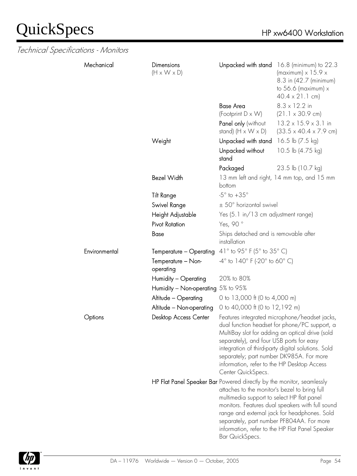| Technical Specifications - Monitors |               |                                                                       |                                                                                                                                                           |                                                                                                                                                                                                         |
|-------------------------------------|---------------|-----------------------------------------------------------------------|-----------------------------------------------------------------------------------------------------------------------------------------------------------|---------------------------------------------------------------------------------------------------------------------------------------------------------------------------------------------------------|
|                                     | Mechanical    | Dimensions<br>$(H \times W \times D)$                                 |                                                                                                                                                           | Unpacked with stand 16.8 (minimum) to 22.3<br>(maximum) $\times$ 15.9 $\times$<br>8.3 in (42.7 (minimum)<br>to $56.6$ (maximum) $x$<br>$40.4 \times 21.1$ cm)                                           |
|                                     |               |                                                                       | <b>Base Area</b>                                                                                                                                          | $8.3 \times 12.2$ in                                                                                                                                                                                    |
|                                     |               |                                                                       | (Footprint D x W)                                                                                                                                         | $(21.1 \times 30.9 \text{ cm})$                                                                                                                                                                         |
|                                     |               |                                                                       | Panel only (without<br>stand) $(H \times W \times D)$                                                                                                     | $13.2 \times 15.9 \times 3.1$ in<br>$(33.5 \times 40.4 \times 7.9 \text{ cm})$                                                                                                                          |
|                                     |               | Weight                                                                | Unpacked with stand                                                                                                                                       | 16.5 lb (7.5 kg)                                                                                                                                                                                        |
|                                     |               |                                                                       | Unpacked without<br>stand                                                                                                                                 | 10.5 lb (4.75 kg)                                                                                                                                                                                       |
|                                     |               |                                                                       | Packaged                                                                                                                                                  | 23.5 lb (10.7 kg)                                                                                                                                                                                       |
|                                     |               | <b>Bezel Width</b>                                                    | bottom                                                                                                                                                    | 13 mm left and right, 14 mm top, and 15 mm                                                                                                                                                              |
|                                     |               | <b>Tilt Range</b>                                                     | $-5^\circ$ to $+35^\circ$                                                                                                                                 |                                                                                                                                                                                                         |
|                                     |               | Swivel Range                                                          | ± 50° horizontal swivel                                                                                                                                   |                                                                                                                                                                                                         |
|                                     |               | Height Adjustable                                                     | Yes (5.1 in/13 cm adjustment range)                                                                                                                       |                                                                                                                                                                                                         |
|                                     |               | <b>Pivot Rotation</b>                                                 | Yes, 90°                                                                                                                                                  |                                                                                                                                                                                                         |
|                                     |               | Base                                                                  | Ships detached and is removable after<br>installation                                                                                                     |                                                                                                                                                                                                         |
|                                     | Environmental | Temperature - Operating                                               | 41 $\degree$ to 95 $\degree$ F (5 $\degree$ to 35 $\degree$ C)                                                                                            |                                                                                                                                                                                                         |
|                                     |               | Temperature - Non-<br>operating                                       | $-4^{\circ}$ to $140^{\circ}$ F (-20 $^{\circ}$ to 60 $^{\circ}$ C)                                                                                       |                                                                                                                                                                                                         |
|                                     |               | Humidity - Operating                                                  | 20% to 80%                                                                                                                                                |                                                                                                                                                                                                         |
|                                     |               | Humidity - Non-operating 5% to 95%                                    |                                                                                                                                                           |                                                                                                                                                                                                         |
|                                     |               | Altitude - Operating                                                  | 0 to 13,000 ft (0 to 4,000 m)                                                                                                                             |                                                                                                                                                                                                         |
|                                     |               | Altitude - Non-operating                                              | 0 to 40,000 ft (0 to 12,192 m)                                                                                                                            |                                                                                                                                                                                                         |
|                                     | Options       | <b>Desktop Access Center</b>                                          | separately), and four USB ports for easy<br>separately; part number DK985A. For more<br>information, refer to the HP Desktop Access<br>Center QuickSpecs. | Features integrated microphone/headset jacks,<br>dual function headset for phone/PC support, a<br>MultiBay slot for adding an optical drive (sold<br>integration of third-party digital solutions. Sold |
|                                     |               | HP Flat Panel Speaker Bar Powered directly by the monitor, seamlessly | attaches to the monitor's bezel to bring full<br>multimedia support to select HP flat panel<br>Bar QuickSpecs.                                            | monitors. Features dual speakers with full sound<br>range and external jack for headphones. Sold<br>separately, part number PF804AA. For more<br>information, refer to the HP Flat Panel Speaker        |

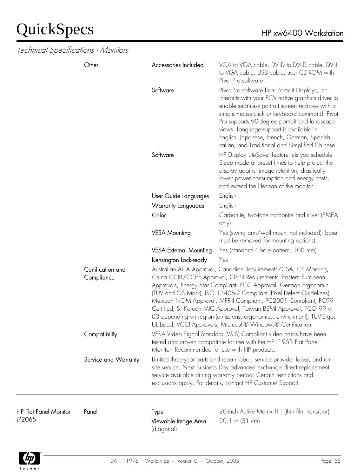Technical Specifications - Monitors

| Software<br>Pivot Pro software from Portrait Displays, Inc.<br>interacts with your PC's native graphics driver to<br>enable seamless portrait screen redraws with a<br>simple mouse-click or keyboard command. Pivot<br>Pro supports 90-degree portrait and landscape<br>views. Language support is available in<br>English, Japanese, French, German, Spanish,<br>Italian, and Traditional and Simplified Chinese.<br>Software<br>HP Display LiteSaver feature lets you schedule<br>Sleep mode at preset times to help protect the<br>display against image retention, drastically<br>lower power consumption and energy costs,<br>and extend the lifespan of the monitor.<br>User Guide Languages<br>English<br>English<br>Warranty Languages<br>Color<br>Carbonite, two-tone carbonite and silver (EMEA<br>only)<br>Yes (swing arm/wall mount not included); base<br><b>VESA Mounting</b><br>must be removed for mounting options)<br><b>VESA External Mounting</b><br>Yes (standard 4 hole pattern, 100 mm)<br>Kensington Lock-ready<br>Yes<br>Certification and<br>Australian ACA Approval, Canadian Requirements/CSA, CE Marking,<br>China CCIB/CCEE Approval, CISPR Requirements, Eastern European<br>Compliance<br>Approvals, Energy Star Compliant, FCC Approval, German Ergonomic<br>(TUV and GS Mark), ISO 13406-2 Compliant (Pixel Defect Guidelines),<br>Mexican NOM Approval, MPR-II Compliant, PC2001 Compliant, PC99<br>Certified, S. Korean MIC Approval, Taiwan BSMI Approval, TCO 99 or<br>03 depending on region (emissions, ergonomics, environment), TUV-Ergo,<br>UL Listed, VCCI Approvals, Microsoft® Windows® Certification<br>Compatibility<br>VESA Video Signal Standard (VSIS) Compliant video cards have been<br>tested and proven compatible for use with the HP L1955 Flat Panel | VGA to VGA cable, DVI-D to DVI-D cable, DVI-I<br>to VGA cable, USB cable, user CD-ROM with |
|-----------------------------------------------------------------------------------------------------------------------------------------------------------------------------------------------------------------------------------------------------------------------------------------------------------------------------------------------------------------------------------------------------------------------------------------------------------------------------------------------------------------------------------------------------------------------------------------------------------------------------------------------------------------------------------------------------------------------------------------------------------------------------------------------------------------------------------------------------------------------------------------------------------------------------------------------------------------------------------------------------------------------------------------------------------------------------------------------------------------------------------------------------------------------------------------------------------------------------------------------------------------------------------------------------------------------------------------------------------------------------------------------------------------------------------------------------------------------------------------------------------------------------------------------------------------------------------------------------------------------------------------------------------------------------------------------------------------------------------------------------------------------------------------------------------------|--------------------------------------------------------------------------------------------|
|                                                                                                                                                                                                                                                                                                                                                                                                                                                                                                                                                                                                                                                                                                                                                                                                                                                                                                                                                                                                                                                                                                                                                                                                                                                                                                                                                                                                                                                                                                                                                                                                                                                                                                                                                                                                                 |                                                                                            |
|                                                                                                                                                                                                                                                                                                                                                                                                                                                                                                                                                                                                                                                                                                                                                                                                                                                                                                                                                                                                                                                                                                                                                                                                                                                                                                                                                                                                                                                                                                                                                                                                                                                                                                                                                                                                                 |                                                                                            |
|                                                                                                                                                                                                                                                                                                                                                                                                                                                                                                                                                                                                                                                                                                                                                                                                                                                                                                                                                                                                                                                                                                                                                                                                                                                                                                                                                                                                                                                                                                                                                                                                                                                                                                                                                                                                                 |                                                                                            |
|                                                                                                                                                                                                                                                                                                                                                                                                                                                                                                                                                                                                                                                                                                                                                                                                                                                                                                                                                                                                                                                                                                                                                                                                                                                                                                                                                                                                                                                                                                                                                                                                                                                                                                                                                                                                                 |                                                                                            |
|                                                                                                                                                                                                                                                                                                                                                                                                                                                                                                                                                                                                                                                                                                                                                                                                                                                                                                                                                                                                                                                                                                                                                                                                                                                                                                                                                                                                                                                                                                                                                                                                                                                                                                                                                                                                                 |                                                                                            |
|                                                                                                                                                                                                                                                                                                                                                                                                                                                                                                                                                                                                                                                                                                                                                                                                                                                                                                                                                                                                                                                                                                                                                                                                                                                                                                                                                                                                                                                                                                                                                                                                                                                                                                                                                                                                                 |                                                                                            |
|                                                                                                                                                                                                                                                                                                                                                                                                                                                                                                                                                                                                                                                                                                                                                                                                                                                                                                                                                                                                                                                                                                                                                                                                                                                                                                                                                                                                                                                                                                                                                                                                                                                                                                                                                                                                                 |                                                                                            |
|                                                                                                                                                                                                                                                                                                                                                                                                                                                                                                                                                                                                                                                                                                                                                                                                                                                                                                                                                                                                                                                                                                                                                                                                                                                                                                                                                                                                                                                                                                                                                                                                                                                                                                                                                                                                                 |                                                                                            |
|                                                                                                                                                                                                                                                                                                                                                                                                                                                                                                                                                                                                                                                                                                                                                                                                                                                                                                                                                                                                                                                                                                                                                                                                                                                                                                                                                                                                                                                                                                                                                                                                                                                                                                                                                                                                                 |                                                                                            |
| Monitor. Recommended for use with HP products.                                                                                                                                                                                                                                                                                                                                                                                                                                                                                                                                                                                                                                                                                                                                                                                                                                                                                                                                                                                                                                                                                                                                                                                                                                                                                                                                                                                                                                                                                                                                                                                                                                                                                                                                                                  |                                                                                            |
| Limited three-year parts and repair labor, service provider labor, and on-<br>Service and Warranty<br>site service. Next Business Day advanced exchange direct replacement<br>service available during warranty period. Certain restrictions and<br>exclusions apply. For details, contact HP Customer Support.                                                                                                                                                                                                                                                                                                                                                                                                                                                                                                                                                                                                                                                                                                                                                                                                                                                                                                                                                                                                                                                                                                                                                                                                                                                                                                                                                                                                                                                                                                 |                                                                                            |

HP Flat Panel Monitor LP2065

Viewable Image Area (diagonal)

Panel Type Type 20-inch Active Matrix TFT (thin film transistor) 20.1 in (51 cm)

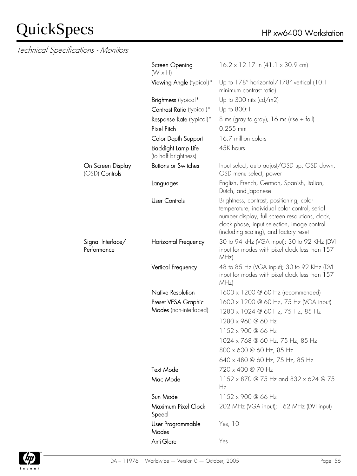|                                       | Screen Opening<br>$(W \times H)$            | $16.2 \times 12.17$ in $(41.1 \times 30.9$ cm)                                                                                                                                                                                        |
|---------------------------------------|---------------------------------------------|---------------------------------------------------------------------------------------------------------------------------------------------------------------------------------------------------------------------------------------|
|                                       | Viewing Angle (typical)*                    | Up to 178° horizontal/178° vertical (10:1<br>minimum contrast ratio)                                                                                                                                                                  |
|                                       | Brightness (typical*                        | Up to 300 nits ( $cd/m2$ )                                                                                                                                                                                                            |
|                                       | Contrast Ratio (typical)*                   | Up to 800:1                                                                                                                                                                                                                           |
|                                       | Response Rate (typical)*                    | 8 ms (gray to gray), 16 ms (rise $+$ fall)                                                                                                                                                                                            |
|                                       | Pixel Pitch                                 | $0.255$ mm                                                                                                                                                                                                                            |
|                                       | Color Depth Support                         | 16.7 million colors                                                                                                                                                                                                                   |
|                                       | Backlight Lamp Life<br>(to half brightness) | 45K hours                                                                                                                                                                                                                             |
| On Screen Display<br>$(OSD)$ Controls | <b>Buttons or Switches</b>                  | Input select, auto adjust/OSD up, OSD down,<br>OSD menu select, power                                                                                                                                                                 |
|                                       | Languages                                   | English, French, German, Spanish, Italian,<br>Dutch, and Japanese                                                                                                                                                                     |
|                                       | <b>User Controls</b>                        | Brightness, contrast, positioning, color<br>temperature, individual color control, serial<br>number display, full screen resolutions, clock,<br>clock phase, input selection, image control<br>(including scaling), and factory reset |
| Signal Interface/<br>Performance      | Horizontal Frequency                        | 30 to 94 kHz (VGA input); 30 to 92 KHz (DVI<br>input for modes with pixel clock less than 157<br>MHz)                                                                                                                                 |
|                                       | Vertical Frequency                          | 48 to 85 Hz (VGA input); 30 to 92 KHz (DVI<br>input for modes with pixel clock less than 157<br>MHz)                                                                                                                                  |
|                                       | <b>Native Resolution</b>                    | 1600 x 1200 @ 60 Hz (recommended)                                                                                                                                                                                                     |
|                                       | Preset VESA Graphic                         | 1600 x 1200 @ 60 Hz, 75 Hz (VGA input)                                                                                                                                                                                                |
|                                       | Modes (non-interlaced)                      | 1280 x 1024 @ 60 Hz, 75 Hz, 85 Hz                                                                                                                                                                                                     |
|                                       |                                             | 1280 x 960 @ 60 Hz                                                                                                                                                                                                                    |
|                                       |                                             | 1152 x 900 @ 66 Hz                                                                                                                                                                                                                    |
|                                       |                                             | 1024 x 768 @ 60 Hz, 75 Hz, 85 Hz                                                                                                                                                                                                      |
|                                       |                                             | 800 x 600 @ 60 Hz, 85 Hz                                                                                                                                                                                                              |
|                                       |                                             | 640 x 480 @ 60 Hz, 75 Hz, 85 Hz                                                                                                                                                                                                       |
|                                       | <b>Text Mode</b>                            | 720 x 400 @ 70 Hz                                                                                                                                                                                                                     |
|                                       | Mac Mode                                    | 1152 x 870 @ 75 Hz and 832 x 624 @ 75<br>Hz                                                                                                                                                                                           |
|                                       | Sun Mode                                    | 1152 x 900 @ 66 Hz                                                                                                                                                                                                                    |
|                                       | Maximum Pixel Clock<br>Speed                | 202 MHz (VGA input); 162 MHz (DVI input)                                                                                                                                                                                              |
|                                       | User Programmable<br>Modes                  | Yes, 10                                                                                                                                                                                                                               |
|                                       | Anti-Glare                                  | Yes                                                                                                                                                                                                                                   |

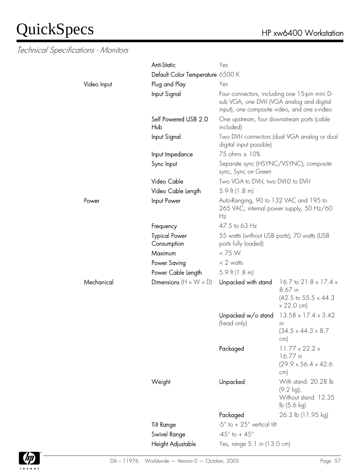|             | <b>Anti-Static</b>                   | Yes                                                                                                                                         |                                                                                                              |
|-------------|--------------------------------------|---------------------------------------------------------------------------------------------------------------------------------------------|--------------------------------------------------------------------------------------------------------------|
|             | Default Color Temperature 6500 K     |                                                                                                                                             |                                                                                                              |
| Video Input | Plug and Play                        | Yes                                                                                                                                         |                                                                                                              |
|             | Input Signal                         | Four connectors, including one 15-pin mini D-<br>sub VGA, one DVI-I (VGA analog and digital<br>input), one composite video, and one s-video |                                                                                                              |
|             | Self Powered USB 2.0<br>Hub          | One upstream, four downstream ports (cable<br>included)                                                                                     |                                                                                                              |
|             | Input Signal                         | digital input possible)                                                                                                                     | Two DVI-I connectors (dual VGA analog or dual                                                                |
|             | Input Impedance                      | 75 ohms ± 10%                                                                                                                               |                                                                                                              |
|             | Sync Input                           | Separate sync (HSYNC/VSYNC); composite<br>sync, Sync on Green                                                                               |                                                                                                              |
|             | Video Cable                          | Two VGA to DVI-I; two DVI-D to DVI-I                                                                                                        |                                                                                                              |
|             | Video Cable Length                   | $5.9$ ft (1.8 m)                                                                                                                            |                                                                                                              |
| Power       | Input Power                          | Auto-Ranging, 90 to 132 VAC and 195 to<br>265 VAC; internal power supply, 50 Hz/60<br>Hz                                                    |                                                                                                              |
|             | Frequency                            | 47.5 to 63 Hz                                                                                                                               |                                                                                                              |
|             | <b>Typical Power</b><br>Consumption  | 55 watts (without USB ports); 70 watts (USB<br>ports fully loaded)                                                                          |                                                                                                              |
|             | Maximum                              | < 75 W                                                                                                                                      |                                                                                                              |
|             | Power Saving                         | $< 2$ watts                                                                                                                                 |                                                                                                              |
|             | Power Cable Length                   | $5.9$ ft (1.8 m)                                                                                                                            |                                                                                                              |
| Mechanical  | Dimensions ( $H \times W \times D$ ) | Unpacked with stand                                                                                                                         | 16.7 to 21.8 $\times$ 17.4 $\times$<br>8.67 in<br>$(42.5 \text{ to } 55.5 \times 44.3)$<br>$\times$ 22.0 cm) |
|             |                                      | Unpacked w/o stand<br>(head only)                                                                                                           | $13.58 \times 17.4 \times 3.42$<br>in<br>$(34.5 \times 44.3 \times 8.7)$<br>cm)                              |
|             |                                      | Packaged                                                                                                                                    | $11.77 \times 22.2 \times$<br>16.77 in<br>$(29.9 \times 56.4 \times 42.6$<br>cm)                             |
|             | Weight                               | Unpacked                                                                                                                                    | With stand: 20.28 lb<br>$(9.2 \text{ kg})$ ;<br>Without stand: 12.35<br>lb(5.6 kg)                           |
|             |                                      | Packaged                                                                                                                                    | 26.3 lb (11.95 kg)                                                                                           |
|             | <b>Tilt Range</b>                    | $-5^\circ$ to $+25^\circ$ vertical tilt                                                                                                     |                                                                                                              |
|             | Swivel Range                         | $-45^{\circ}$ to + $45^{\circ}$                                                                                                             |                                                                                                              |
|             | Height Adjustable                    | Yes, range 5.1 in (13.0 cm)                                                                                                                 |                                                                                                              |

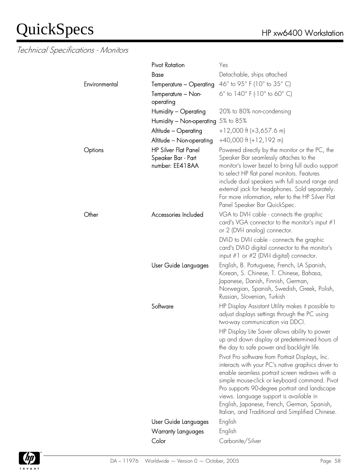|               | <b>Pivot Rotation</b>                                                | Yes                                                                                                                                                                                                                                                                                                                                                                                                                                                                                                                                                                                                                                                                                             |
|---------------|----------------------------------------------------------------------|-------------------------------------------------------------------------------------------------------------------------------------------------------------------------------------------------------------------------------------------------------------------------------------------------------------------------------------------------------------------------------------------------------------------------------------------------------------------------------------------------------------------------------------------------------------------------------------------------------------------------------------------------------------------------------------------------|
|               | <b>Base</b>                                                          | Detachable, ships attached                                                                                                                                                                                                                                                                                                                                                                                                                                                                                                                                                                                                                                                                      |
| Environmental | Temperature - Operating                                              | 46° to 95° F (10° to 35° C)                                                                                                                                                                                                                                                                                                                                                                                                                                                                                                                                                                                                                                                                     |
|               | Temperature - Non-<br>operating                                      | 6° to 140° F (-10° to 60° C)                                                                                                                                                                                                                                                                                                                                                                                                                                                                                                                                                                                                                                                                    |
|               | Humidity - Operating                                                 | 20% to 80% non-condensing                                                                                                                                                                                                                                                                                                                                                                                                                                                                                                                                                                                                                                                                       |
|               | Humidity - Non-operating 5% to 85%                                   |                                                                                                                                                                                                                                                                                                                                                                                                                                                                                                                                                                                                                                                                                                 |
|               | Altitude - Operating                                                 | $+12,000$ ft (+3,657.6 m)                                                                                                                                                                                                                                                                                                                                                                                                                                                                                                                                                                                                                                                                       |
|               | Altitude - Non-operating                                             | $+40,000$ ft $(+12,192$ m)                                                                                                                                                                                                                                                                                                                                                                                                                                                                                                                                                                                                                                                                      |
| Options       | <b>HP Silver Flat Panel</b><br>Speaker Bar - Part<br>number: EE418AA | Powered directly by the monitor or the PC, the<br>Speaker Bar seamlessly attaches to the<br>monitor's lower bezel to bring full audio support<br>to select HP flat panel monitors. Features<br>include dual speakers with full sound range and<br>external jack for headphones. Sold separately.<br>For more information, refer to the HP Silver Flat<br>Panel Speaker Bar QuickSpec.                                                                                                                                                                                                                                                                                                           |
| Other         | Accessories Included                                                 | VGA to DVI-I cable - connects the graphic<br>card's VGA connector to the monitor's input $#1$<br>or 2 (DVI-I analog) connector.                                                                                                                                                                                                                                                                                                                                                                                                                                                                                                                                                                 |
|               |                                                                      | DVI-D to DVI-I cable - connects the graphic<br>card's DVI-D digital connector to the monitor's<br>input $\#1$ or $\#2$ (DVI-I digital) connector.                                                                                                                                                                                                                                                                                                                                                                                                                                                                                                                                               |
|               | User Guide Languages                                                 | English, B. Portuguese, French, LA Spanish,<br>Korean, S. Chinese, T. Chinese, Bahasa,<br>Japanese, Danish, Finnish, German,<br>Norwegian, Spanish, Swedish, Greek, Polish,<br>Russian, Slovenian, Turkish                                                                                                                                                                                                                                                                                                                                                                                                                                                                                      |
|               | Software                                                             | HP Display Assistant Utility makes it possible to<br>adjust displays settings through the PC using<br>two-way communication via DDCI.<br>HP Display Lite Saver allows ability to power<br>up and down display at predetermined hours of<br>the day to safe power and backlight life.<br>Pivot Pro software from Portrait Displays, Inc.<br>interacts with your PC's native graphics driver to<br>enable seamless portrait screen redraws with a<br>simple mouse-click or keyboard command. Pivot<br>Pro supports 90-degree portrait and landscape<br>views. Language support is available in<br>English, Japanese, French, German, Spanish,<br>Italian, and Traditional and Simplified Chinese. |
|               | User Guide Languages                                                 | English                                                                                                                                                                                                                                                                                                                                                                                                                                                                                                                                                                                                                                                                                         |
|               | Warranty Languages                                                   | English                                                                                                                                                                                                                                                                                                                                                                                                                                                                                                                                                                                                                                                                                         |
|               | Color                                                                | Carbonite/Silver                                                                                                                                                                                                                                                                                                                                                                                                                                                                                                                                                                                                                                                                                |